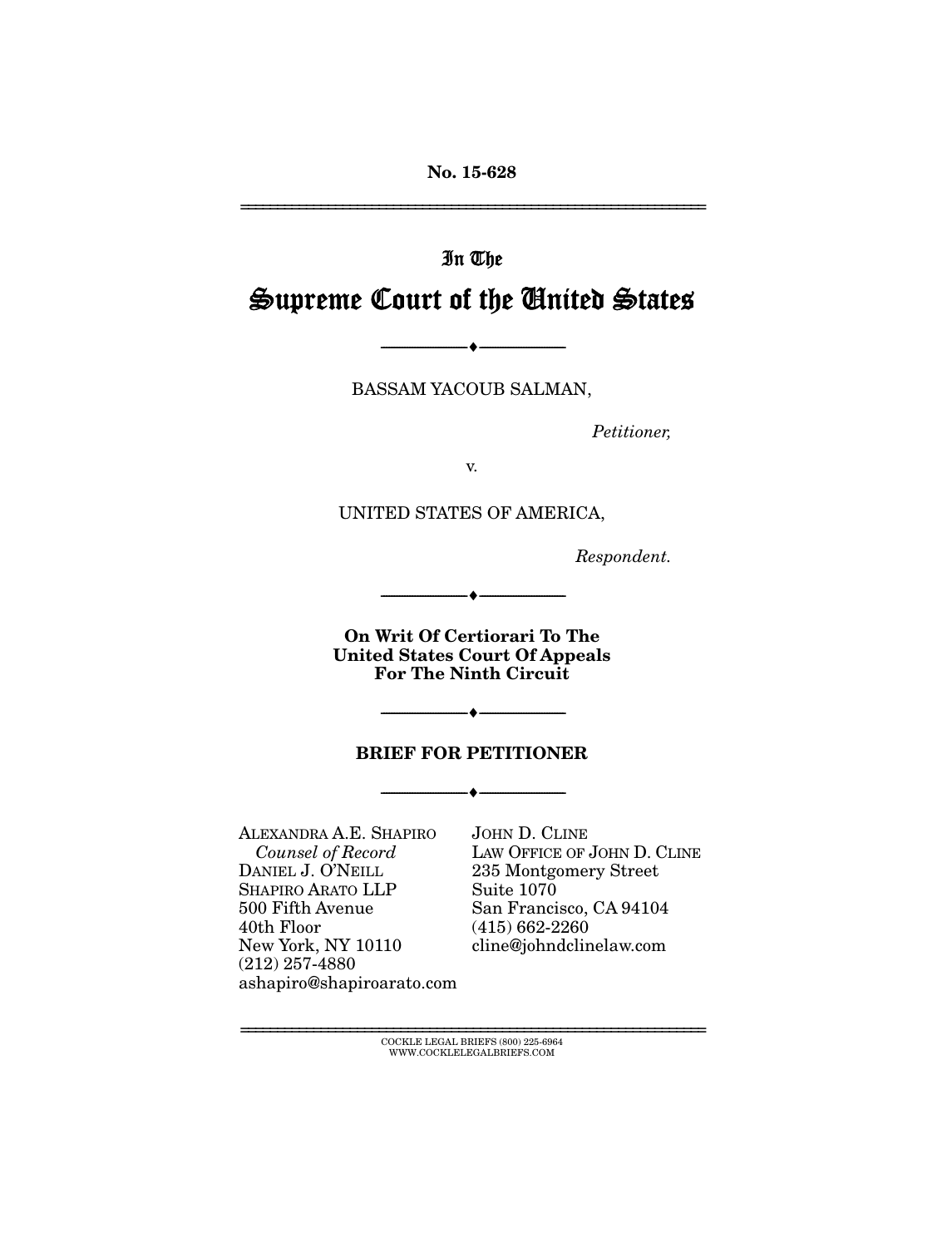**No. 15-628** 

================================================================

## In The

# Supreme Court of the United States

--------------------------------- ---------------------------------

BASSAM YACOUB SALMAN,

*Petitioner,* 

v.

UNITED STATES OF AMERICA,

*Respondent.* 

**On Writ Of Certiorari To The United States Court Of Appeals For The Ninth Circuit**

--------------------------------- ---------------------------------

#### **BRIEF FOR PETITIONER**

--------------------------------- ---------------------------------

--------------------------------- ---------------------------------

ALEXANDRA A.E. SHAPIRO *Counsel of Record* DANIEL J. O'NEILL SHAPIRO ARATO LLP 500 Fifth Avenue 40th Floor New York, NY 10110 (212) 257-4880 ashapiro@shapiroarato.com JOHN D. CLINE LAW OFFICE OF JOHN D. CLINE 235 Montgomery Street Suite 1070 San Francisco, CA 94104 (415) 662-2260 cline@johndclinelaw.com

================================================================ COCKLE LEGAL BRIEFS (800) 225-6964 WWW.COCKLELEGALBRIEFS.COM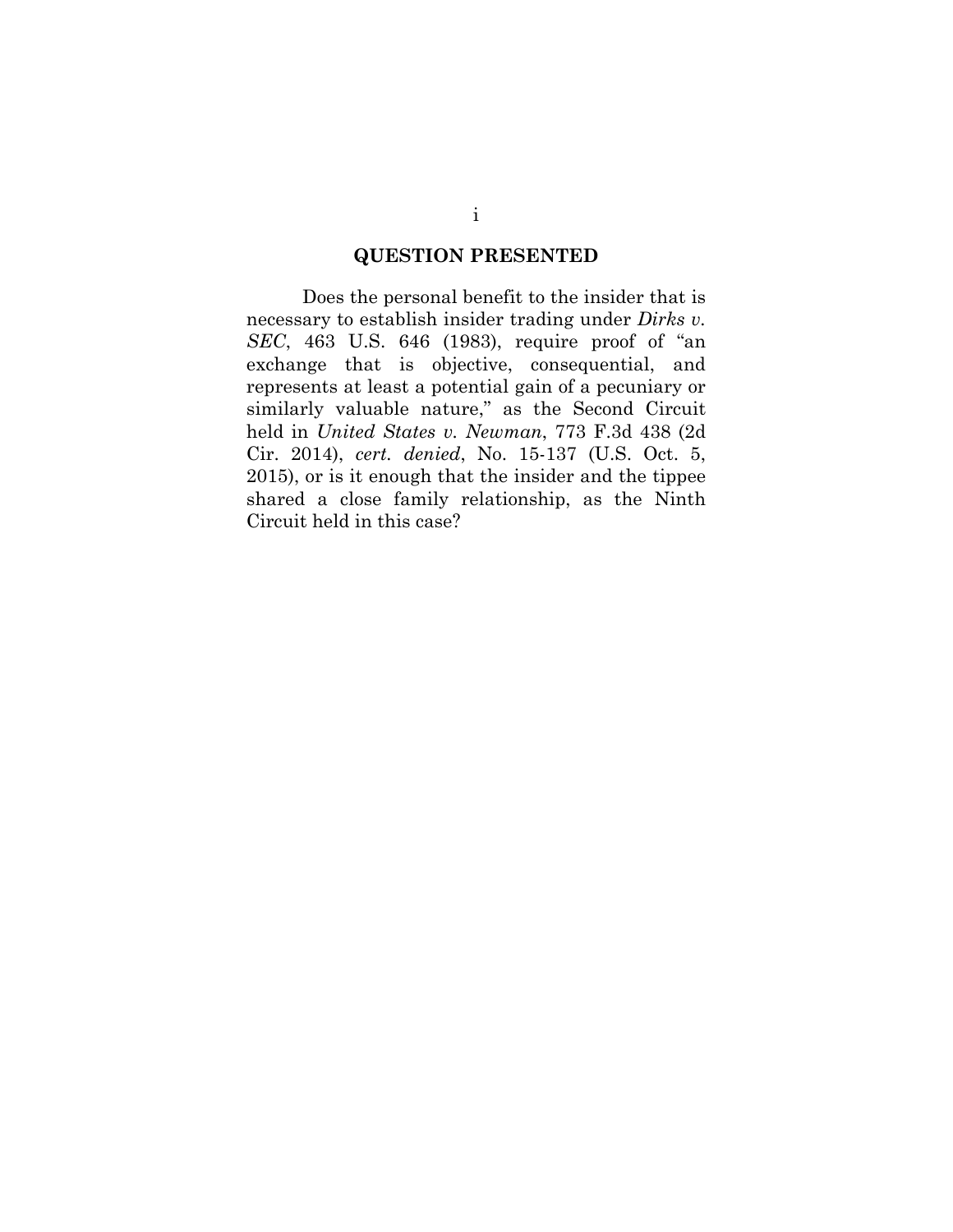#### **QUESTION PRESENTED**

Does the personal benefit to the insider that is necessary to establish insider trading under *Dirks v. SEC*, 463 U.S. 646 (1983), require proof of "an exchange that is objective, consequential, and represents at least a potential gain of a pecuniary or similarly valuable nature," as the Second Circuit held in *United States v. Newman*, 773 F.3d 438 (2d Cir. 2014), *cert. denied*, No. 15-137 (U.S. Oct. 5, 2015), or is it enough that the insider and the tippee shared a close family relationship, as the Ninth Circuit held in this case?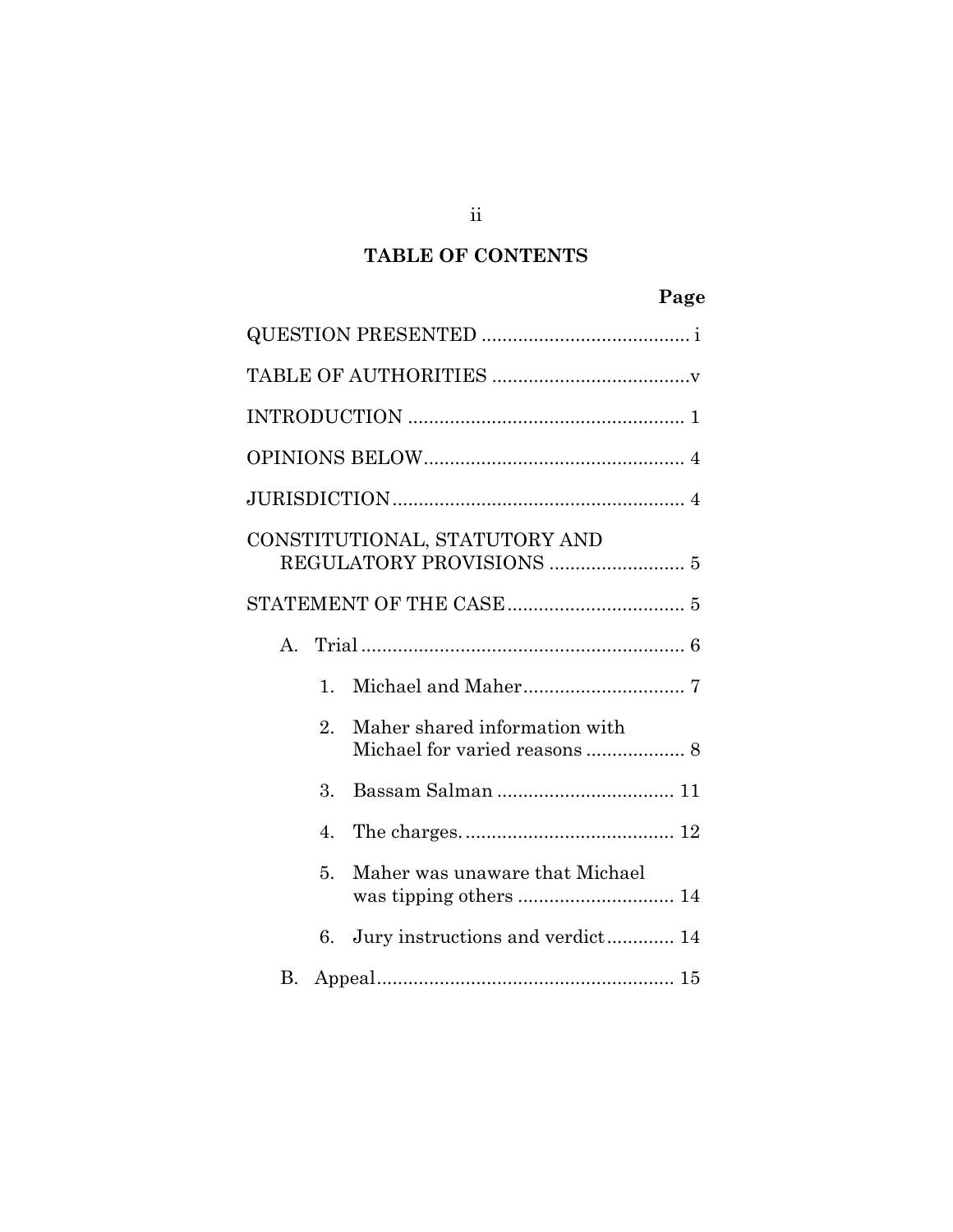### **TABLE OF CONTENTS**

### **Page**

|                  | CONSTITUTIONAL, STATUTORY AND    |
|------------------|----------------------------------|
|                  |                                  |
|                  |                                  |
| 1.               |                                  |
| $\overline{2}$ . | Maher shared information with    |
| $\Omega$ .       |                                  |
| $\overline{4}$   |                                  |
| 5.               | Maher was unaware that Michael   |
| 6.               | Jury instructions and verdict 14 |
| В.               |                                  |

ii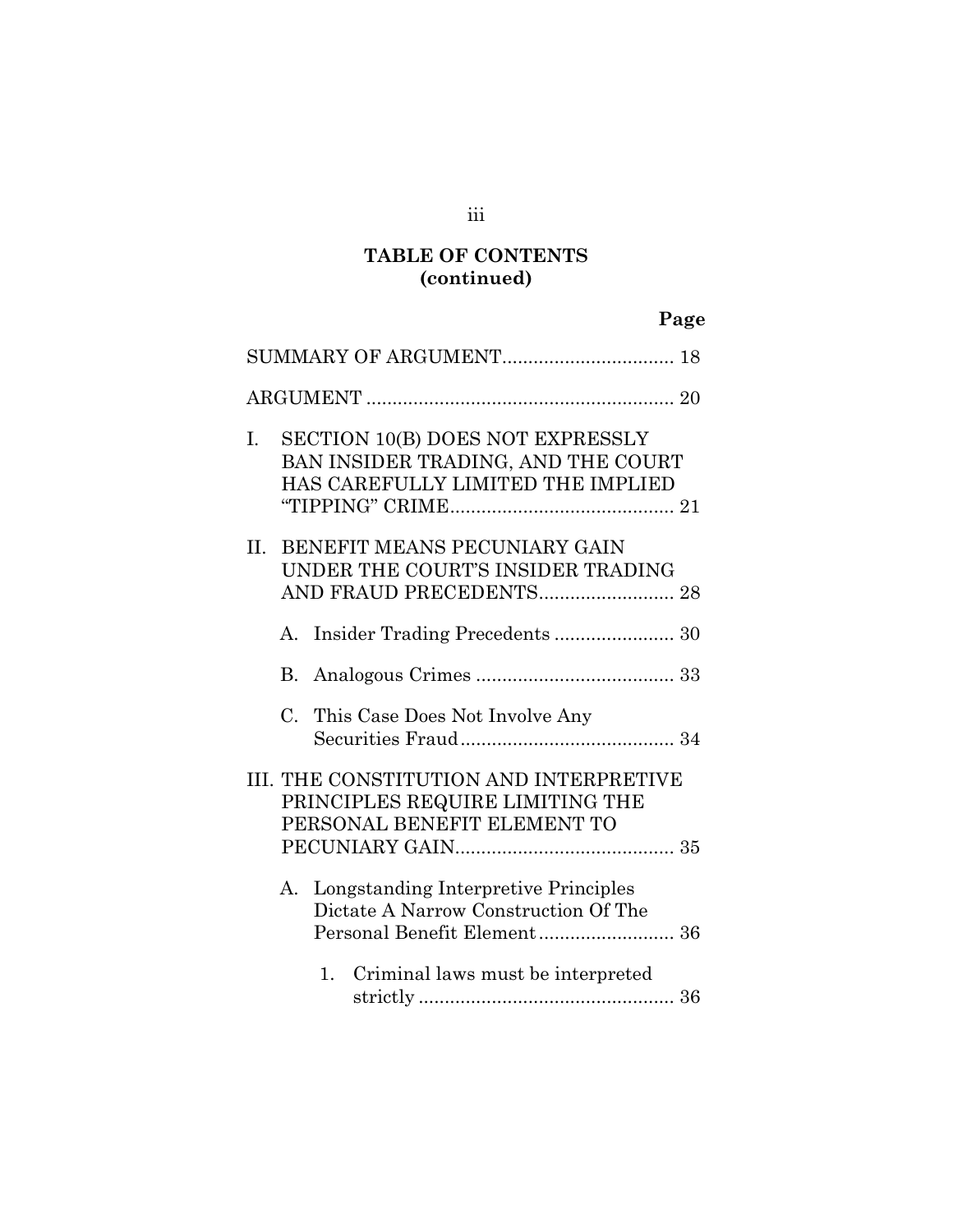### **TABLE OF CONTENTS (continued)**

|  |  | Page |
|--|--|------|
|  |  |      |

| I.  | <b>SECTION 10(B) DOES NOT EXPRESSLY</b><br>BAN INSIDER TRADING, AND THE COURT<br>HAS CAREFULLY LIMITED THE IMPLIED |
|-----|--------------------------------------------------------------------------------------------------------------------|
| II. | BENEFIT MEANS PECUNIARY GAIN<br>UNDER THE COURT'S INSIDER TRADING                                                  |
|     | A.                                                                                                                 |
|     |                                                                                                                    |
|     | C. This Case Does Not Involve Any                                                                                  |
|     | III. THE CONSTITUTION AND INTERPRETIVE<br>PRINCIPLES REQUIRE LIMITING THE<br>PERSONAL BENEFIT ELEMENT TO           |
|     | Longstanding Interpretive Principles<br>А.<br>Dictate A Narrow Construction Of The<br>Personal Benefit Element 36  |
|     | Criminal laws must be interpreted<br>1.                                                                            |

iii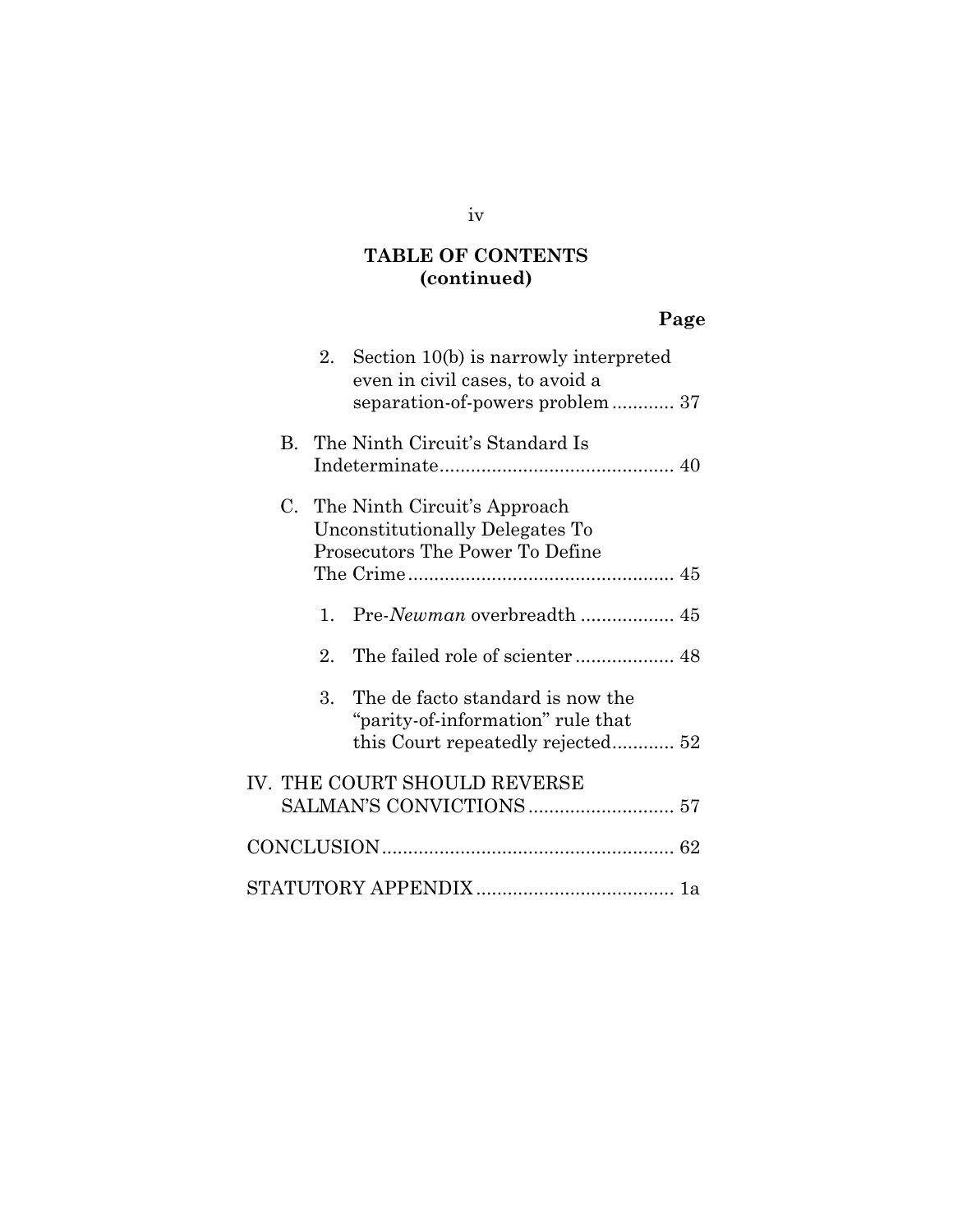### **TABLE OF CONTENTS (continued)**

# **Page**

|    | 2.          | Section 10(b) is narrowly interpreted<br>even in civil cases, to avoid a<br>separation-of-powers problem 37 |  |
|----|-------------|-------------------------------------------------------------------------------------------------------------|--|
| B. |             | The Ninth Circuit's Standard Is                                                                             |  |
| C. |             | The Ninth Circuit's Approach<br>Unconstitutionally Delegates To<br>Prosecutors The Power To Define          |  |
|    |             |                                                                                                             |  |
|    | 1.          |                                                                                                             |  |
|    | $2^{\circ}$ |                                                                                                             |  |
|    | 3.          | The de facto standard is now the<br>"parity-of-information" rule that                                       |  |
|    |             | IV. THE COURT SHOULD REVERSE                                                                                |  |
|    |             |                                                                                                             |  |
|    |             |                                                                                                             |  |

#### iv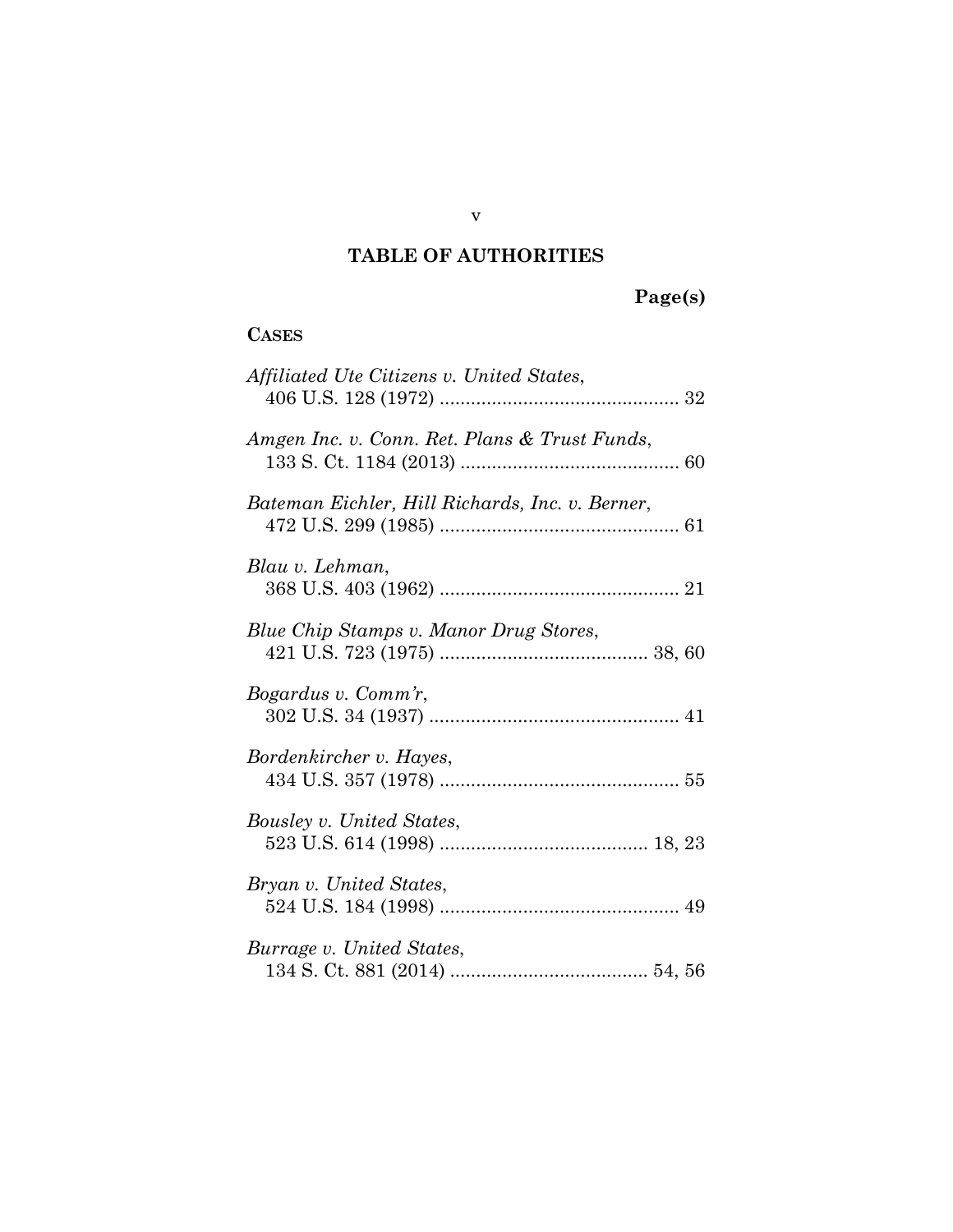### **TABLE OF AUTHORITIES**

## **Page(s)**

#### **CASES**

| Affiliated Ute Citizens v. United States,       |
|-------------------------------------------------|
| Amgen Inc. v. Conn. Ret. Plans & Trust Funds,   |
| Bateman Eichler, Hill Richards, Inc. v. Berner, |
| Blau v. Lehman,                                 |
| Blue Chip Stamps v. Manor Drug Stores,          |
| Bogardus v. Comm'r,                             |
| Bordenkircher v. Hayes,                         |
| Bousley v. United States,                       |
| Bryan v. United States,                         |
| Burrage v. United States,                       |

v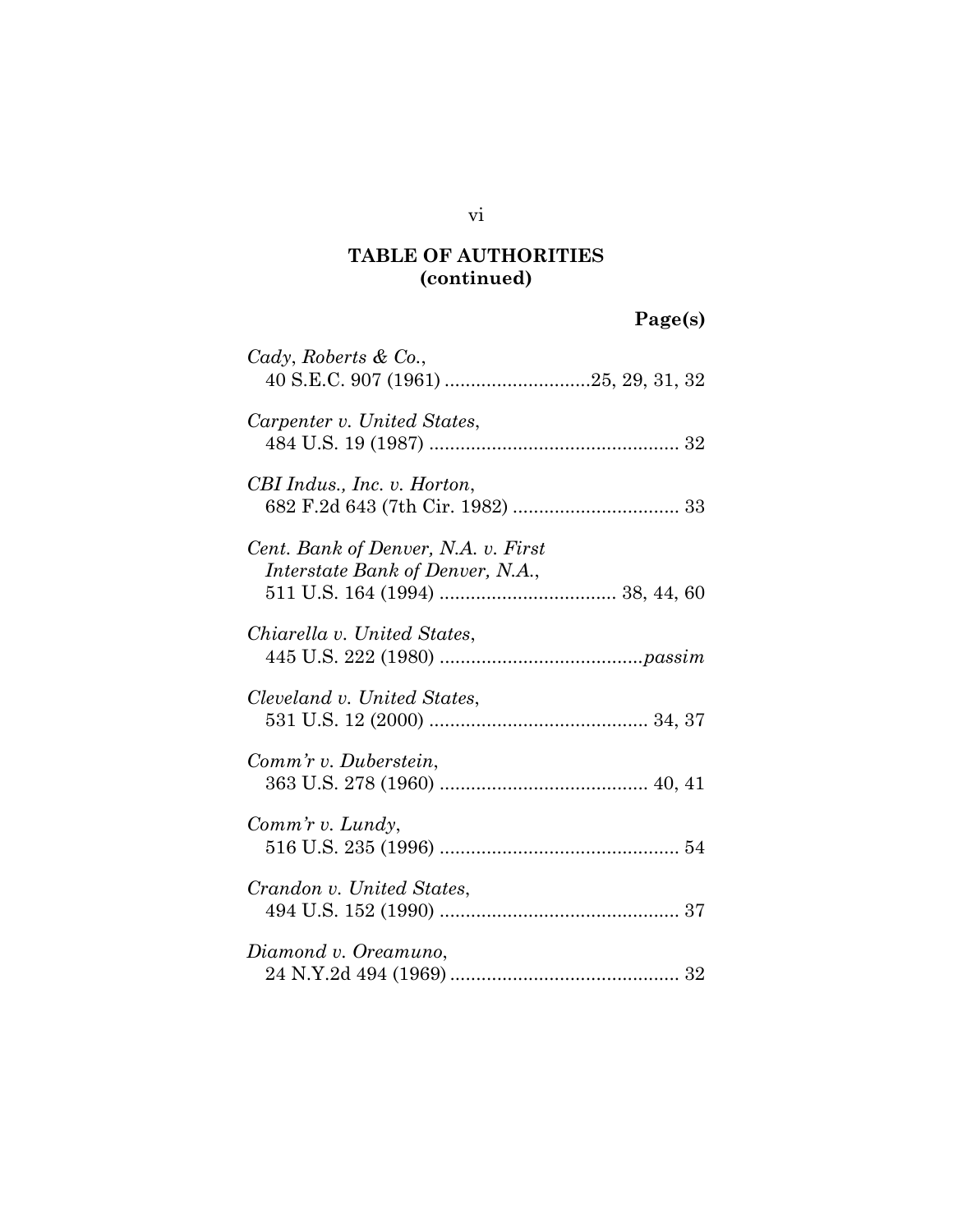# **Page(s)**

| Cady, Roberts & Co.,                                                    |
|-------------------------------------------------------------------------|
| Carpenter v. United States,                                             |
| CBI Indus., Inc. v. Horton,                                             |
| Cent. Bank of Denver, N.A. v. First<br>Interstate Bank of Denver, N.A., |
| Chiarella v. United States,                                             |
| Cleveland v. United States,                                             |
| Comm'r v. Duberstein,                                                   |
| Comm'r v. Lundy,                                                        |
| Crandon v. United States,                                               |
| Diamond v. Oreamuno,                                                    |

#### vi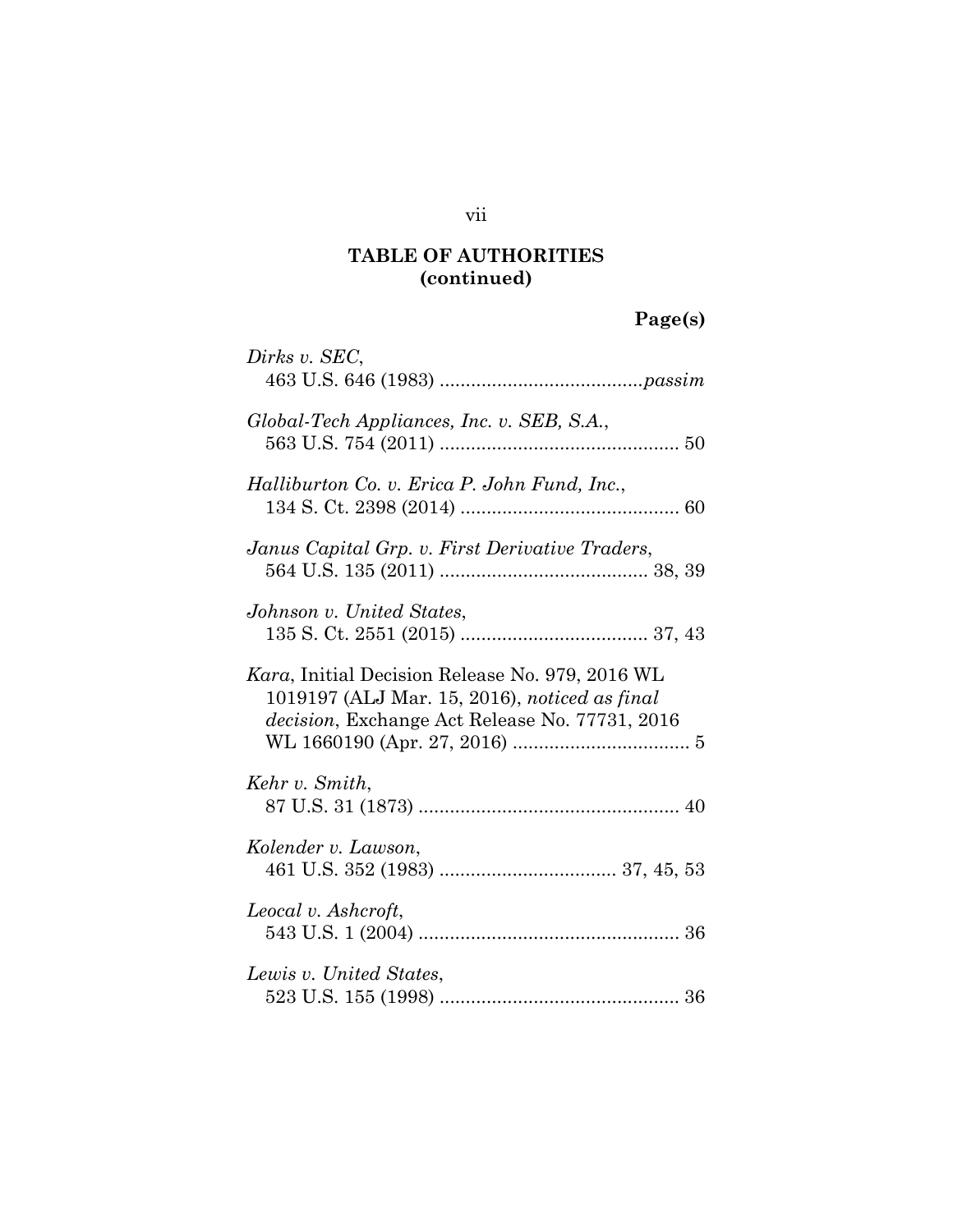# **Page(s)**

| Dirks v. SEC,                                                                                                                                      |
|----------------------------------------------------------------------------------------------------------------------------------------------------|
| Global-Tech Appliances, Inc. v. SEB, S.A.,                                                                                                         |
| Halliburton Co. v. Erica P. John Fund, Inc.,                                                                                                       |
| Janus Capital Grp. v. First Derivative Traders,                                                                                                    |
| Johnson v. United States,                                                                                                                          |
| Kara, Initial Decision Release No. 979, 2016 WL<br>1019197 (ALJ Mar. 15, 2016), noticed as final<br>decision, Exchange Act Release No. 77731, 2016 |
| Kehr v. Smith,                                                                                                                                     |
| Kolender v. Lawson,                                                                                                                                |
| Leocal v. Ashcroft,                                                                                                                                |
| Lewis v. United States,                                                                                                                            |

vii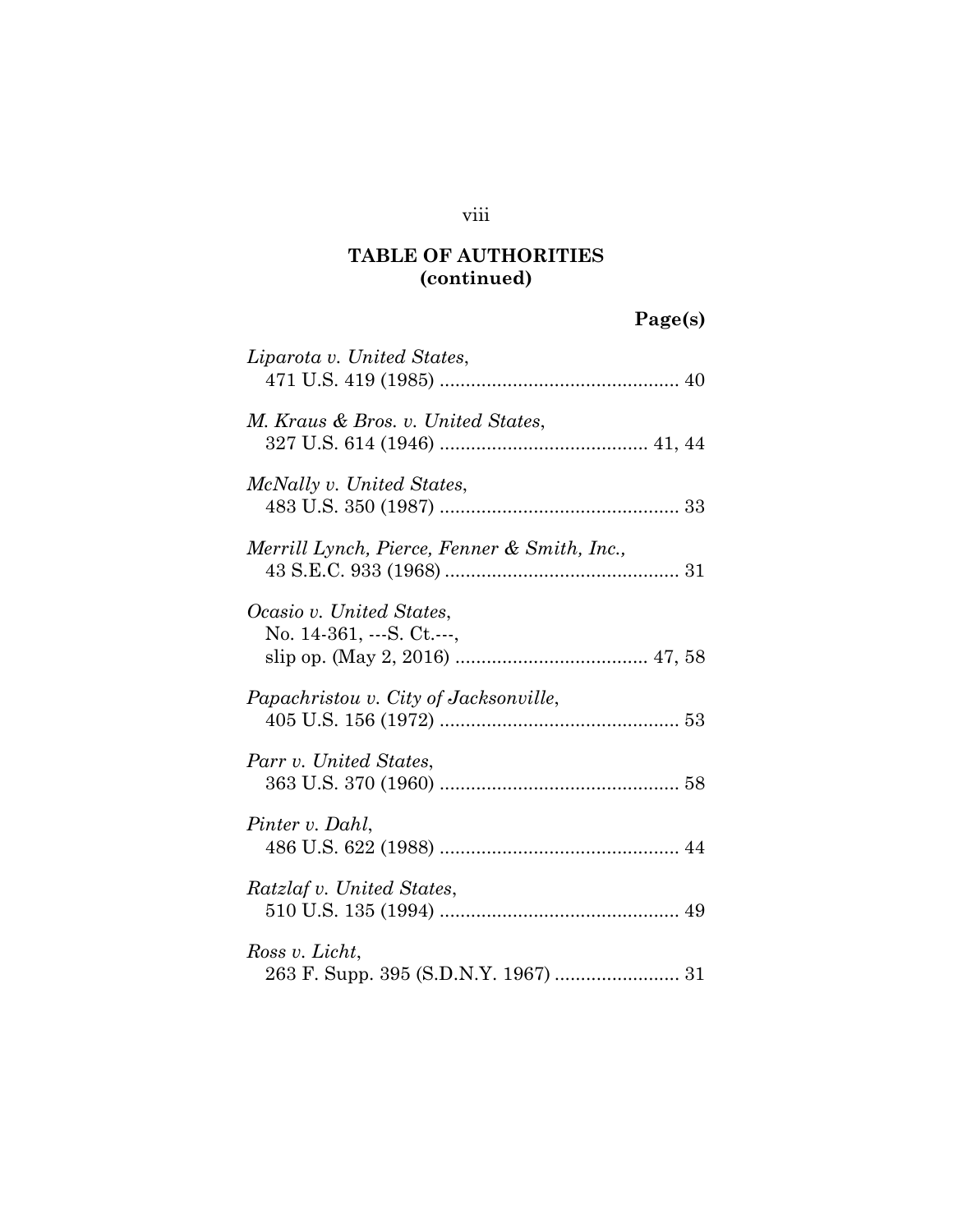#### viii

### **TABLE OF AUTHORITIES (continued)**

# **Page(s)**

| Liparota v. United States,                                          |
|---------------------------------------------------------------------|
| M. Kraus & Bros. v. United States,                                  |
| McNally v. United States,                                           |
| Merrill Lynch, Pierce, Fenner & Smith, Inc.,                        |
| Ocasio v. United States,<br>No. $14-361, \ldots S$ . Ct. $\ldots$ , |
| Papachristou v. City of Jacksonville,                               |
| Parr v. United States,                                              |
| Pinter v. Dahl,                                                     |
| Ratzlaf v. United States,                                           |
| Ross v. Licht,                                                      |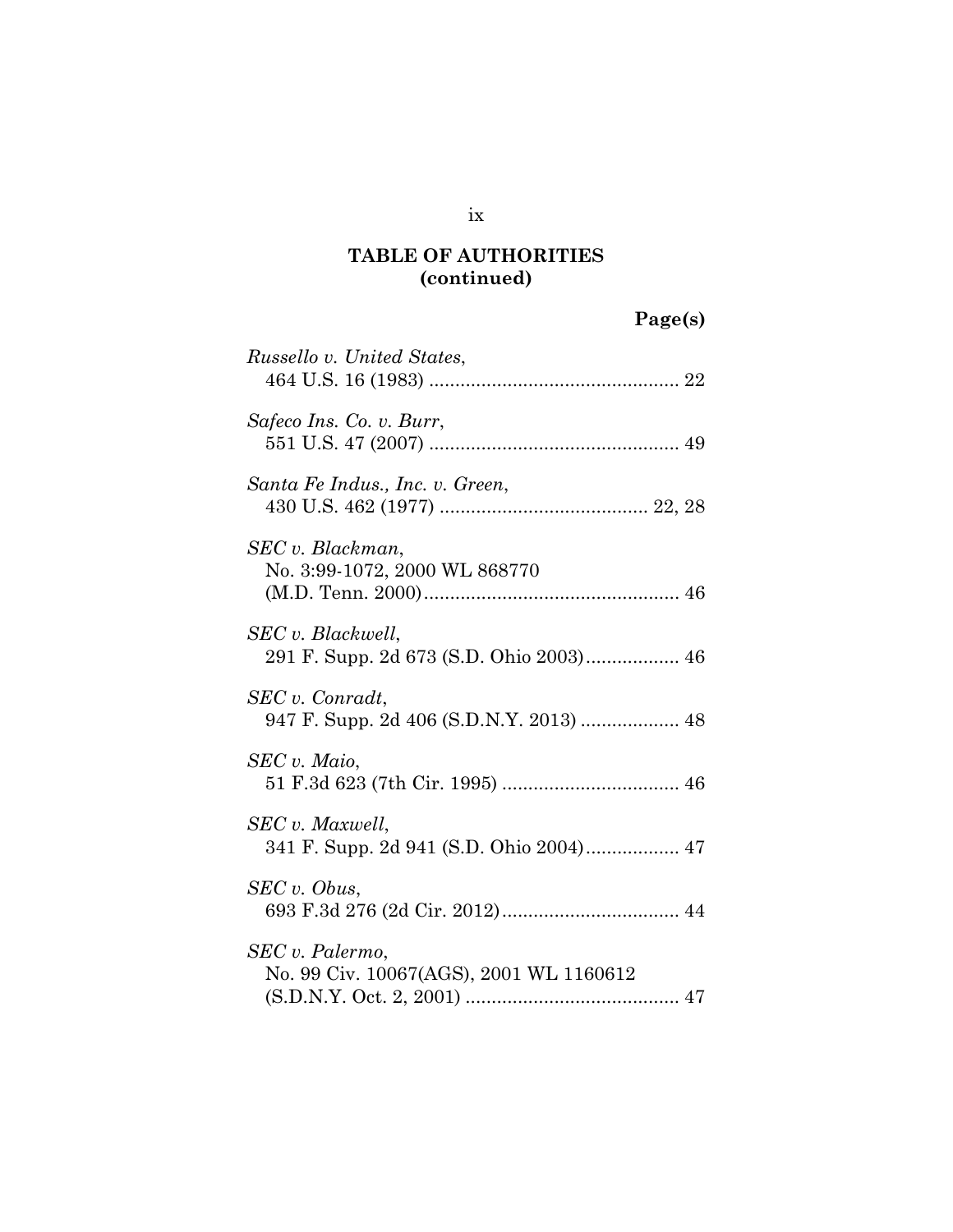# **Page(s)**

| Russello v. United States,                                 |
|------------------------------------------------------------|
| Safeco Ins. Co. v. Burr,                                   |
| Santa Fe Indus., Inc. v. Green,                            |
| SEC v. Blackman,<br>No. 3:99-1072, 2000 WL 868770          |
| SEC v. Blackwell,                                          |
| SEC v. Conradt,<br>947 F. Supp. 2d 406 (S.D.N.Y. 2013)  48 |
| SEC v. Maio,                                               |
| SEC v. Maxwell,                                            |
| SEC v. Obus,                                               |
| SEC v. Palermo,<br>No. 99 Civ. 10067(AGS), 2001 WL 1160612 |

ix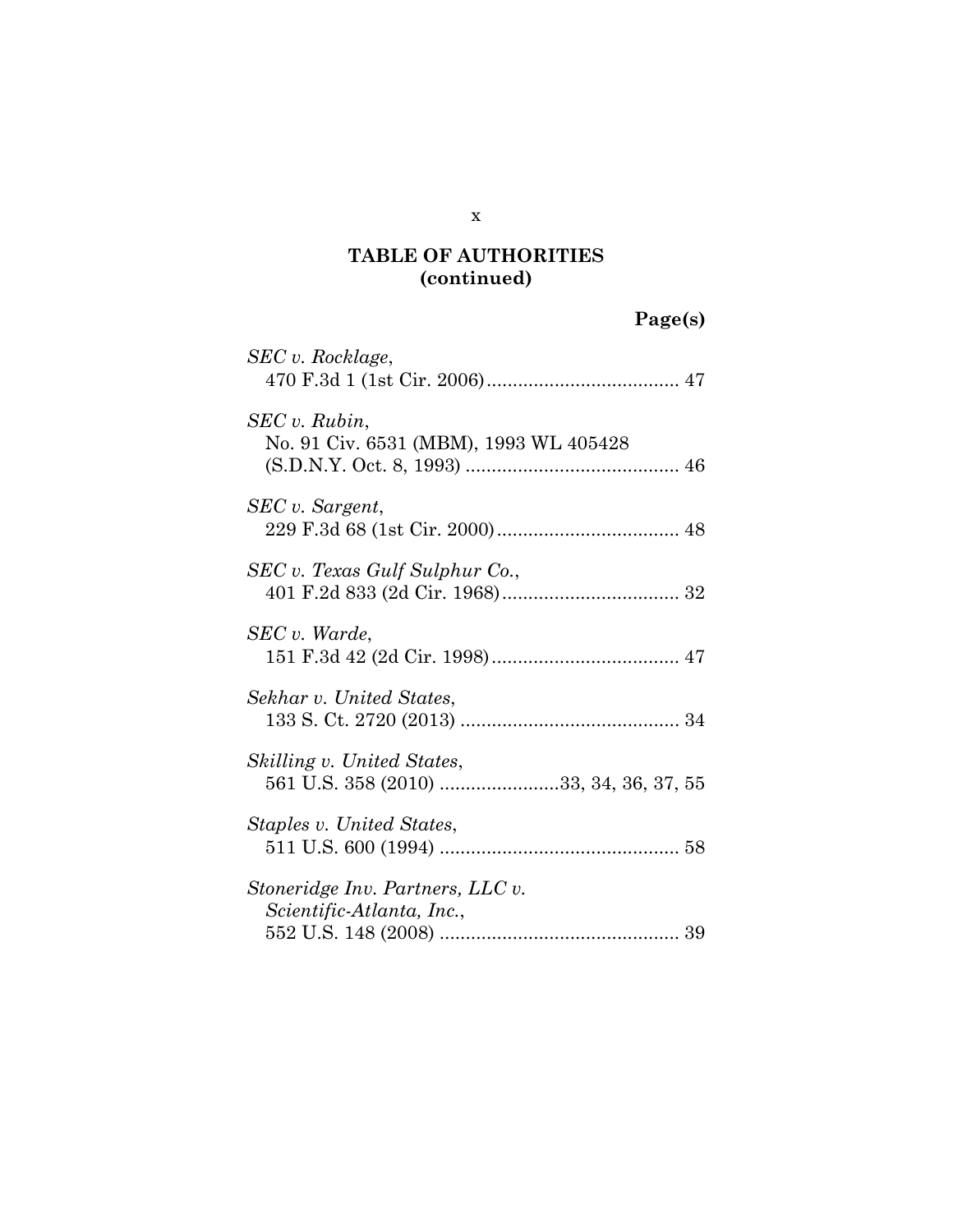# **Page(s)**

| SEC v. Rocklage,                                                     |
|----------------------------------------------------------------------|
| SEC v. Rubin,<br>No. 91 Civ. 6531 (MBM), 1993 WL 405428              |
| SEC v. Sargent,                                                      |
| SEC v. Texas Gulf Sulphur Co.,                                       |
| SEC v. Warde.                                                        |
| Sekhar v. United States.                                             |
| Skilling v. United States,<br>561 U.S. 358 (2010) 33, 34, 36, 37, 55 |
| Staples v. United States,                                            |
| Stoneridge Inv. Partners, LLC v.<br>Scientific-Atlanta, Inc.,        |

x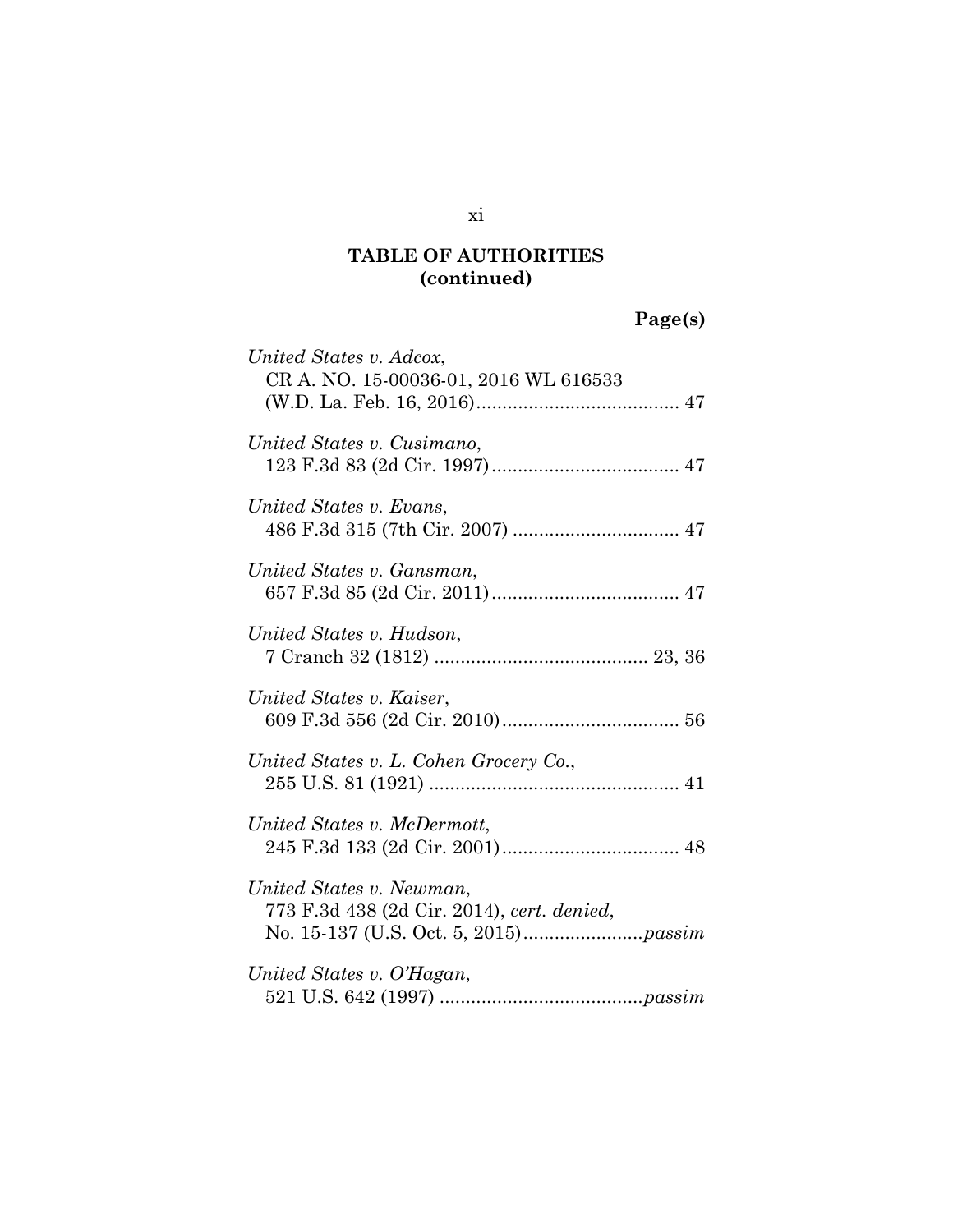# **Page(s)**

| United States v. Adcox,<br>CR A. NO. 15-00036-01, 2016 WL 616533       |
|------------------------------------------------------------------------|
| United States v. Cusimano,                                             |
| United States v. Evans,                                                |
| United States v. Gansman,                                              |
| United States v. Hudson,                                               |
| United States v. Kaiser,                                               |
| United States v. L. Cohen Grocery Co.,                                 |
| United States v. McDermott,                                            |
| United States v. Newman,<br>773 F.3d 438 (2d Cir. 2014), cert. denied, |
| United States v. O'Hagan,                                              |

xi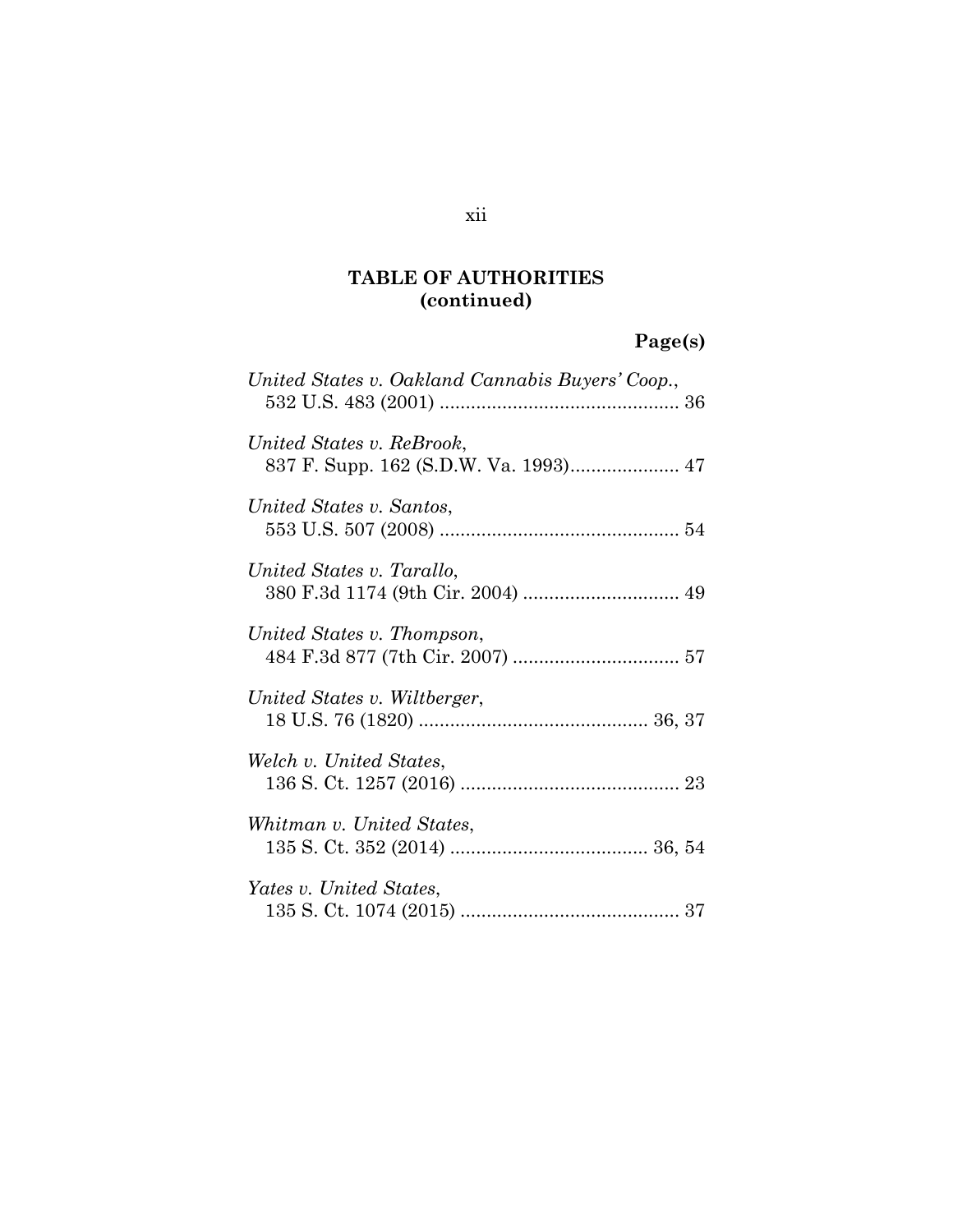## **Page(s)**

| United States v. Oakland Cannabis Buyers' Coop., |
|--------------------------------------------------|
| United States v. ReBrook,                        |
| United States v. Santos,                         |
| United States v. Tarallo,                        |
| United States v. Thompson,                       |
| United States v. Wiltberger,                     |
| Welch v. United States,                          |
| Whitman v. United States,                        |
| Yates v. United States,                          |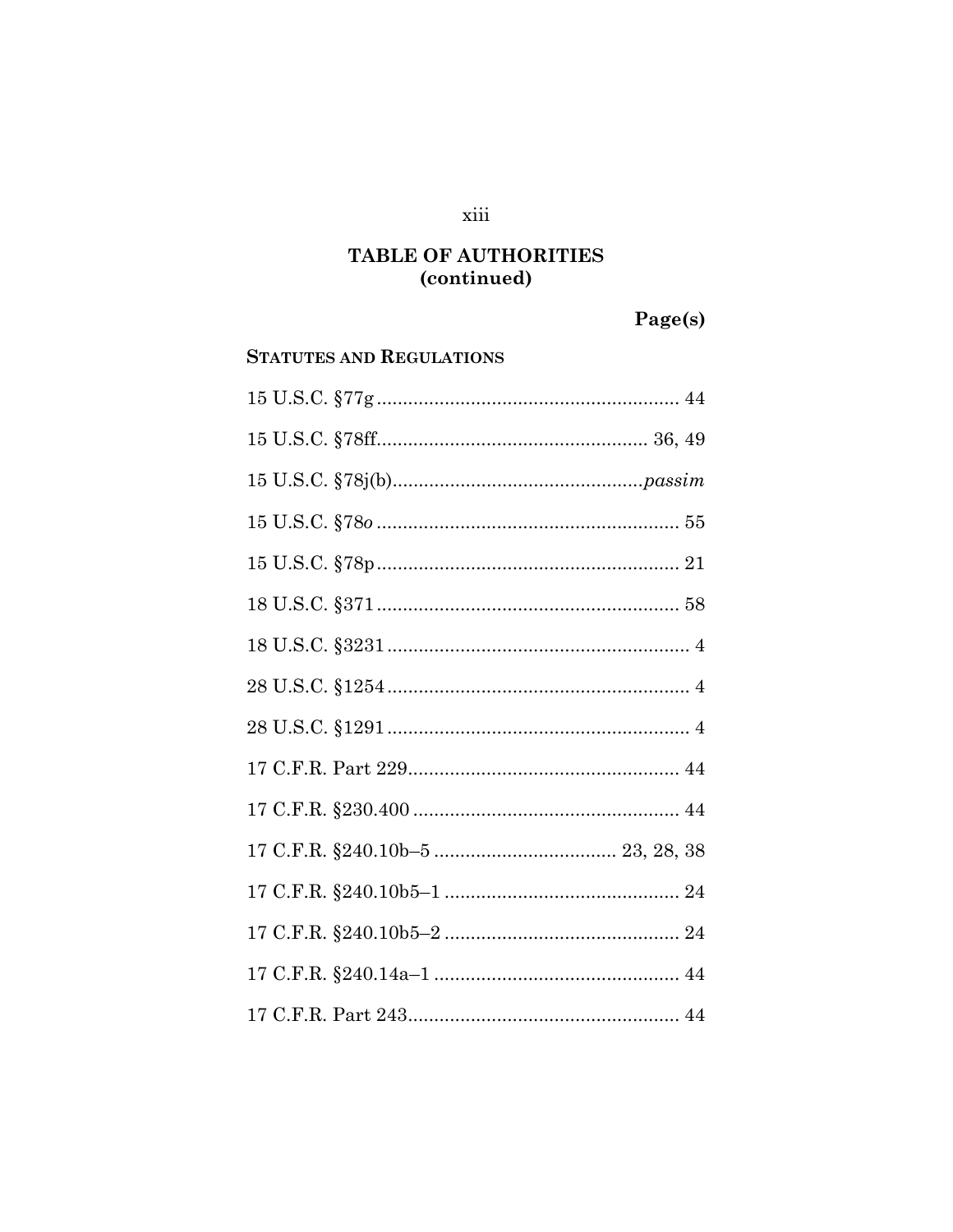#### xiii

### TABLE OF AUTHORITIES (continued)

# Page(s)

#### **STATUTES AND REGULATIONS**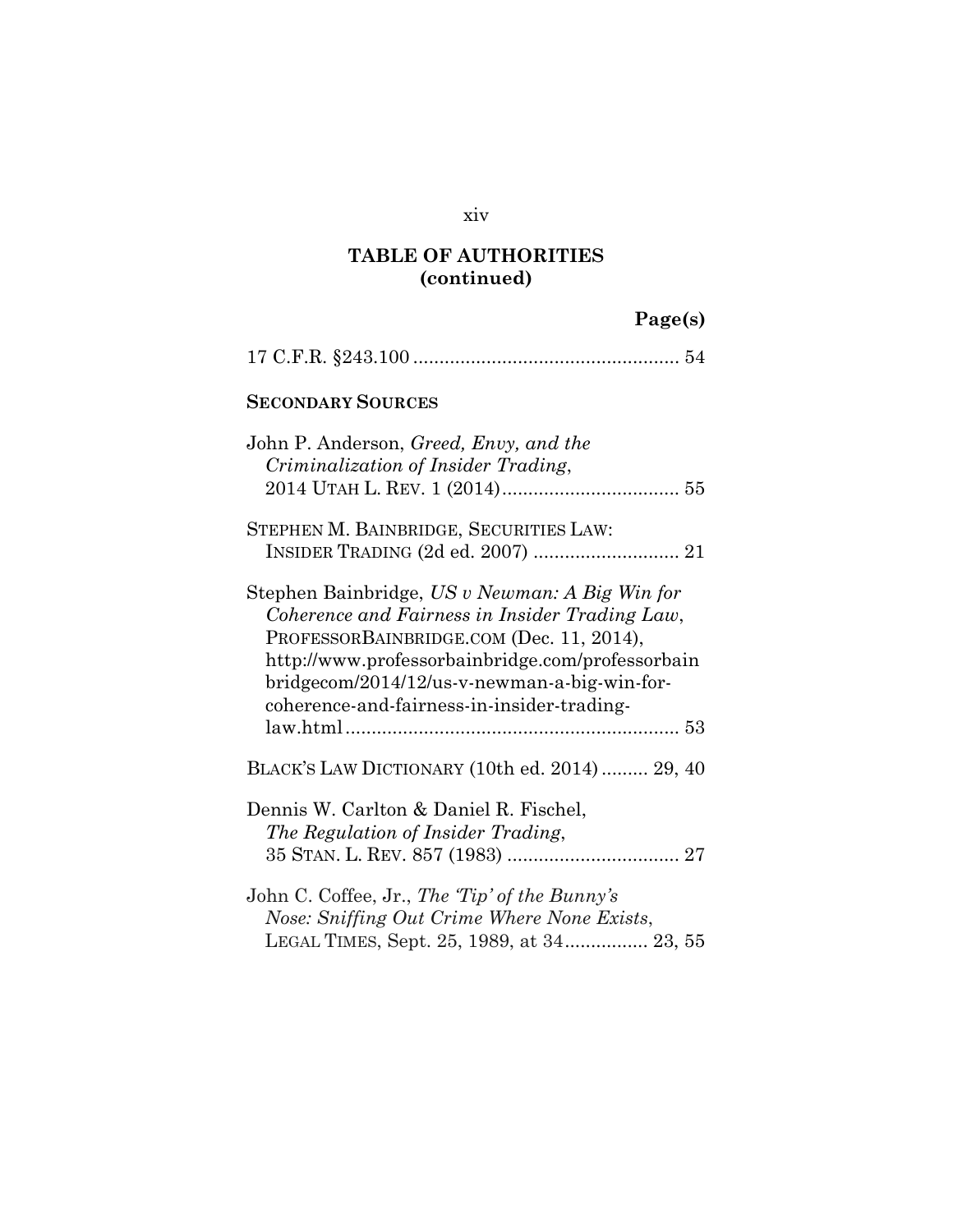#### xiv

### **TABLE OF AUTHORITIES (continued)**

# **Page(s)**

| <b>SECONDARY SOURCES</b>                                                                                                                                                                                                                                                                       |
|------------------------------------------------------------------------------------------------------------------------------------------------------------------------------------------------------------------------------------------------------------------------------------------------|
| John P. Anderson, <i>Greed</i> , <i>Envy</i> , and the<br>Criminalization of Insider Trading,                                                                                                                                                                                                  |
| STEPHEN M. BAINBRIDGE, SECURITIES LAW:                                                                                                                                                                                                                                                         |
| Stephen Bainbridge, US v Newman: A Big Win for<br>Coherence and Fairness in Insider Trading Law,<br>PROFESSORBAINBRIDGE.COM (Dec. 11, 2014),<br>http://www.professorbainbridge.com/professorbain<br>bridgecom/2014/12/us-v-newman-a-big-win-for-<br>coherence-and-fairness-in-insider-trading- |
| BLACK'S LAW DICTIONARY (10th ed. 2014) 29, 40                                                                                                                                                                                                                                                  |
| Dennis W. Carlton & Daniel R. Fischel,<br>The Regulation of Insider Trading,                                                                                                                                                                                                                   |
| John C. Coffee, Jr., The 'Tip' of the Bunny's<br>Nose: Sniffing Out Crime Where None Exists,<br>LEGAL TIMES, Sept. 25, 1989, at 34 23, 55                                                                                                                                                      |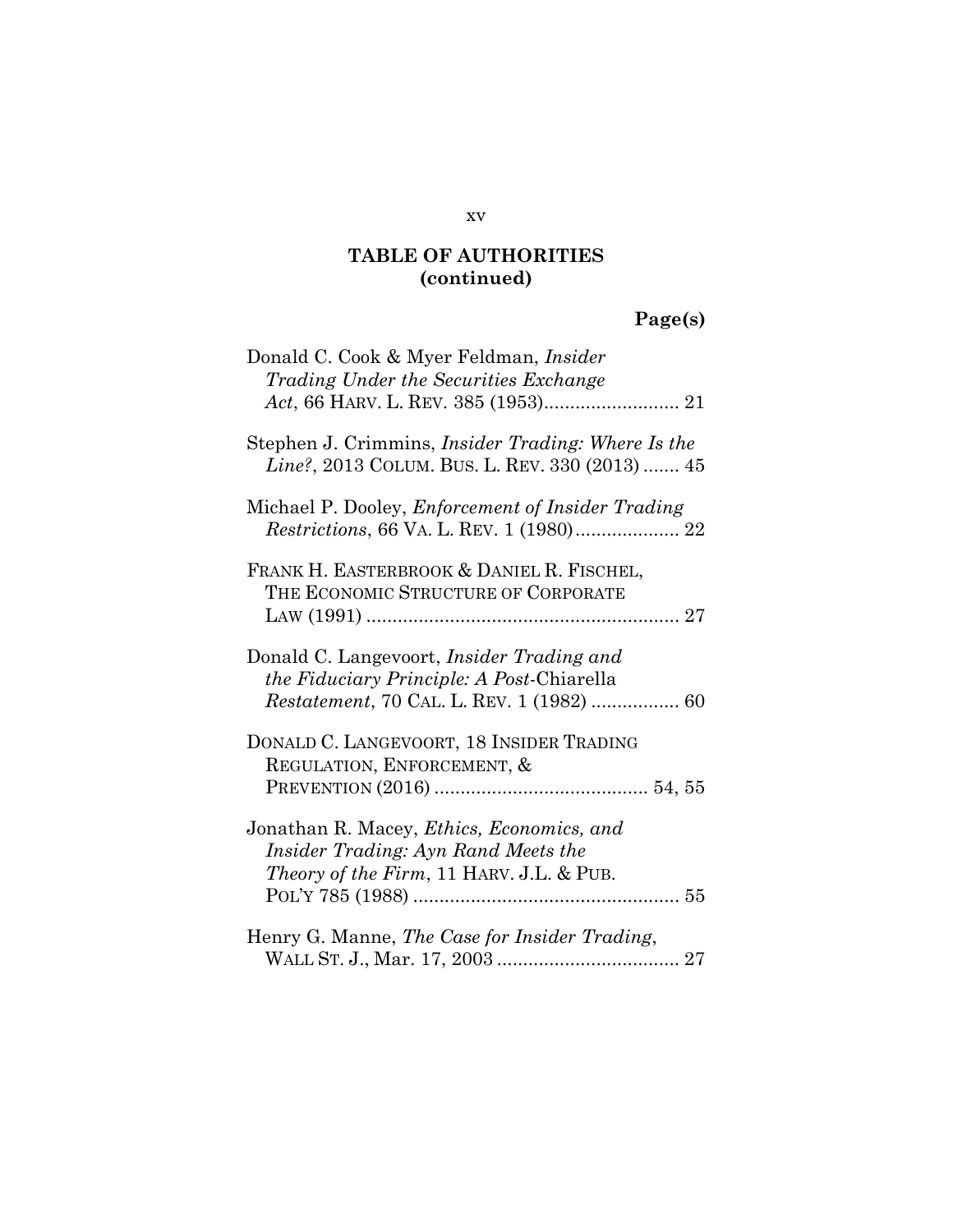# **Page(s)**

| Donald C. Cook & Myer Feldman, <i>Insider</i><br>Trading Under the Securities Exchange                                                                    |
|-----------------------------------------------------------------------------------------------------------------------------------------------------------|
|                                                                                                                                                           |
| Stephen J. Crimmins, <i>Insider Trading: Where Is the</i><br>Line?, 2013 COLUM. BUS. L. REV. 330 (2013)  45                                               |
| Michael P. Dooley, <i>Enforcement of Insider Trading</i><br>Restrictions, 66 VA. L. REV. 1 (1980) 22                                                      |
| FRANK H. EASTERBROOK & DANIEL R. FISCHEL,<br>THE ECONOMIC STRUCTURE OF CORPORATE                                                                          |
| Donald C. Langevoort, <i>Insider Trading and</i><br><i>the Fiduciary Principle: A Post-Chiarella</i><br><i>Restatement</i> , 70 CAL. L. REV. 1 (1982)  60 |
| DONALD C. LANGEVOORT, 18 INSIDER TRADING<br>REGULATION, ENFORCEMENT, &                                                                                    |
| Jonathan R. Macey, Ethics, Economics, and<br>Insider Trading: Ayn Rand Meets the<br><i>Theory of the Firm, 11 HARV. J.L. &amp; PUB.</i>                   |
| Henry G. Manne, The Case for Insider Trading,                                                                                                             |

#### xv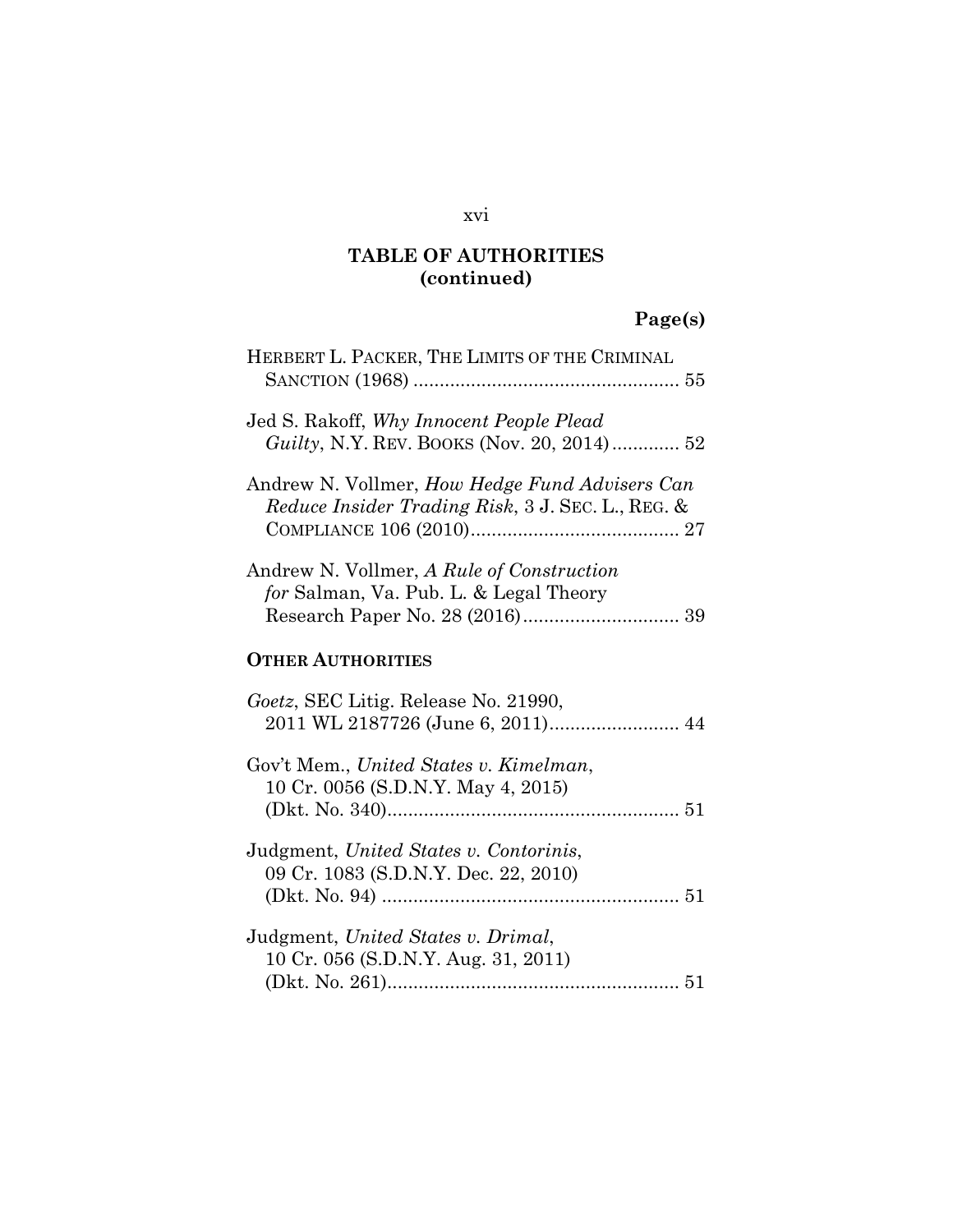# **Page(s)**

| HERBERT L. PACKER, THE LIMITS OF THE CRIMINAL                                                       |
|-----------------------------------------------------------------------------------------------------|
| Jed S. Rakoff, Why Innocent People Plead<br><i>Guilty</i> , N.Y. REV. BOOKS (Nov. 20, 2014) 52      |
| Andrew N. Vollmer, How Hedge Fund Advisers Can<br>Reduce Insider Trading Risk, 3 J. SEC. L., REG. & |
| Andrew N. Vollmer, A Rule of Construction<br>for Salman, Va. Pub. L. & Legal Theory                 |
| <b>OTHER AUTHORITIES</b>                                                                            |
| Goetz, SEC Litig. Release No. 21990,<br>2011 WL 2187726 (June 6, 2011) 44                           |
| Gov't Mem., United States v. Kimelman,<br>10 Cr. 0056 (S.D.N.Y. May 4, 2015)                        |
| Judgment, United States v. Contorinis,<br>09 Cr. 1083 (S.D.N.Y. Dec. 22, 2010)                      |
| Judgment, United States v. Drimal,<br>10 Cr. 056 (S.D.N.Y. Aug. 31, 2011)                           |

#### xvi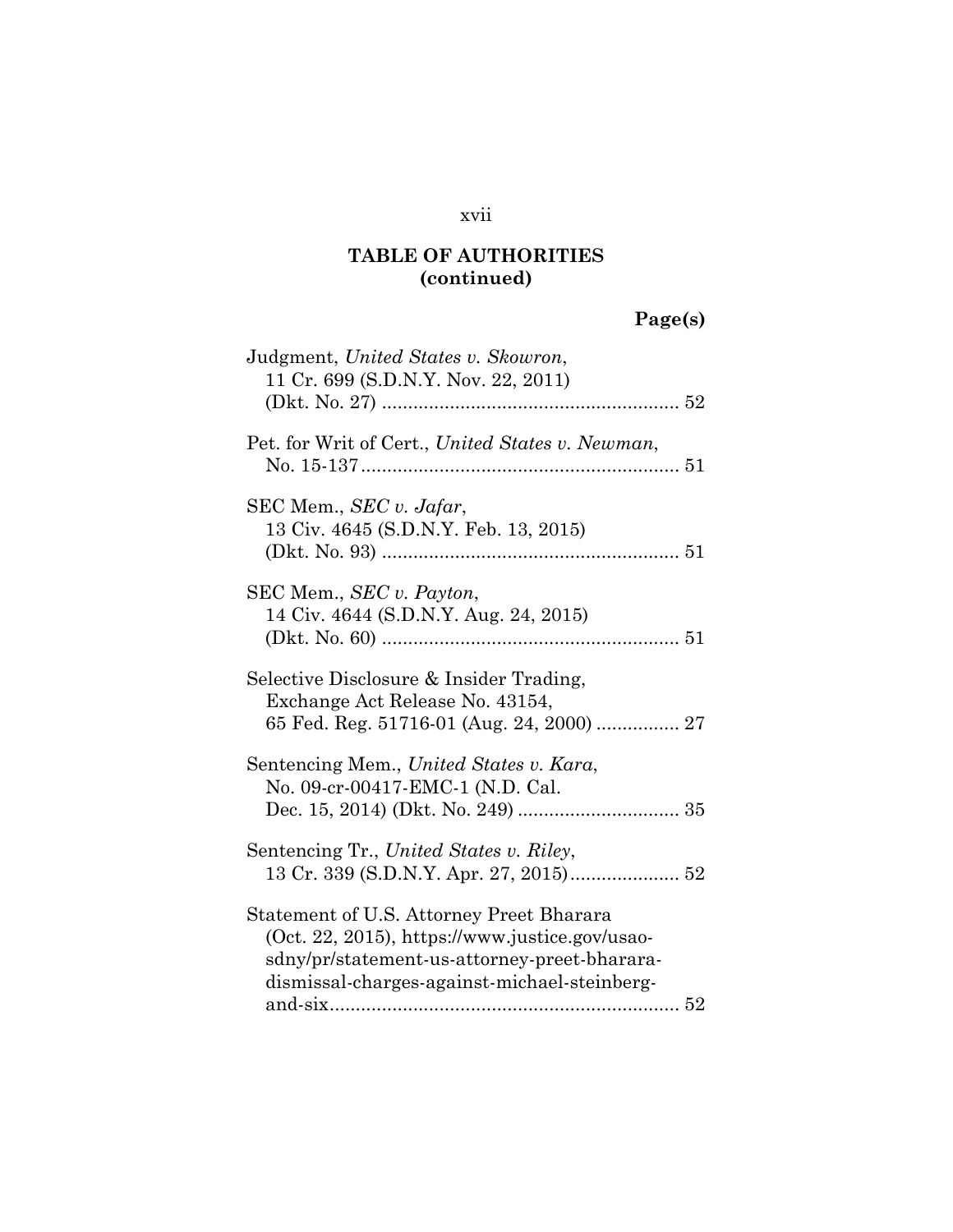#### xvii

### **TABLE OF AUTHORITIES (continued)**

# **Page(s)**

| Judgment, United States v. Skowron,                                                                                                                                                        |
|--------------------------------------------------------------------------------------------------------------------------------------------------------------------------------------------|
| 11 Cr. 699 (S.D.N.Y. Nov. 22, 2011)                                                                                                                                                        |
| Pet. for Writ of Cert., United States v. Newman,                                                                                                                                           |
| SEC Mem., SEC v. Jafar,<br>13 Civ. 4645 (S.D.N.Y. Feb. 13, 2015)                                                                                                                           |
| SEC Mem., <i>SEC v. Payton</i> ,<br>14 Civ. 4644 (S.D.N.Y. Aug. 24, 2015)                                                                                                                  |
| Selective Disclosure & Insider Trading,<br>Exchange Act Release No. 43154,                                                                                                                 |
| Sentencing Mem., United States v. Kara,<br>No. 09-cr-00417-EMC-1 (N.D. Cal.                                                                                                                |
| Sentencing Tr., United States v. Riley,                                                                                                                                                    |
| Statement of U.S. Attorney Preet Bharara<br>(Oct. 22, 2015), https://www.justice.gov/usao-<br>sdny/pr/statement-us-attorney-preet-bharara-<br>dismissal-charges-against-michael-steinberg- |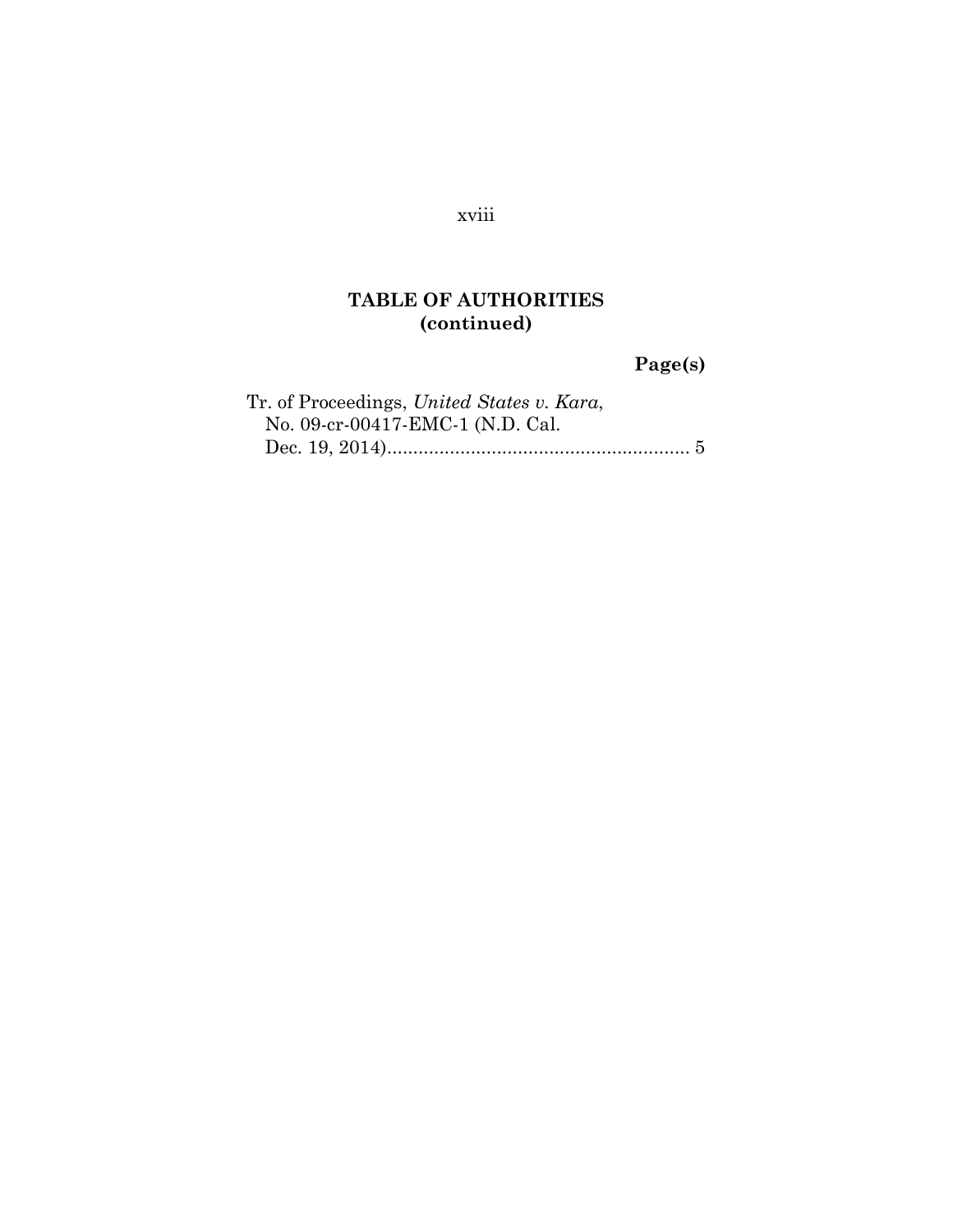#### xviii

### **TABLE OF AUTHORITIES (continued)**

 **Page(s)**

| Tr. of Proceedings, United States v. Kara, |  |
|--------------------------------------------|--|
| No. 09-cr-00417-EMC-1 (N.D. Cal.           |  |
|                                            |  |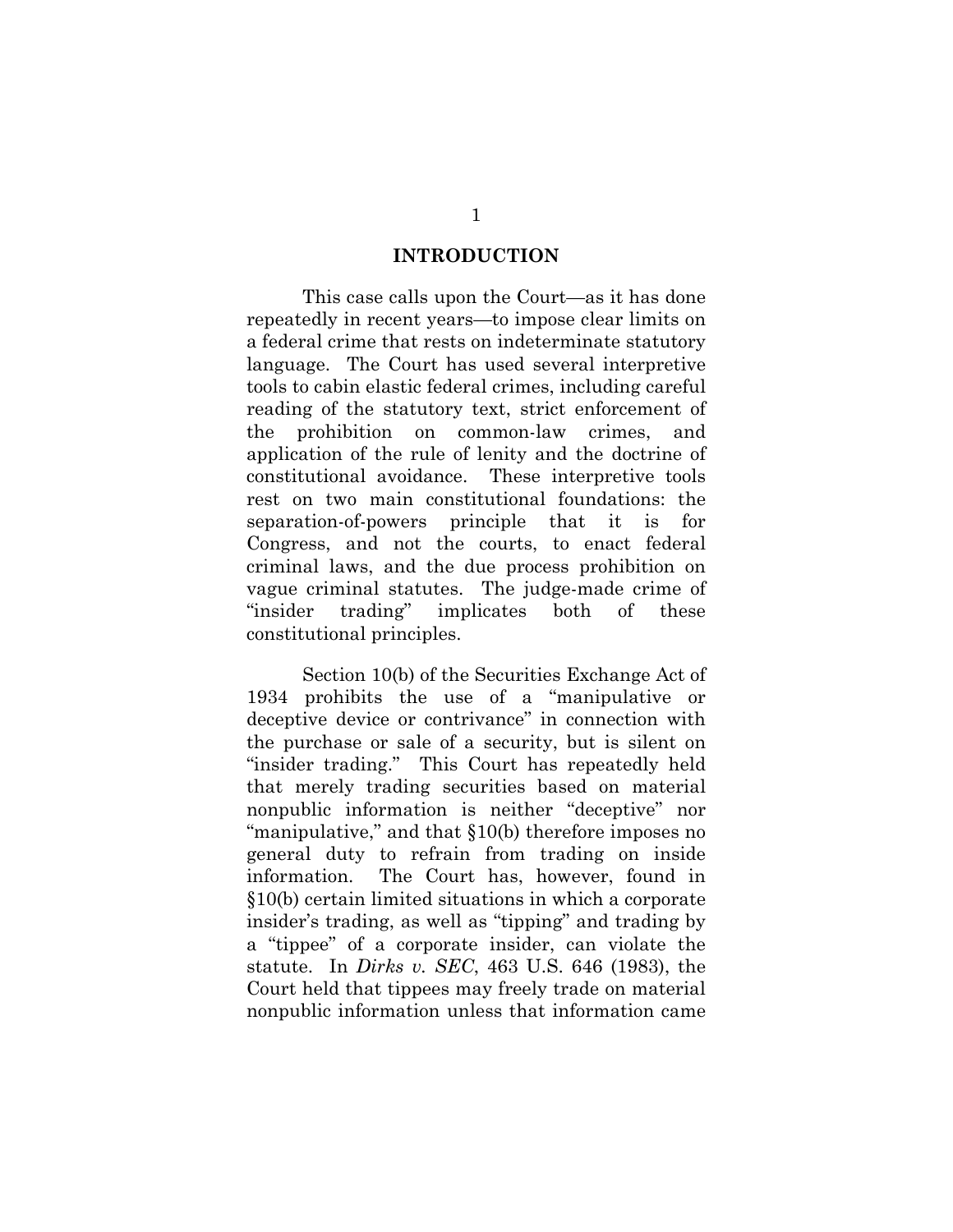#### **INTRODUCTION**

This case calls upon the Court—as it has done repeatedly in recent years—to impose clear limits on a federal crime that rests on indeterminate statutory language. The Court has used several interpretive tools to cabin elastic federal crimes, including careful reading of the statutory text, strict enforcement of the prohibition on common-law crimes, and application of the rule of lenity and the doctrine of constitutional avoidance. These interpretive tools rest on two main constitutional foundations: the separation-of-powers principle that it is for Congress, and not the courts, to enact federal criminal laws, and the due process prohibition on vague criminal statutes. The judge-made crime of "insider trading" implicates both of these constitutional principles.

Section 10(b) of the Securities Exchange Act of 1934 prohibits the use of a "manipulative or deceptive device or contrivance" in connection with the purchase or sale of a security, but is silent on "insider trading." This Court has repeatedly held that merely trading securities based on material nonpublic information is neither "deceptive" nor "manipulative," and that §10(b) therefore imposes no general duty to refrain from trading on inside information. The Court has, however, found in §10(b) certain limited situations in which a corporate insider's trading, as well as "tipping" and trading by a "tippee" of a corporate insider, can violate the statute. In *Dirks v. SEC*, 463 U.S. 646 (1983), the Court held that tippees may freely trade on material nonpublic information unless that information came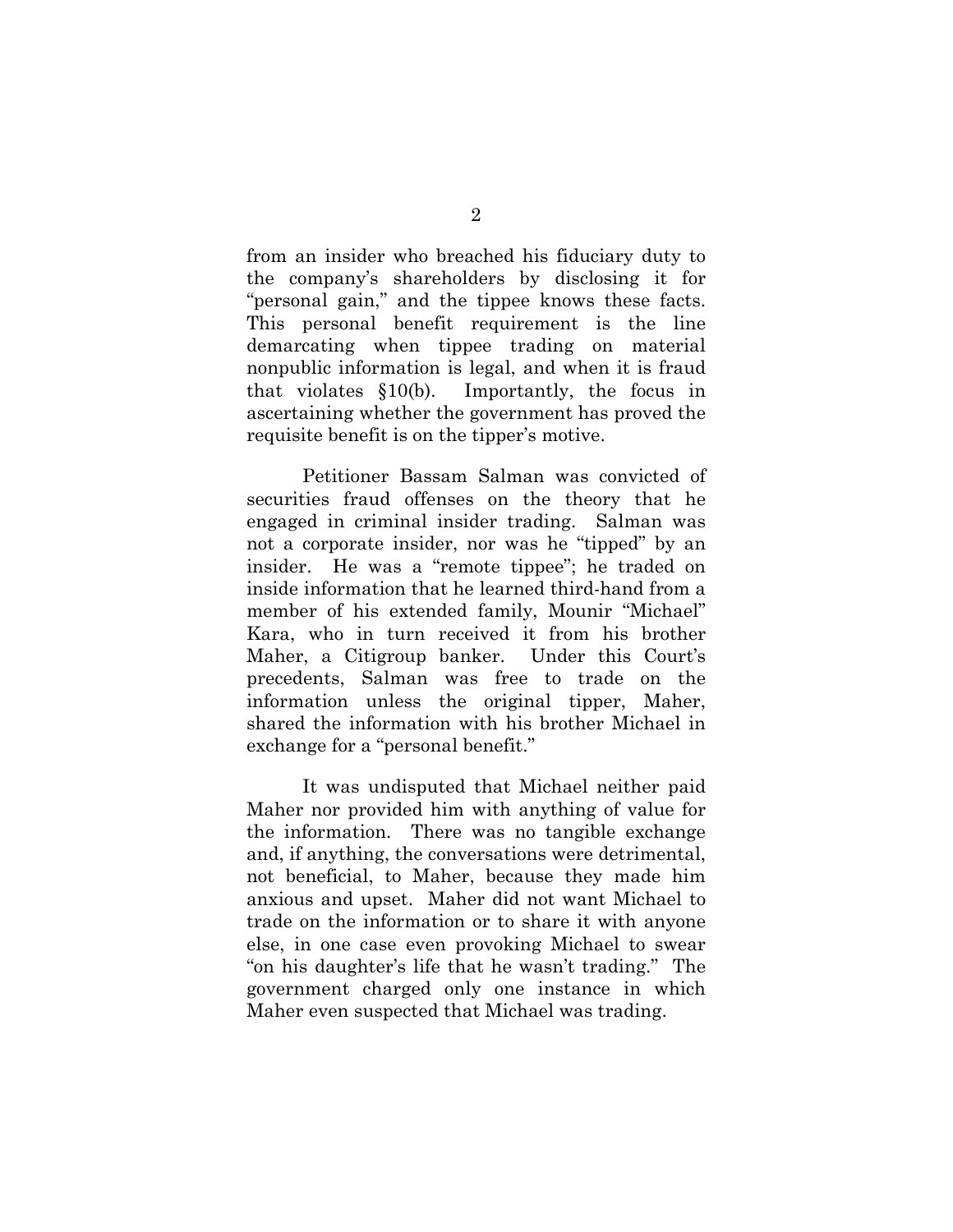from an insider who breached his fiduciary duty to the company's shareholders by disclosing it for "personal gain," and the tippee knows these facts. This personal benefit requirement is the line demarcating when tippee trading on material nonpublic information is legal, and when it is fraud that violates §10(b). Importantly, the focus in ascertaining whether the government has proved the requisite benefit is on the tipper's motive.

Petitioner Bassam Salman was convicted of securities fraud offenses on the theory that he engaged in criminal insider trading. Salman was not a corporate insider, nor was he "tipped" by an insider. He was a "remote tippee"; he traded on inside information that he learned third-hand from a member of his extended family, Mounir "Michael" Kara, who in turn received it from his brother Maher, a Citigroup banker. Under this Court's precedents, Salman was free to trade on the information unless the original tipper, Maher, shared the information with his brother Michael in exchange for a "personal benefit."

It was undisputed that Michael neither paid Maher nor provided him with anything of value for the information. There was no tangible exchange and, if anything, the conversations were detrimental, not beneficial, to Maher, because they made him anxious and upset. Maher did not want Michael to trade on the information or to share it with anyone else, in one case even provoking Michael to swear "on his daughter's life that he wasn't trading." The government charged only one instance in which Maher even suspected that Michael was trading.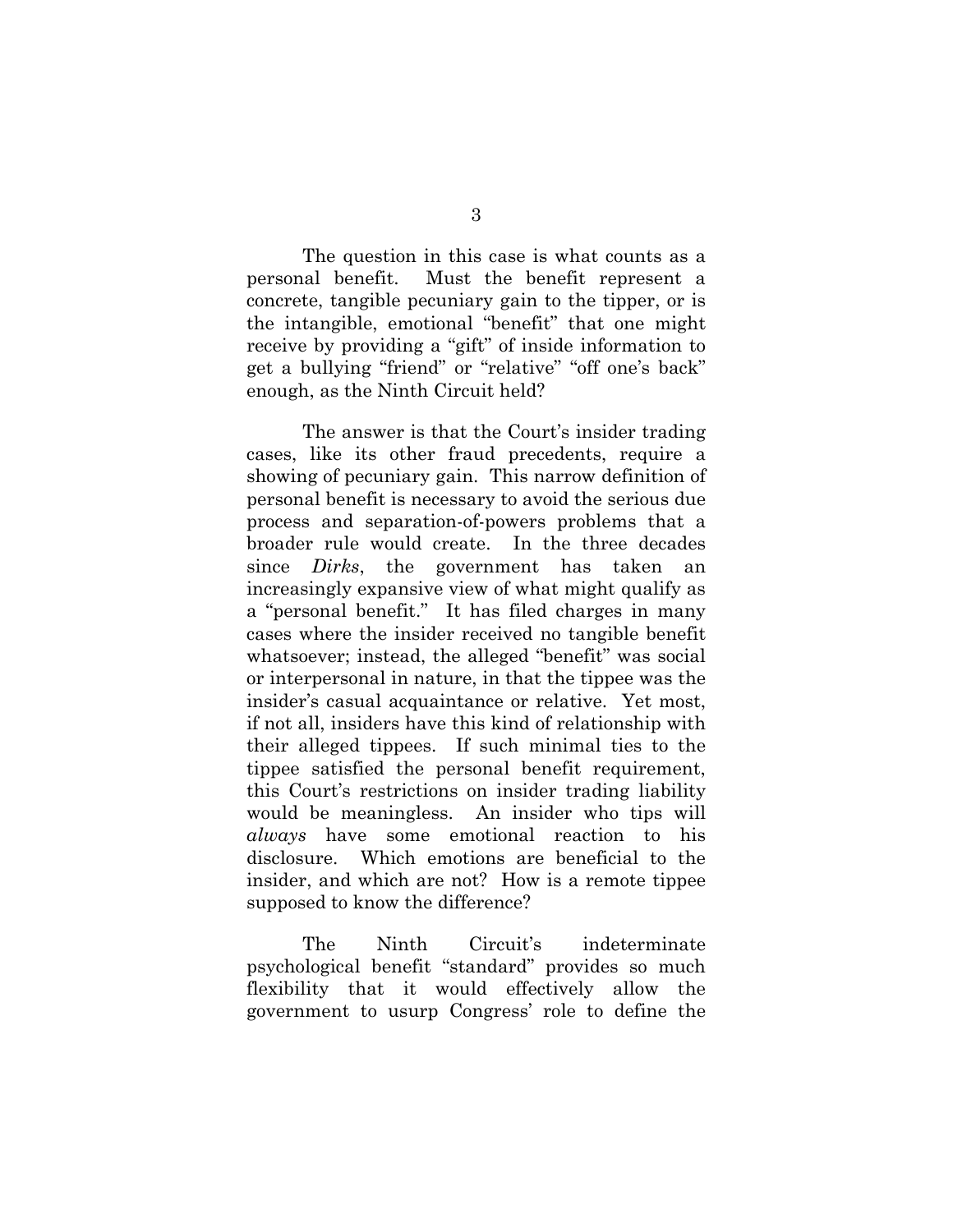The question in this case is what counts as a personal benefit. Must the benefit represent a concrete, tangible pecuniary gain to the tipper, or is the intangible, emotional "benefit" that one might receive by providing a "gift" of inside information to get a bullying "friend" or "relative" "off one's back" enough, as the Ninth Circuit held?

The answer is that the Court's insider trading cases, like its other fraud precedents, require a showing of pecuniary gain. This narrow definition of personal benefit is necessary to avoid the serious due process and separation-of-powers problems that a broader rule would create. In the three decades since *Dirks*, the government has taken an increasingly expansive view of what might qualify as a "personal benefit." It has filed charges in many cases where the insider received no tangible benefit whatsoever; instead, the alleged "benefit" was social or interpersonal in nature, in that the tippee was the insider's casual acquaintance or relative. Yet most, if not all, insiders have this kind of relationship with their alleged tippees. If such minimal ties to the tippee satisfied the personal benefit requirement, this Court's restrictions on insider trading liability would be meaningless. An insider who tips will *always* have some emotional reaction to his disclosure. Which emotions are beneficial to the insider, and which are not? How is a remote tippee supposed to know the difference?

The Ninth Circuit's indeterminate psychological benefit "standard" provides so much flexibility that it would effectively allow the government to usurp Congress' role to define the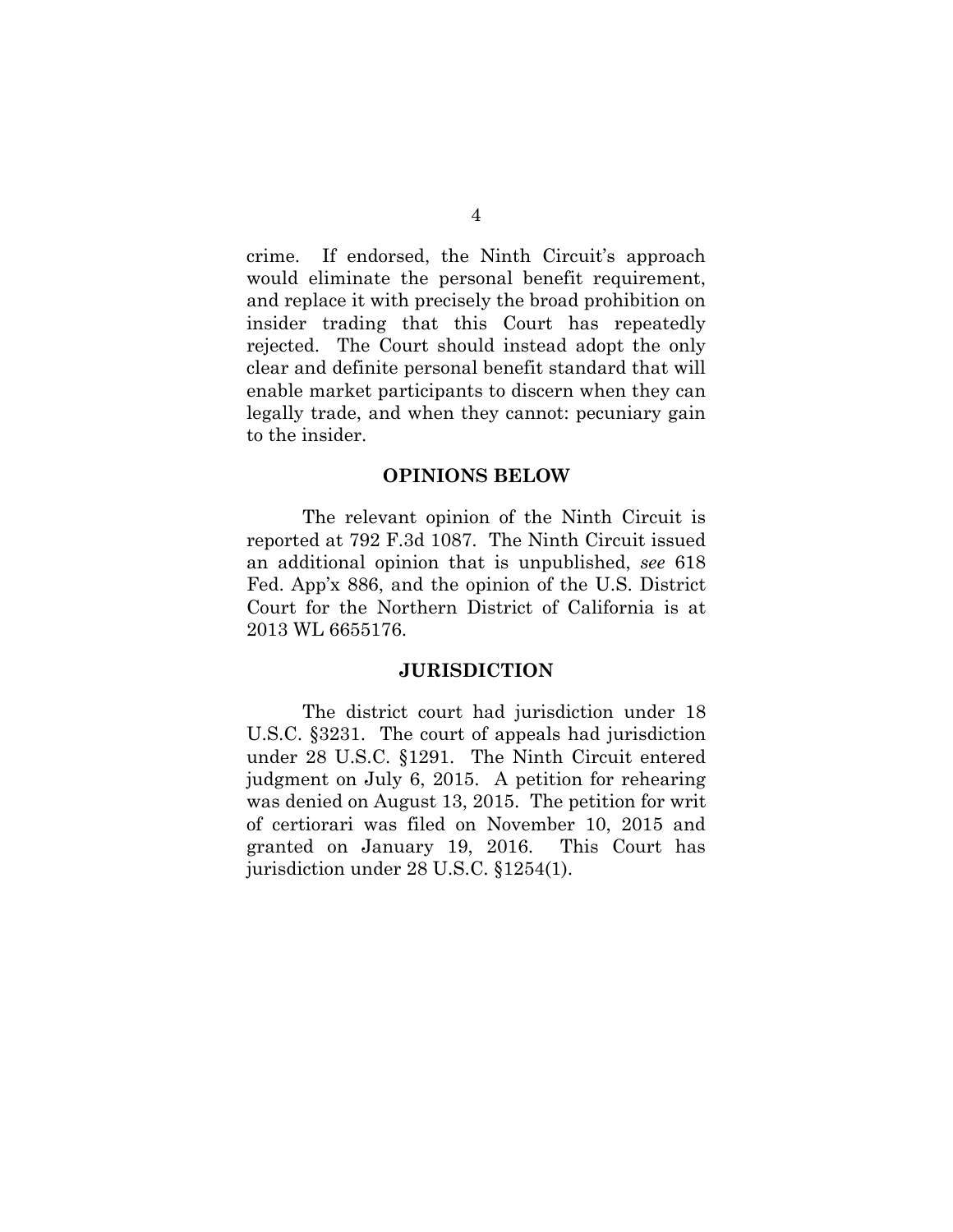crime. If endorsed, the Ninth Circuit's approach would eliminate the personal benefit requirement, and replace it with precisely the broad prohibition on insider trading that this Court has repeatedly rejected. The Court should instead adopt the only clear and definite personal benefit standard that will enable market participants to discern when they can legally trade, and when they cannot: pecuniary gain to the insider.

#### **OPINIONS BELOW**

The relevant opinion of the Ninth Circuit is reported at 792 F.3d 1087. The Ninth Circuit issued an additional opinion that is unpublished, *see* 618 Fed. App'x 886, and the opinion of the U.S. District Court for the Northern District of California is at 2013 WL 6655176.

#### **JURISDICTION**

The district court had jurisdiction under 18 U.S.C. §3231. The court of appeals had jurisdiction under 28 U.S.C. §1291. The Ninth Circuit entered judgment on July 6, 2015. A petition for rehearing was denied on August 13, 2015. The petition for writ of certiorari was filed on November 10, 2015 and granted on January 19, 2016. This Court has jurisdiction under 28 U.S.C. §1254(1).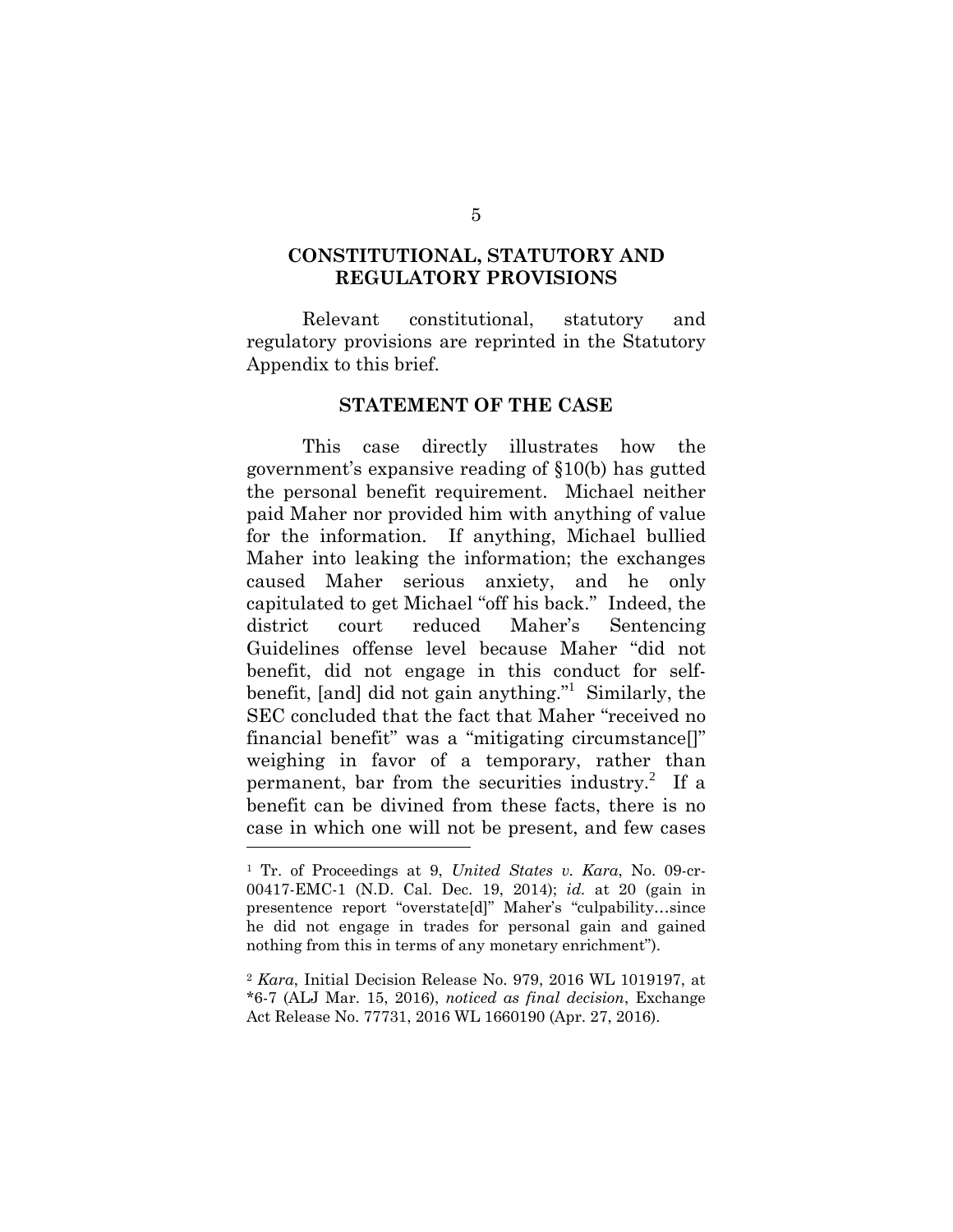#### **CONSTITUTIONAL, STATUTORY AND REGULATORY PROVISIONS**

Relevant constitutional, statutory and regulatory provisions are reprinted in the Statutory Appendix to this brief.

#### **STATEMENT OF THE CASE**

This case directly illustrates how the government's expansive reading of §10(b) has gutted the personal benefit requirement. Michael neither paid Maher nor provided him with anything of value for the information. If anything, Michael bullied Maher into leaking the information; the exchanges caused Maher serious anxiety, and he only capitulated to get Michael "off his back." Indeed, the district court reduced Maher's Sentencing Guidelines offense level because Maher "did not benefit, did not engage in this conduct for selfbenefit, [and] did not gain anything."<sup>1</sup> Similarly, the SEC concluded that the fact that Maher "received no financial benefit" was a "mitigating circumstance[]" weighing in favor of a temporary, rather than permanent, bar from the securities industry.<sup>2</sup> If a benefit can be divined from these facts, there is no case in which one will not be present, and few cases l

<sup>1</sup> Tr. of Proceedings at 9, *United States v. Kara*, No. 09-cr-00417-EMC-1 (N.D. Cal. Dec. 19, 2014); *id.* at 20 (gain in presentence report "overstate[d]" Maher's "culpability…since he did not engage in trades for personal gain and gained nothing from this in terms of any monetary enrichment").

<sup>2</sup> *Kara*, Initial Decision Release No. 979, 2016 WL 1019197, at \*6-7 (ALJ Mar. 15, 2016), *noticed as final decision*, Exchange Act Release No. 77731, 2016 WL 1660190 (Apr. 27, 2016).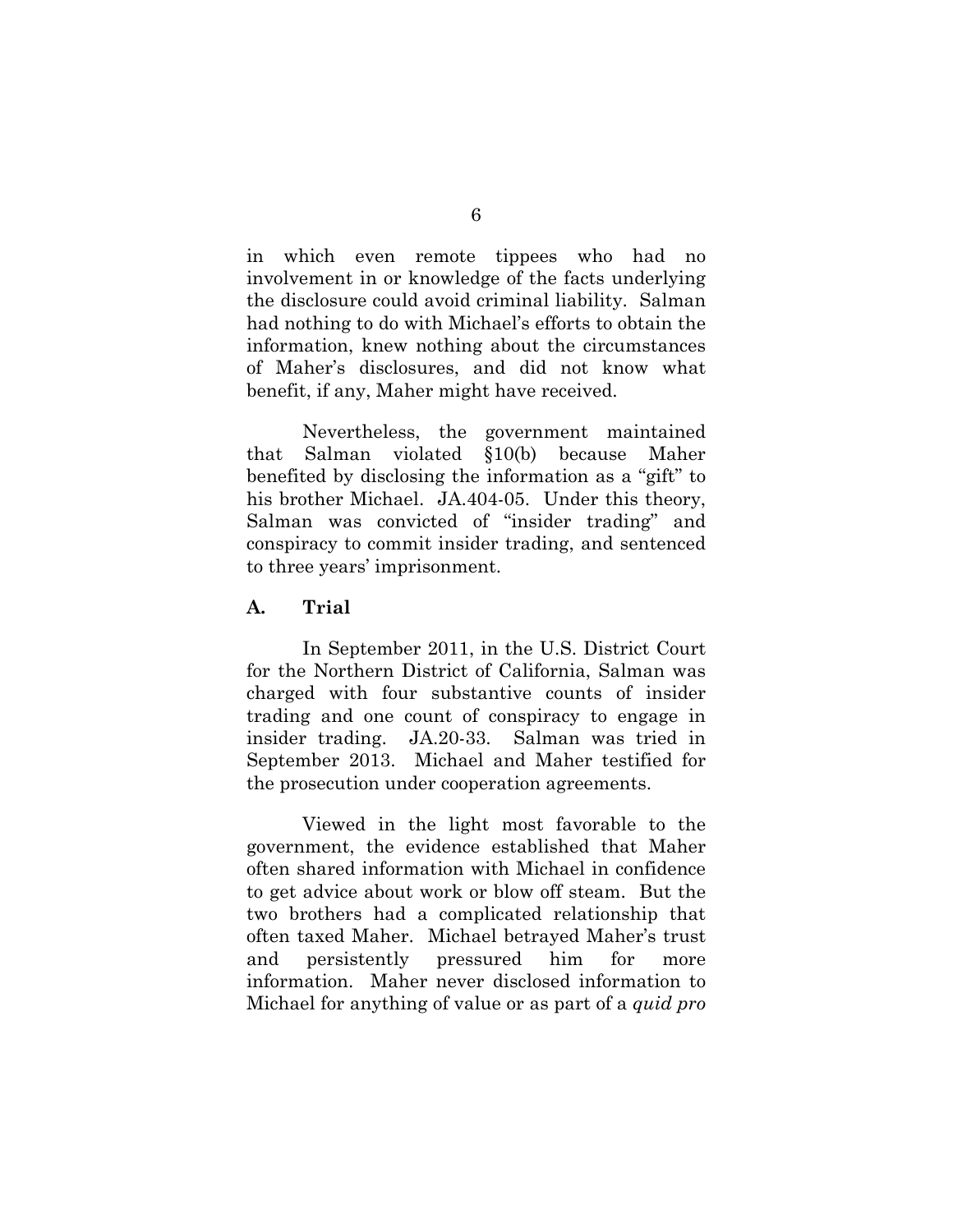in which even remote tippees who had no involvement in or knowledge of the facts underlying the disclosure could avoid criminal liability. Salman had nothing to do with Michael's efforts to obtain the information, knew nothing about the circumstances of Maher's disclosures, and did not know what benefit, if any, Maher might have received.

Nevertheless, the government maintained that Salman violated §10(b) because Maher benefited by disclosing the information as a "gift" to his brother Michael. JA.404-05. Under this theory, Salman was convicted of "insider trading" and conspiracy to commit insider trading, and sentenced to three years' imprisonment.

#### **A. Trial**

In September 2011, in the U.S. District Court for the Northern District of California, Salman was charged with four substantive counts of insider trading and one count of conspiracy to engage in insider trading. JA.20-33. Salman was tried in September 2013. Michael and Maher testified for the prosecution under cooperation agreements.

Viewed in the light most favorable to the government, the evidence established that Maher often shared information with Michael in confidence to get advice about work or blow off steam. But the two brothers had a complicated relationship that often taxed Maher. Michael betrayed Maher's trust and persistently pressured him for more information. Maher never disclosed information to Michael for anything of value or as part of a *quid pro*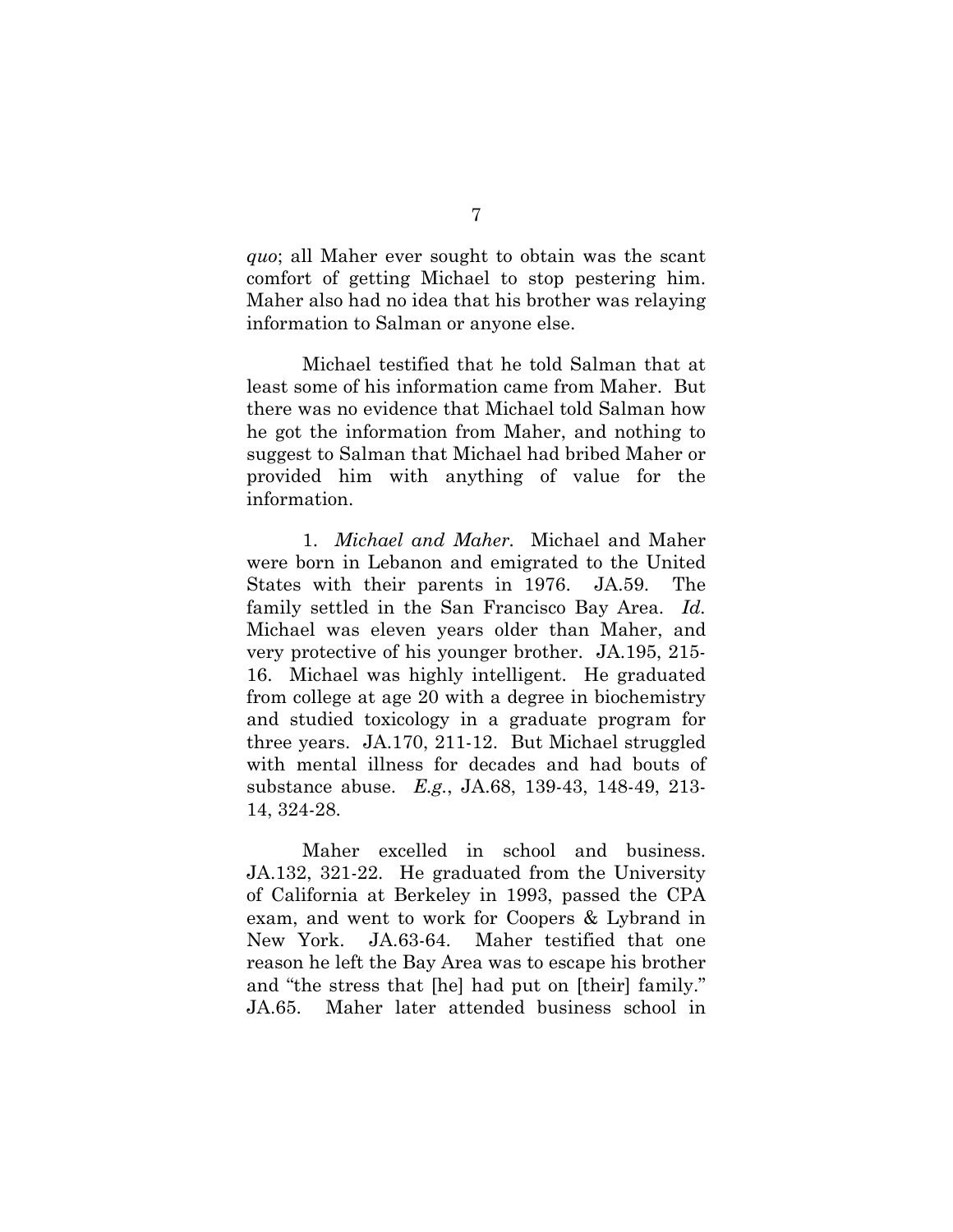*quo*; all Maher ever sought to obtain was the scant comfort of getting Michael to stop pestering him. Maher also had no idea that his brother was relaying information to Salman or anyone else.

Michael testified that he told Salman that at least some of his information came from Maher. But there was no evidence that Michael told Salman how he got the information from Maher, and nothing to suggest to Salman that Michael had bribed Maher or provided him with anything of value for the information.

1. *Michael and Maher.* Michael and Maher were born in Lebanon and emigrated to the United States with their parents in 1976. JA.59. The family settled in the San Francisco Bay Area. *Id.* Michael was eleven years older than Maher, and very protective of his younger brother. JA.195, 215- 16. Michael was highly intelligent. He graduated from college at age 20 with a degree in biochemistry and studied toxicology in a graduate program for three years. JA.170, 211-12. But Michael struggled with mental illness for decades and had bouts of substance abuse. *E.g.*, JA.68, 139-43, 148-49, 213- 14, 324-28.

Maher excelled in school and business. JA.132, 321-22. He graduated from the University of California at Berkeley in 1993, passed the CPA exam, and went to work for Coopers & Lybrand in New York. JA.63-64. Maher testified that one reason he left the Bay Area was to escape his brother and "the stress that [he] had put on [their] family." JA.65. Maher later attended business school in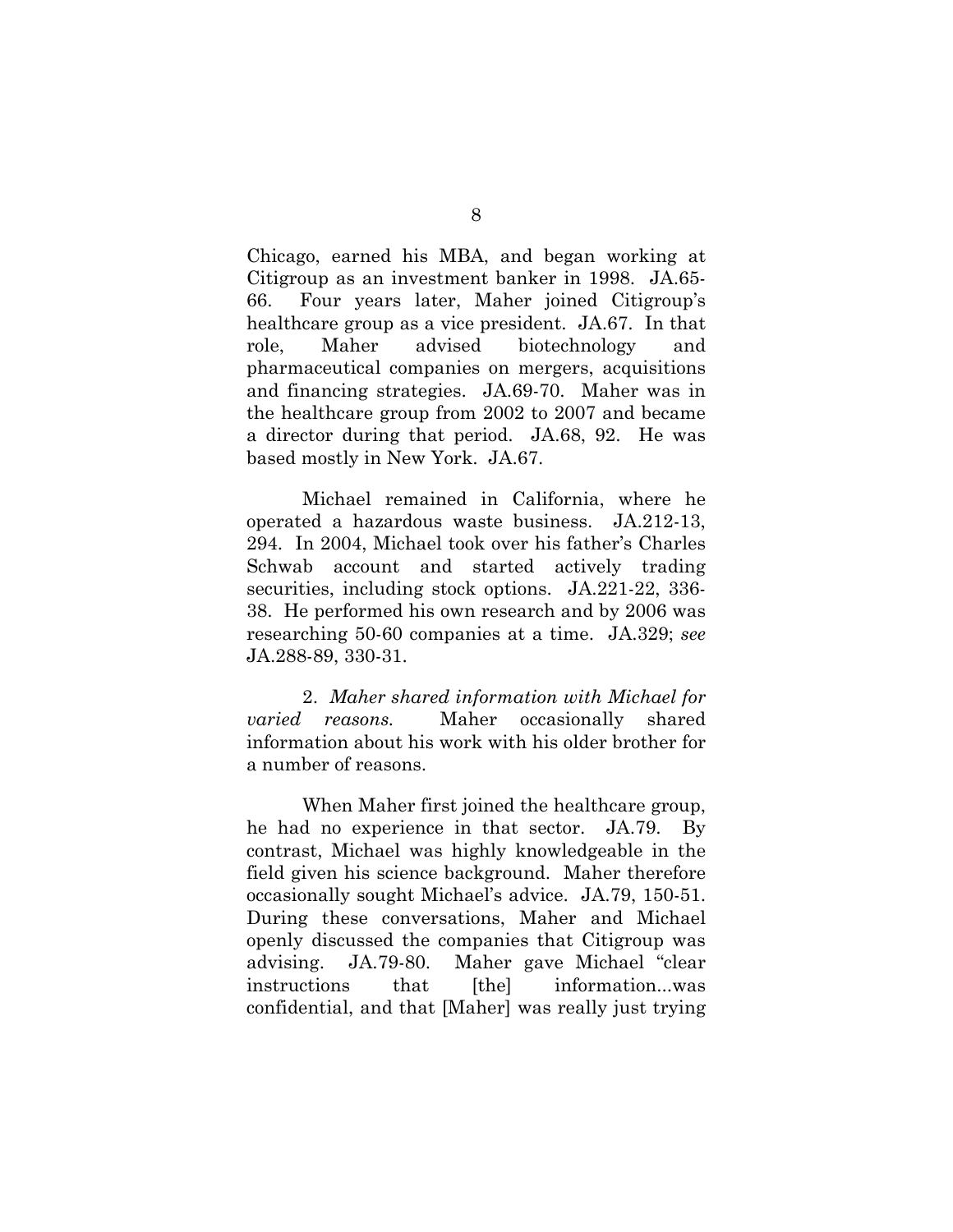Chicago, earned his MBA, and began working at Citigroup as an investment banker in 1998. JA.65- 66. Four years later, Maher joined Citigroup's healthcare group as a vice president. JA.67. In that role, Maher advised biotechnology and pharmaceutical companies on mergers, acquisitions and financing strategies. JA.69-70. Maher was in the healthcare group from 2002 to 2007 and became a director during that period. JA.68, 92. He was based mostly in New York. JA.67.

Michael remained in California, where he operated a hazardous waste business. JA.212-13, 294. In 2004, Michael took over his father's Charles Schwab account and started actively trading securities, including stock options. JA.221-22, 336- 38. He performed his own research and by 2006 was researching 50-60 companies at a time. JA.329; *see* JA.288-89, 330-31.

2. *Maher shared information with Michael for varied reasons.* Maher occasionally shared information about his work with his older brother for a number of reasons.

When Maher first joined the healthcare group, he had no experience in that sector. JA.79. By contrast, Michael was highly knowledgeable in the field given his science background. Maher therefore occasionally sought Michael's advice. JA.79, 150-51. During these conversations, Maher and Michael openly discussed the companies that Citigroup was advising. JA.79-80. Maher gave Michael "clear instructions that [the] information...was confidential, and that [Maher] was really just trying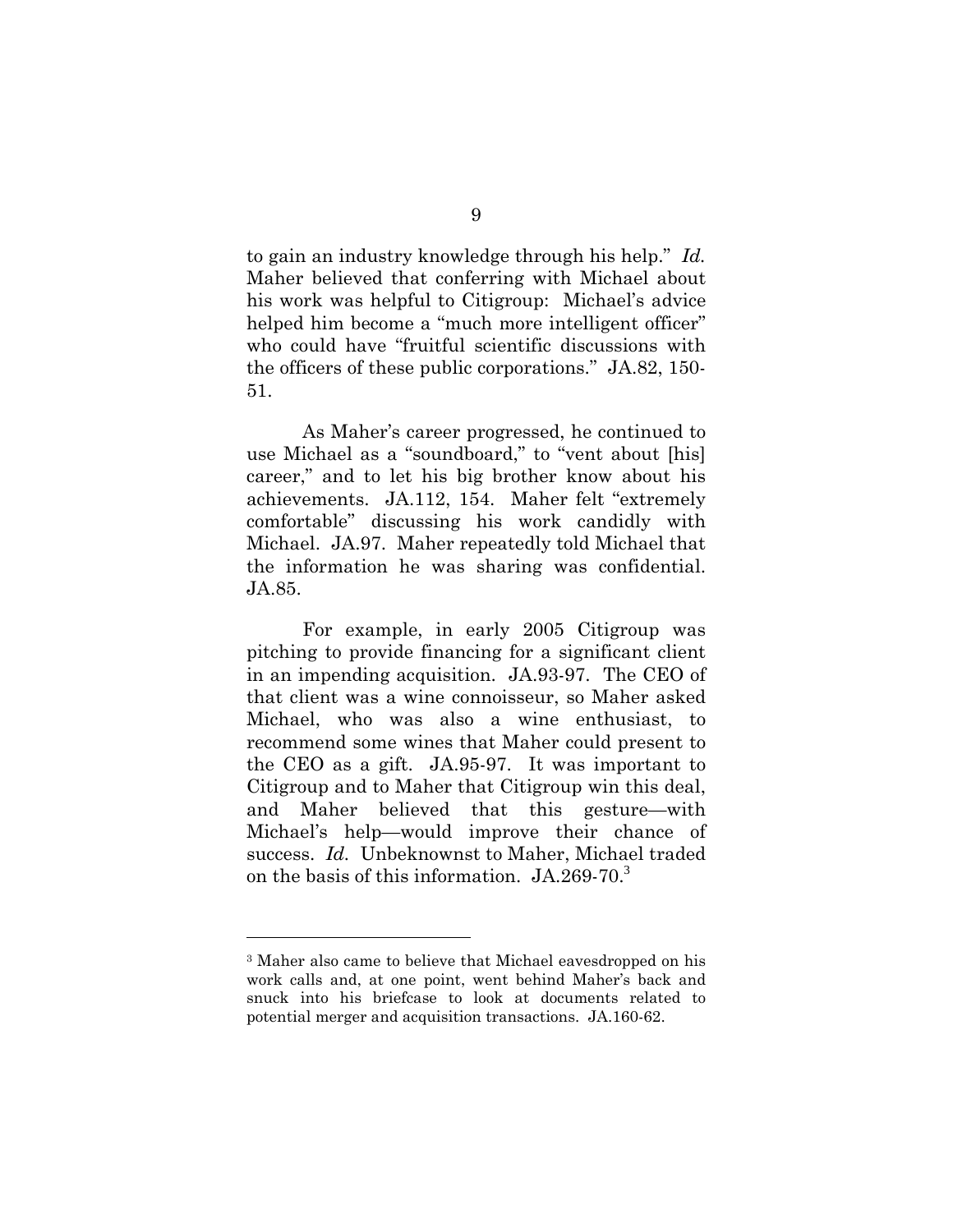to gain an industry knowledge through his help." *Id.* Maher believed that conferring with Michael about his work was helpful to Citigroup: Michael's advice helped him become a "much more intelligent officer" who could have "fruitful scientific discussions with the officers of these public corporations." JA.82, 150- 51.

As Maher's career progressed, he continued to use Michael as a "soundboard," to "vent about [his] career," and to let his big brother know about his achievements. JA.112, 154. Maher felt "extremely comfortable" discussing his work candidly with Michael. JA.97. Maher repeatedly told Michael that the information he was sharing was confidential. JA.85.

For example, in early 2005 Citigroup was pitching to provide financing for a significant client in an impending acquisition. JA.93-97. The CEO of that client was a wine connoisseur, so Maher asked Michael, who was also a wine enthusiast, to recommend some wines that Maher could present to the CEO as a gift. JA.95-97. It was important to Citigroup and to Maher that Citigroup win this deal, and Maher believed that this gesture—with Michael's help—would improve their chance of success. *Id.* Unbeknownst to Maher, Michael traded on the basis of this information. JA.269-70.<sup>3</sup>

l

<sup>3</sup> Maher also came to believe that Michael eavesdropped on his work calls and, at one point, went behind Maher's back and snuck into his briefcase to look at documents related to potential merger and acquisition transactions. JA.160-62.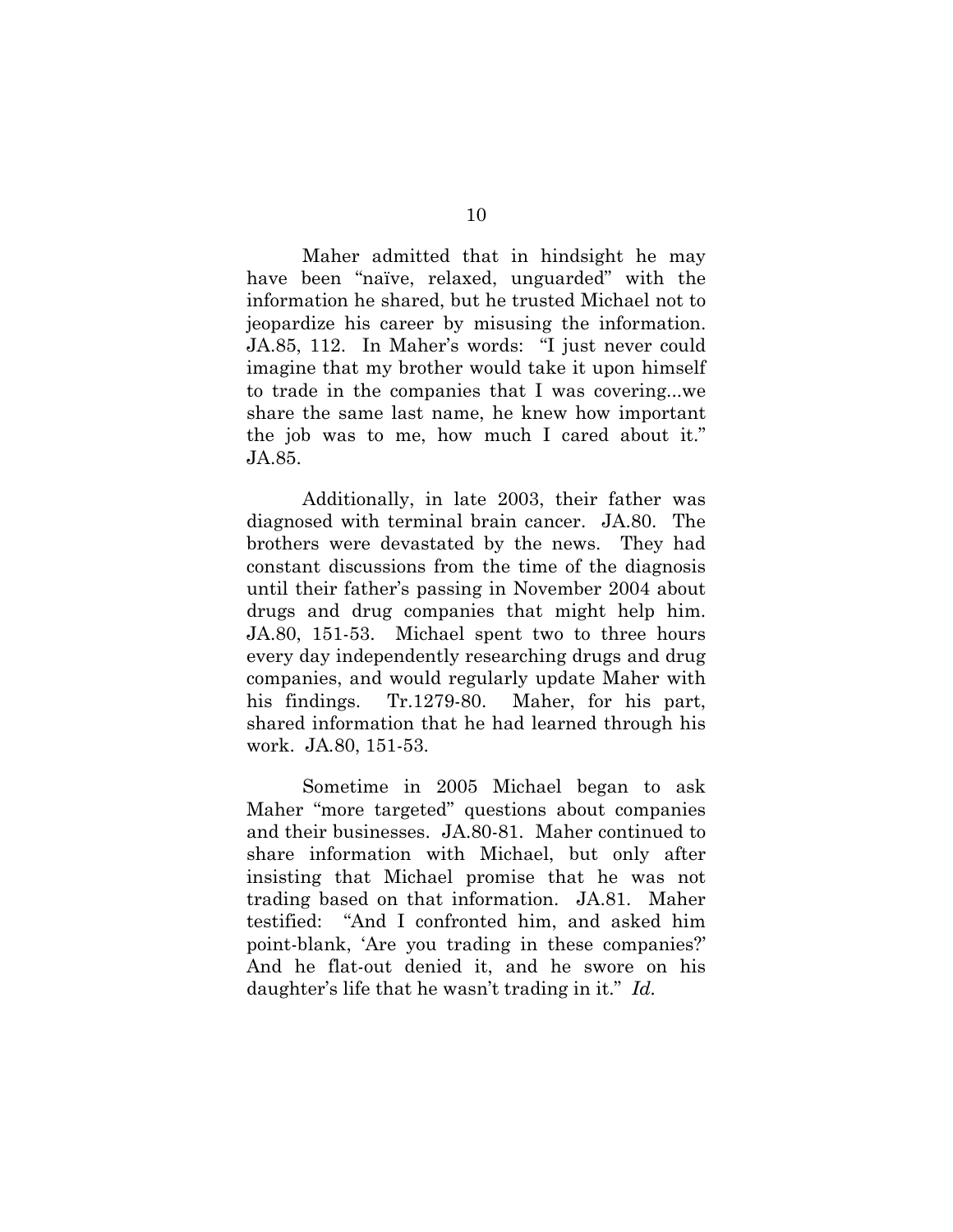Maher admitted that in hindsight he may have been "naïve, relaxed, unguarded" with the information he shared, but he trusted Michael not to jeopardize his career by misusing the information. JA.85, 112. In Maher's words: "I just never could imagine that my brother would take it upon himself to trade in the companies that I was covering...we share the same last name, he knew how important the job was to me, how much I cared about it." JA.85.

Additionally, in late 2003, their father was diagnosed with terminal brain cancer. JA.80. The brothers were devastated by the news. They had constant discussions from the time of the diagnosis until their father's passing in November 2004 about drugs and drug companies that might help him. JA.80, 151-53. Michael spent two to three hours every day independently researching drugs and drug companies, and would regularly update Maher with his findings. Tr.1279-80. Maher, for his part, shared information that he had learned through his work. JA*.*80, 151-53.

Sometime in 2005 Michael began to ask Maher "more targeted" questions about companies and their businesses. JA.80-81. Maher continued to share information with Michael, but only after insisting that Michael promise that he was not trading based on that information. JA.81. Maher testified: "And I confronted him, and asked him point-blank, 'Are you trading in these companies?' And he flat-out denied it, and he swore on his daughter's life that he wasn't trading in it." *Id.*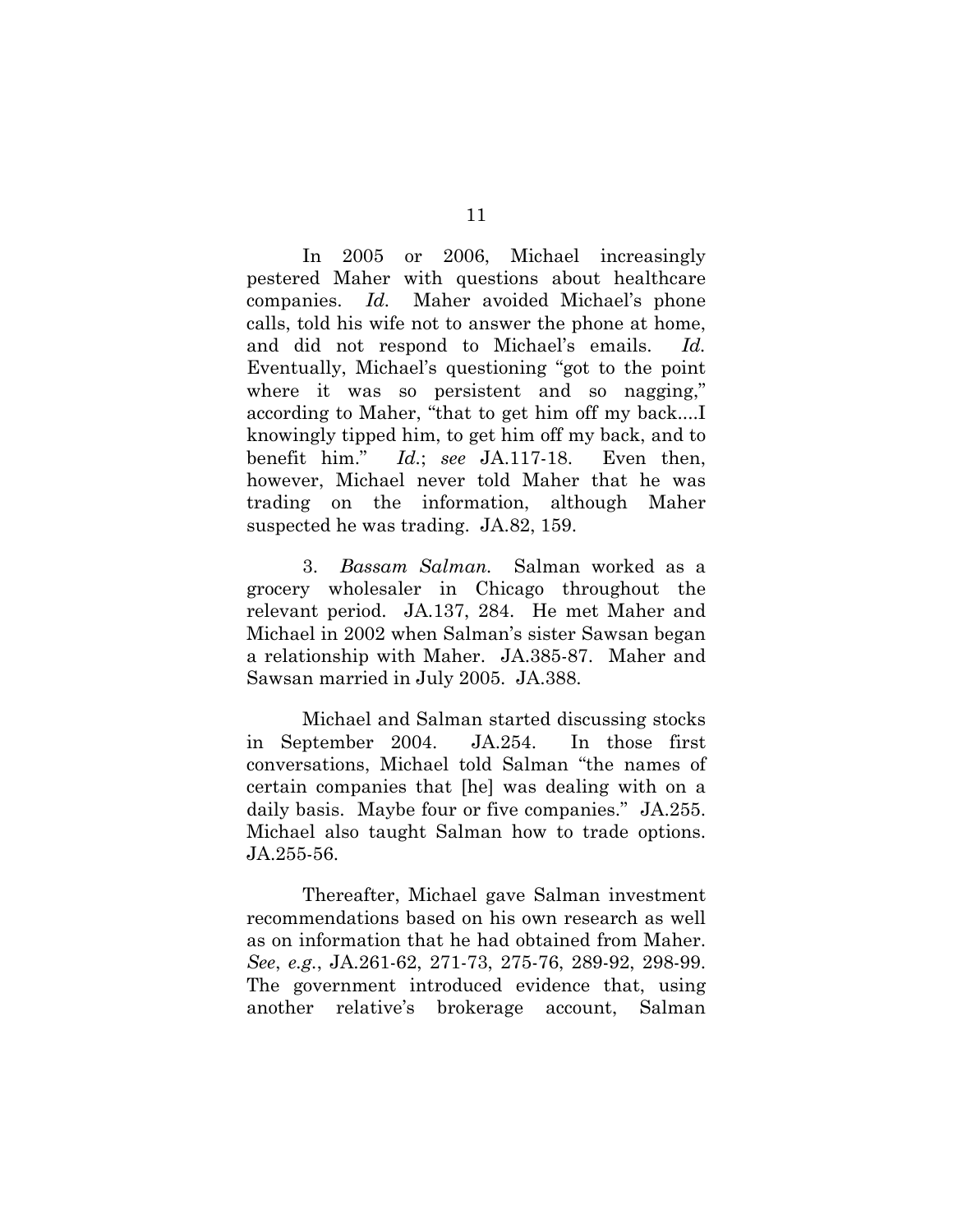In 2005 or 2006, Michael increasingly pestered Maher with questions about healthcare companies. *Id.* Maher avoided Michael's phone calls, told his wife not to answer the phone at home, and did not respond to Michael's emails. *Id.* Eventually, Michael's questioning "got to the point where it was so persistent and so nagging," according to Maher, "that to get him off my back....I knowingly tipped him, to get him off my back, and to benefit him." *Id.*; *see* JA.117-18. Even then, however, Michael never told Maher that he was trading on the information, although Maher suspected he was trading. JA.82, 159.

3. *Bassam Salman.* Salman worked as a grocery wholesaler in Chicago throughout the relevant period. JA.137, 284. He met Maher and Michael in 2002 when Salman's sister Sawsan began a relationship with Maher. JA.385-87. Maher and Sawsan married in July 2005. JA.388.

Michael and Salman started discussing stocks in September 2004. JA.254. In those first conversations, Michael told Salman "the names of certain companies that [he] was dealing with on a daily basis. Maybe four or five companies." JA.255. Michael also taught Salman how to trade options. JA.255-56.

Thereafter, Michael gave Salman investment recommendations based on his own research as well as on information that he had obtained from Maher. *See*, *e.g.*, JA.261-62, 271-73, 275-76, 289-92, 298-99. The government introduced evidence that, using another relative's brokerage account, Salman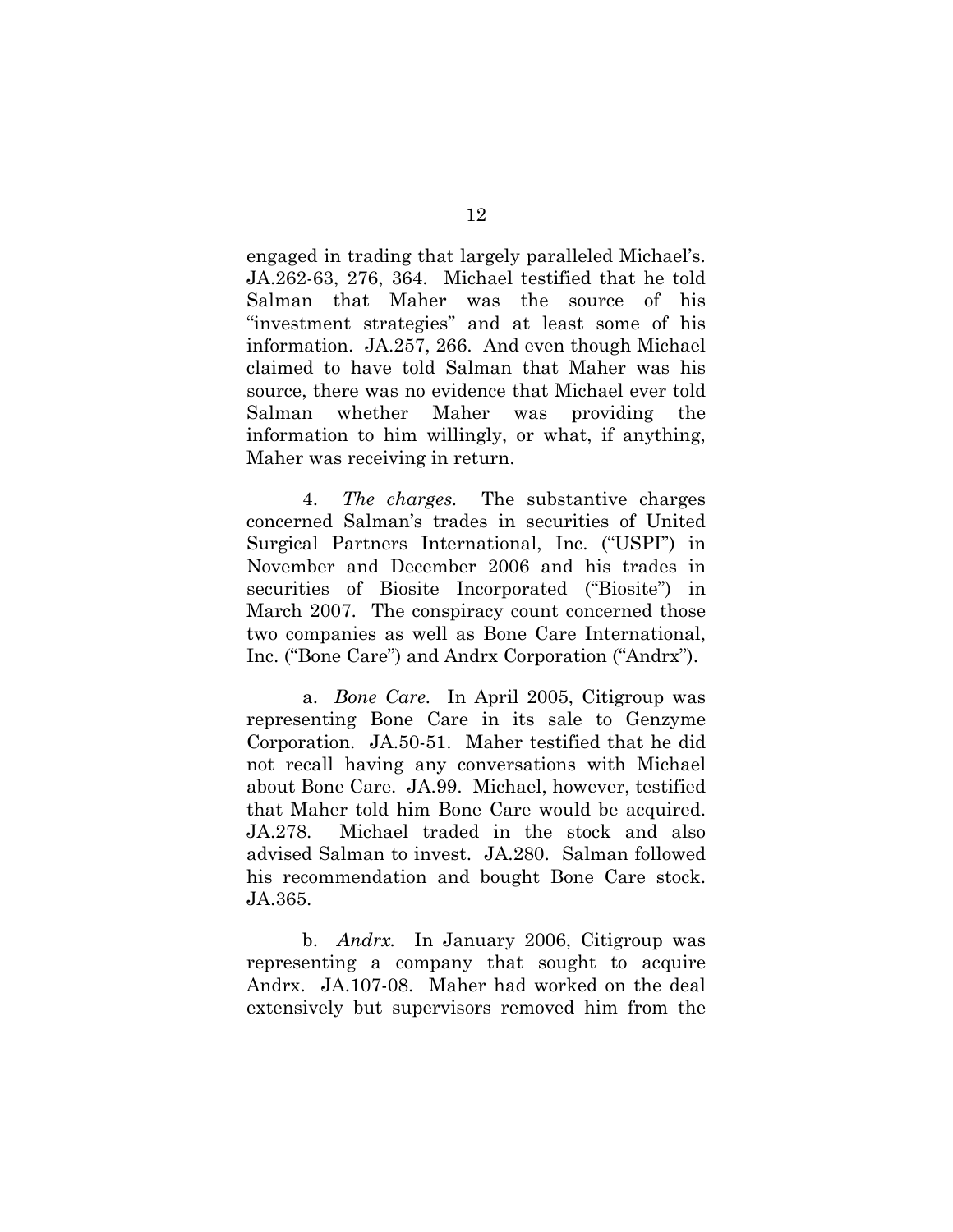engaged in trading that largely paralleled Michael's. JA.262-63, 276, 364. Michael testified that he told Salman that Maher was the source of his "investment strategies" and at least some of his information. JA.257, 266. And even though Michael claimed to have told Salman that Maher was his source, there was no evidence that Michael ever told Salman whether Maher was providing the information to him willingly, or what, if anything, Maher was receiving in return.

4. *The charges.* The substantive charges concerned Salman's trades in securities of United Surgical Partners International, Inc. ("USPI") in November and December 2006 and his trades in securities of Biosite Incorporated ("Biosite") in March 2007. The conspiracy count concerned those two companies as well as Bone Care International, Inc. ("Bone Care") and Andrx Corporation ("Andrx").

a. *Bone Care.* In April 2005, Citigroup was representing Bone Care in its sale to Genzyme Corporation. JA.50-51. Maher testified that he did not recall having any conversations with Michael about Bone Care. JA.99. Michael, however, testified that Maher told him Bone Care would be acquired. JA.278. Michael traded in the stock and also advised Salman to invest. JA.280. Salman followed his recommendation and bought Bone Care stock. JA.365.

b. *Andrx.* In January 2006, Citigroup was representing a company that sought to acquire Andrx. JA.107-08. Maher had worked on the deal extensively but supervisors removed him from the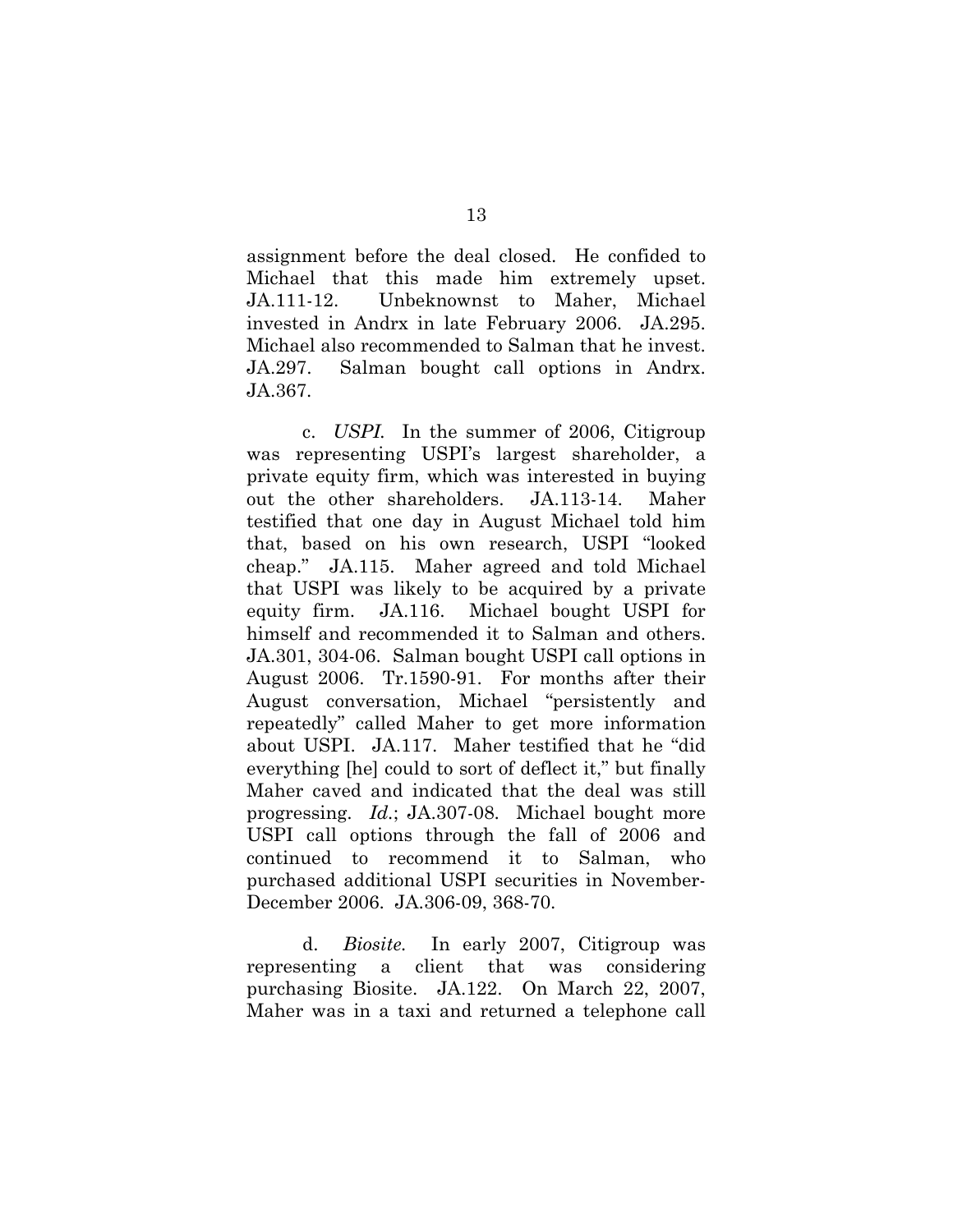assignment before the deal closed. He confided to Michael that this made him extremely upset. JA.111-12. Unbeknownst to Maher, Michael invested in Andrx in late February 2006. JA.295. Michael also recommended to Salman that he invest. JA.297. Salman bought call options in Andrx. JA.367.

c. *USPI.* In the summer of 2006, Citigroup was representing USPI's largest shareholder, a private equity firm, which was interested in buying out the other shareholders. JA.113-14. Maher testified that one day in August Michael told him that, based on his own research, USPI "looked cheap." JA.115. Maher agreed and told Michael that USPI was likely to be acquired by a private equity firm. JA.116. Michael bought USPI for himself and recommended it to Salman and others. JA.301, 304-06. Salman bought USPI call options in August 2006. Tr.1590-91. For months after their August conversation, Michael "persistently and repeatedly" called Maher to get more information about USPI. JA.117. Maher testified that he "did everything [he] could to sort of deflect it," but finally Maher caved and indicated that the deal was still progressing. *Id.*; JA.307-08. Michael bought more USPI call options through the fall of 2006 and continued to recommend it to Salman, who purchased additional USPI securities in November-December 2006. JA.306-09, 368-70.

d. *Biosite.* In early 2007, Citigroup was representing a client that was considering purchasing Biosite. JA.122. On March 22, 2007, Maher was in a taxi and returned a telephone call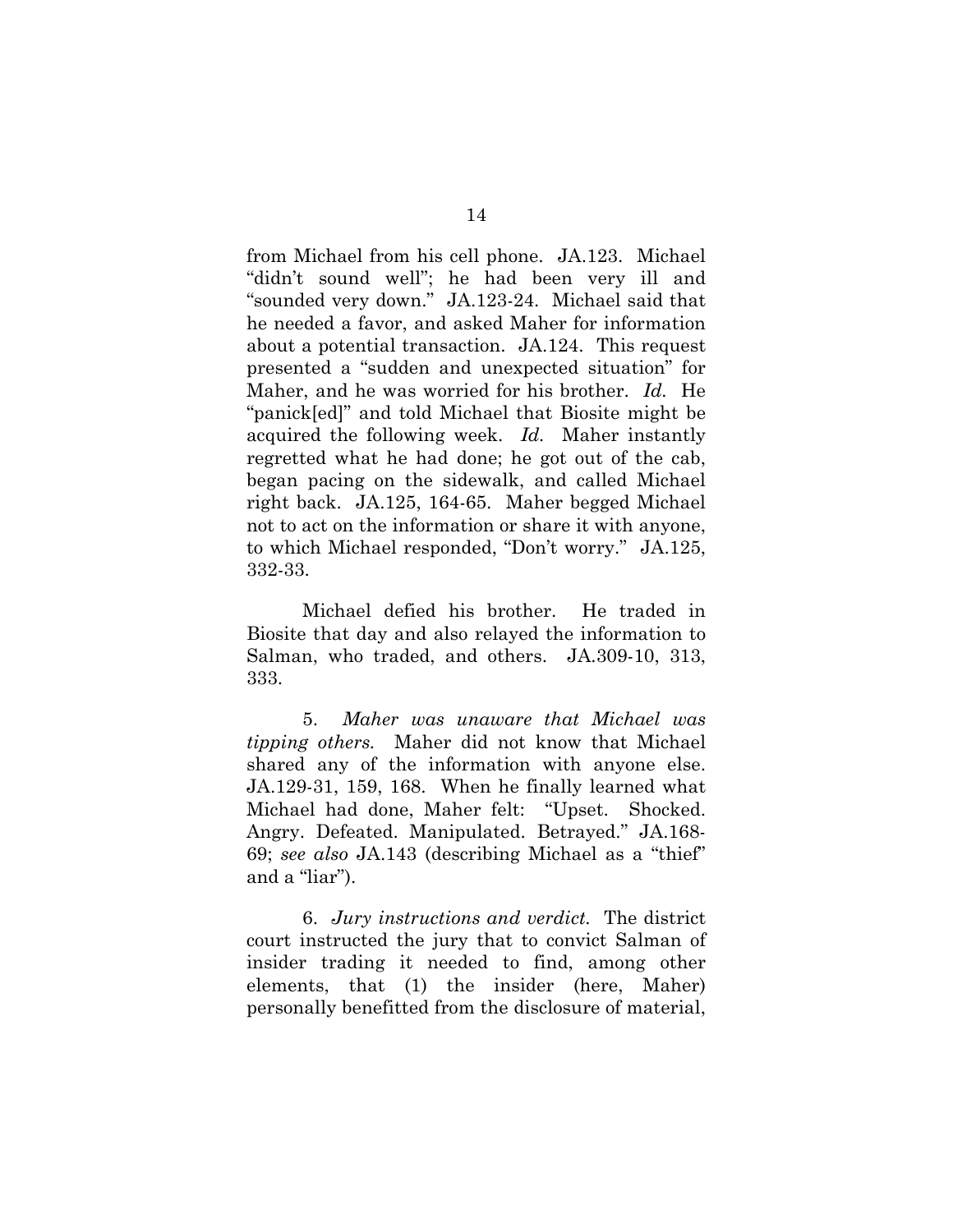from Michael from his cell phone. JA.123. Michael "didn't sound well"; he had been very ill and "sounded very down." JA.123-24. Michael said that he needed a favor, and asked Maher for information about a potential transaction. JA.124. This request presented a "sudden and unexpected situation" for Maher, and he was worried for his brother. *Id.* He "panick[ed]" and told Michael that Biosite might be acquired the following week. *Id.* Maher instantly regretted what he had done; he got out of the cab, began pacing on the sidewalk, and called Michael right back. JA.125, 164-65. Maher begged Michael not to act on the information or share it with anyone, to which Michael responded, "Don't worry." JA.125, 332-33.

Michael defied his brother. He traded in Biosite that day and also relayed the information to Salman, who traded, and others. JA.309-10, 313, 333.

5. *Maher was unaware that Michael was tipping others.* Maher did not know that Michael shared any of the information with anyone else. JA.129-31, 159, 168. When he finally learned what Michael had done, Maher felt: "Upset. Shocked. Angry. Defeated. Manipulated. Betrayed." JA.168- 69; *see also* JA.143 (describing Michael as a "thief" and a "liar").

6. *Jury instructions and verdict.* The district court instructed the jury that to convict Salman of insider trading it needed to find, among other elements, that (1) the insider (here, Maher) personally benefitted from the disclosure of material,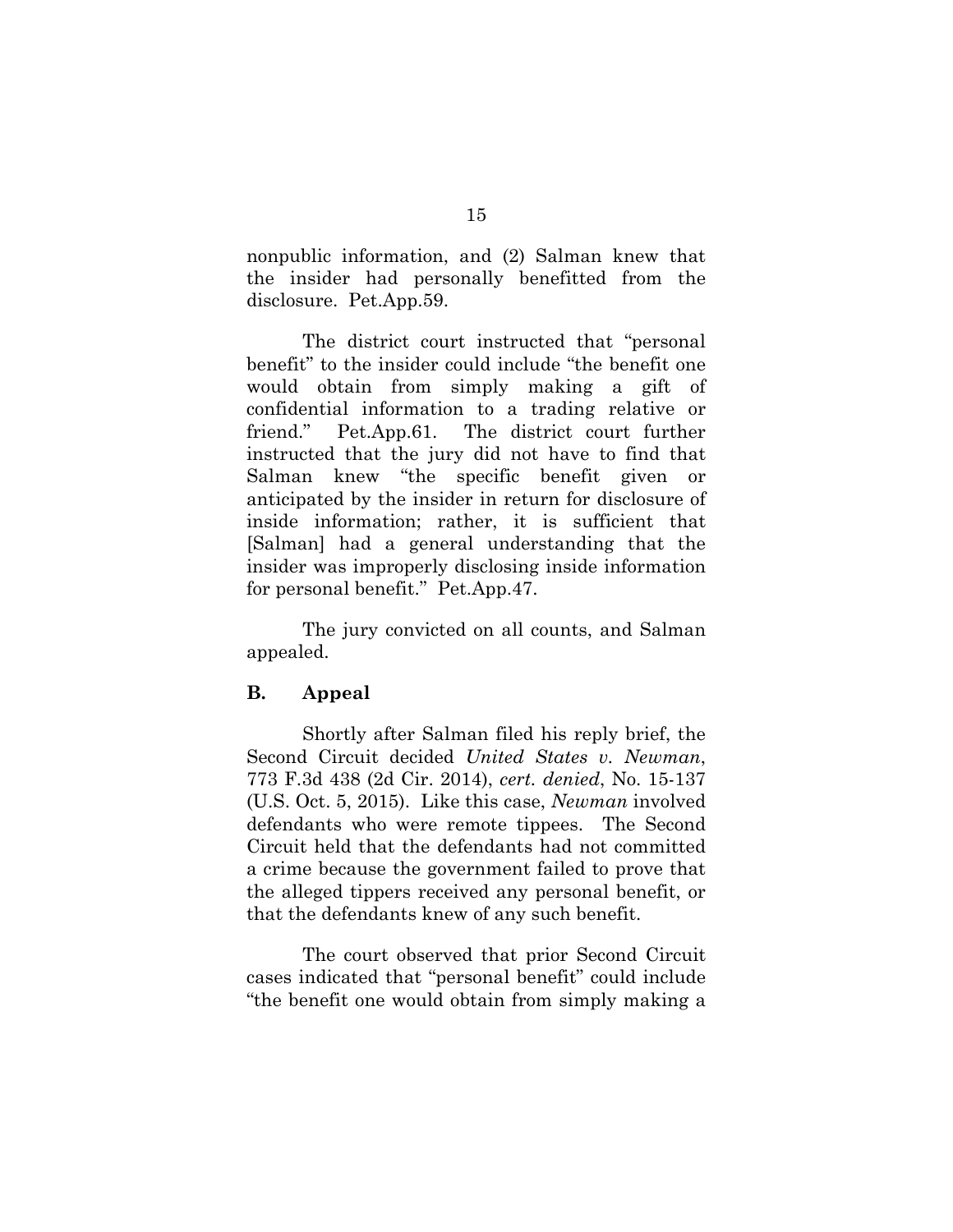nonpublic information, and (2) Salman knew that the insider had personally benefitted from the disclosure. Pet.App.59.

The district court instructed that "personal benefit" to the insider could include "the benefit one would obtain from simply making a gift of confidential information to a trading relative or friend." Pet.App.61. The district court further instructed that the jury did not have to find that Salman knew "the specific benefit given or anticipated by the insider in return for disclosure of inside information; rather, it is sufficient that [Salman] had a general understanding that the insider was improperly disclosing inside information for personal benefit." Pet.App.47.

The jury convicted on all counts, and Salman appealed.

#### **B. Appeal**

Shortly after Salman filed his reply brief, the Second Circuit decided *United States v. Newman*, 773 F.3d 438 (2d Cir. 2014), *cert. denied*, No. 15-137 (U.S. Oct. 5, 2015). Like this case, *Newman* involved defendants who were remote tippees. The Second Circuit held that the defendants had not committed a crime because the government failed to prove that the alleged tippers received any personal benefit, or that the defendants knew of any such benefit.

The court observed that prior Second Circuit cases indicated that "personal benefit" could include "the benefit one would obtain from simply making a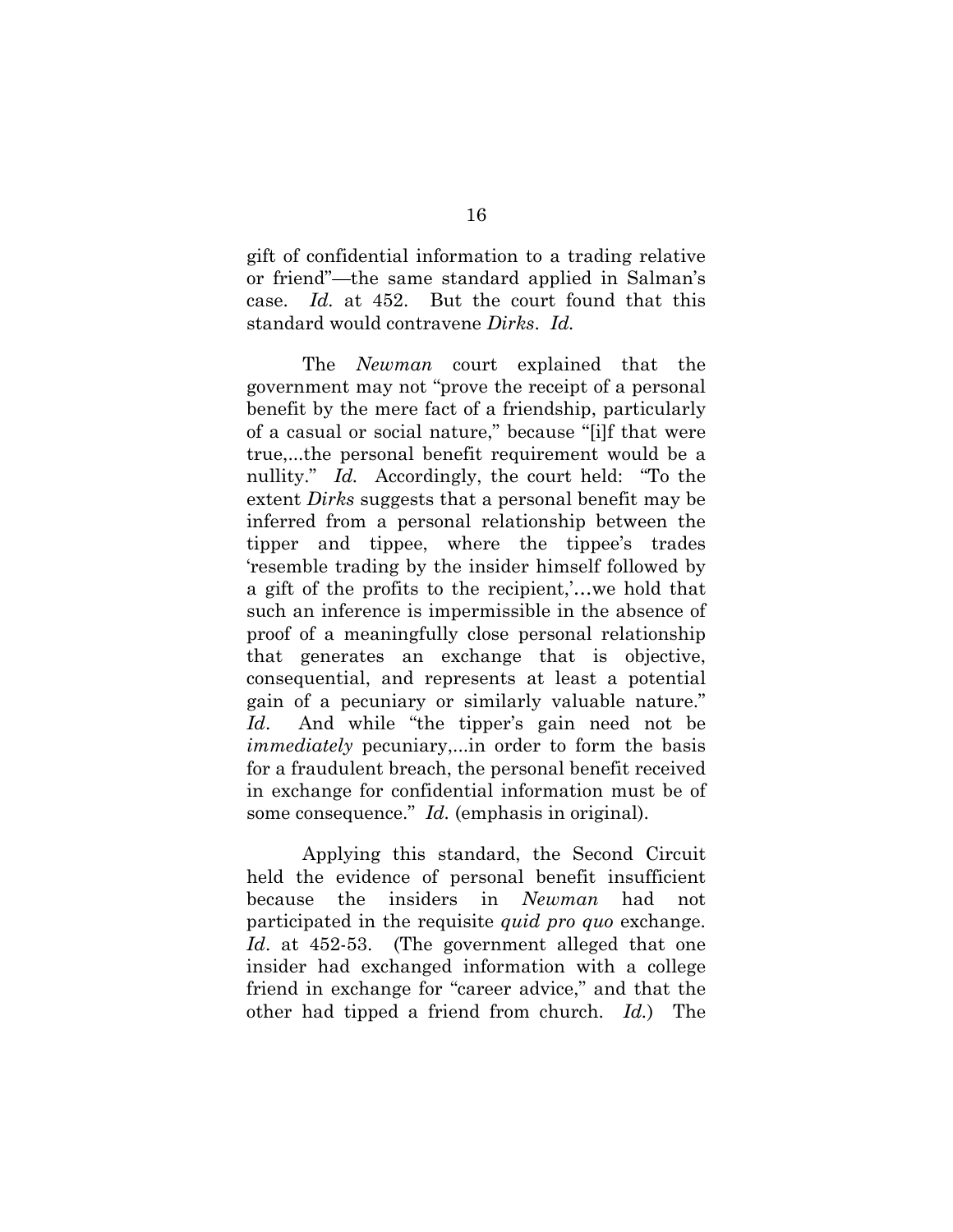gift of confidential information to a trading relative or friend"—the same standard applied in Salman's case. *Id.* at 452. But the court found that this standard would contravene *Dirks*. *Id.*

The *Newman* court explained that the government may not "prove the receipt of a personal benefit by the mere fact of a friendship, particularly of a casual or social nature," because "[i]f that were true,...the personal benefit requirement would be a nullity." *Id.* Accordingly, the court held: "To the extent *Dirks* suggests that a personal benefit may be inferred from a personal relationship between the tipper and tippee, where the tippee's trades 'resemble trading by the insider himself followed by a gift of the profits to the recipient,'…we hold that such an inference is impermissible in the absence of proof of a meaningfully close personal relationship that generates an exchange that is objective, consequential, and represents at least a potential gain of a pecuniary or similarly valuable nature." *Id*. And while "the tipper's gain need not be *immediately* pecuniary,...in order to form the basis for a fraudulent breach, the personal benefit received in exchange for confidential information must be of some consequence." *Id.* (emphasis in original).

Applying this standard, the Second Circuit held the evidence of personal benefit insufficient because the insiders in *Newman* had not participated in the requisite *quid pro quo* exchange. *Id*. at 452-53. (The government alleged that one insider had exchanged information with a college friend in exchange for "career advice," and that the other had tipped a friend from church. *Id.*) The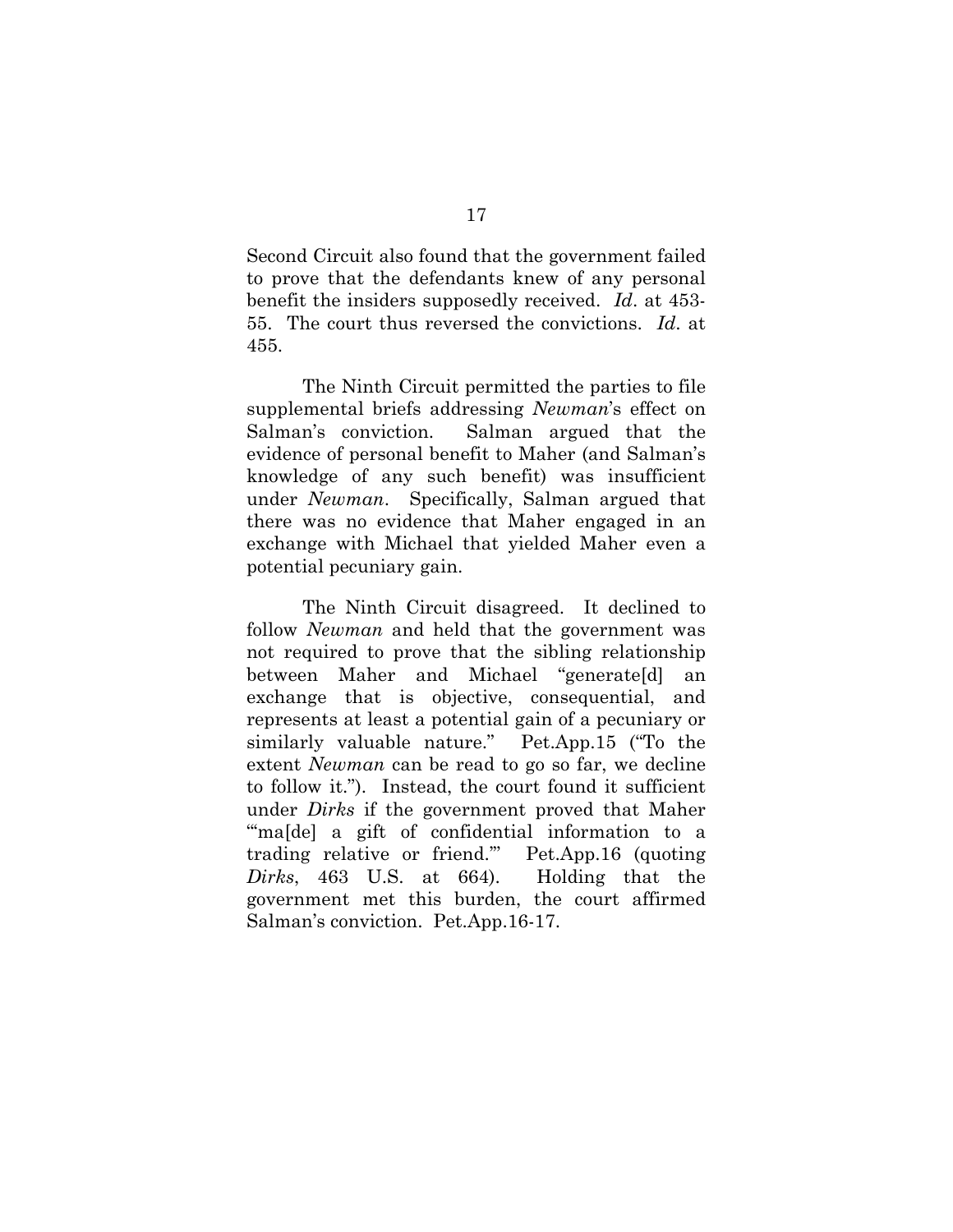Second Circuit also found that the government failed to prove that the defendants knew of any personal benefit the insiders supposedly received. *Id*. at 453- 55. The court thus reversed the convictions. *Id*. at 455.

The Ninth Circuit permitted the parties to file supplemental briefs addressing *Newman*'s effect on Salman's conviction. Salman argued that the evidence of personal benefit to Maher (and Salman's knowledge of any such benefit) was insufficient under *Newman*. Specifically, Salman argued that there was no evidence that Maher engaged in an exchange with Michael that yielded Maher even a potential pecuniary gain.

The Ninth Circuit disagreed. It declined to follow *Newman* and held that the government was not required to prove that the sibling relationship between Maher and Michael "generate[d] an exchange that is objective, consequential, and represents at least a potential gain of a pecuniary or similarly valuable nature." Pet.App.15 ("To the extent *Newman* can be read to go so far, we decline to follow it."). Instead, the court found it sufficient under *Dirks* if the government proved that Maher "maldel a gift of confidential information to a trading relative or friend.'" Pet.App.16 (quoting *Dirks*, 463 U.S. at 664). Holding that the government met this burden, the court affirmed Salman's conviction. Pet.App.16-17.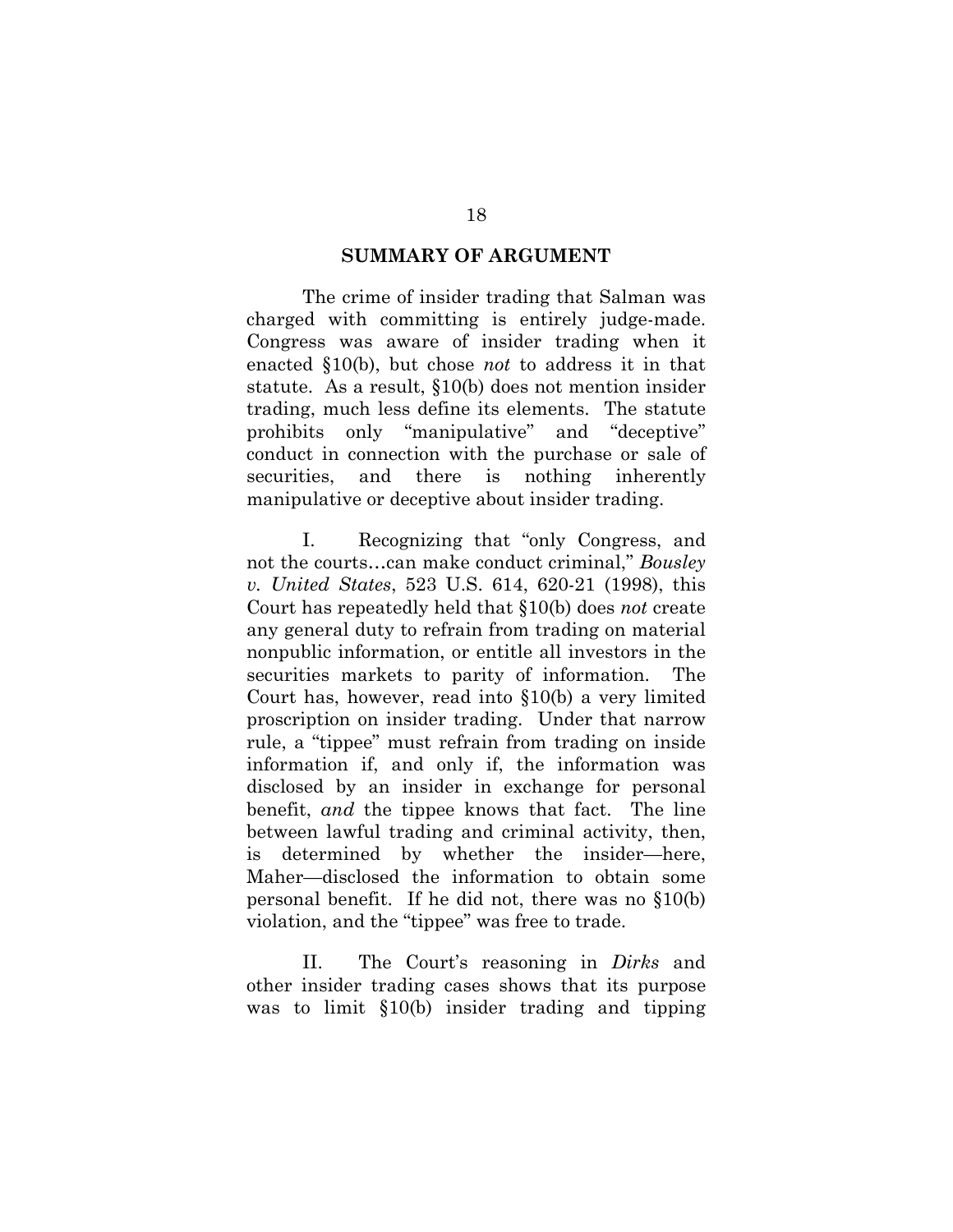#### **SUMMARY OF ARGUMENT**

The crime of insider trading that Salman was charged with committing is entirely judge-made. Congress was aware of insider trading when it enacted §10(b), but chose *not* to address it in that statute. As a result, §10(b) does not mention insider trading, much less define its elements. The statute prohibits only "manipulative" and "deceptive" conduct in connection with the purchase or sale of securities, and there is nothing inherently manipulative or deceptive about insider trading.

I. Recognizing that "only Congress, and not the courts…can make conduct criminal," *Bousley v. United States*, 523 U.S. 614, 620-21 (1998), this Court has repeatedly held that §10(b) does *not* create any general duty to refrain from trading on material nonpublic information, or entitle all investors in the securities markets to parity of information. The Court has, however, read into §10(b) a very limited proscription on insider trading. Under that narrow rule, a "tippee" must refrain from trading on inside information if, and only if, the information was disclosed by an insider in exchange for personal benefit, *and* the tippee knows that fact. The line between lawful trading and criminal activity, then, is determined by whether the insider—here, Maher—disclosed the information to obtain some personal benefit. If he did not, there was no §10(b) violation, and the "tippee" was free to trade.

II. The Court's reasoning in *Dirks* and other insider trading cases shows that its purpose was to limit §10(b) insider trading and tipping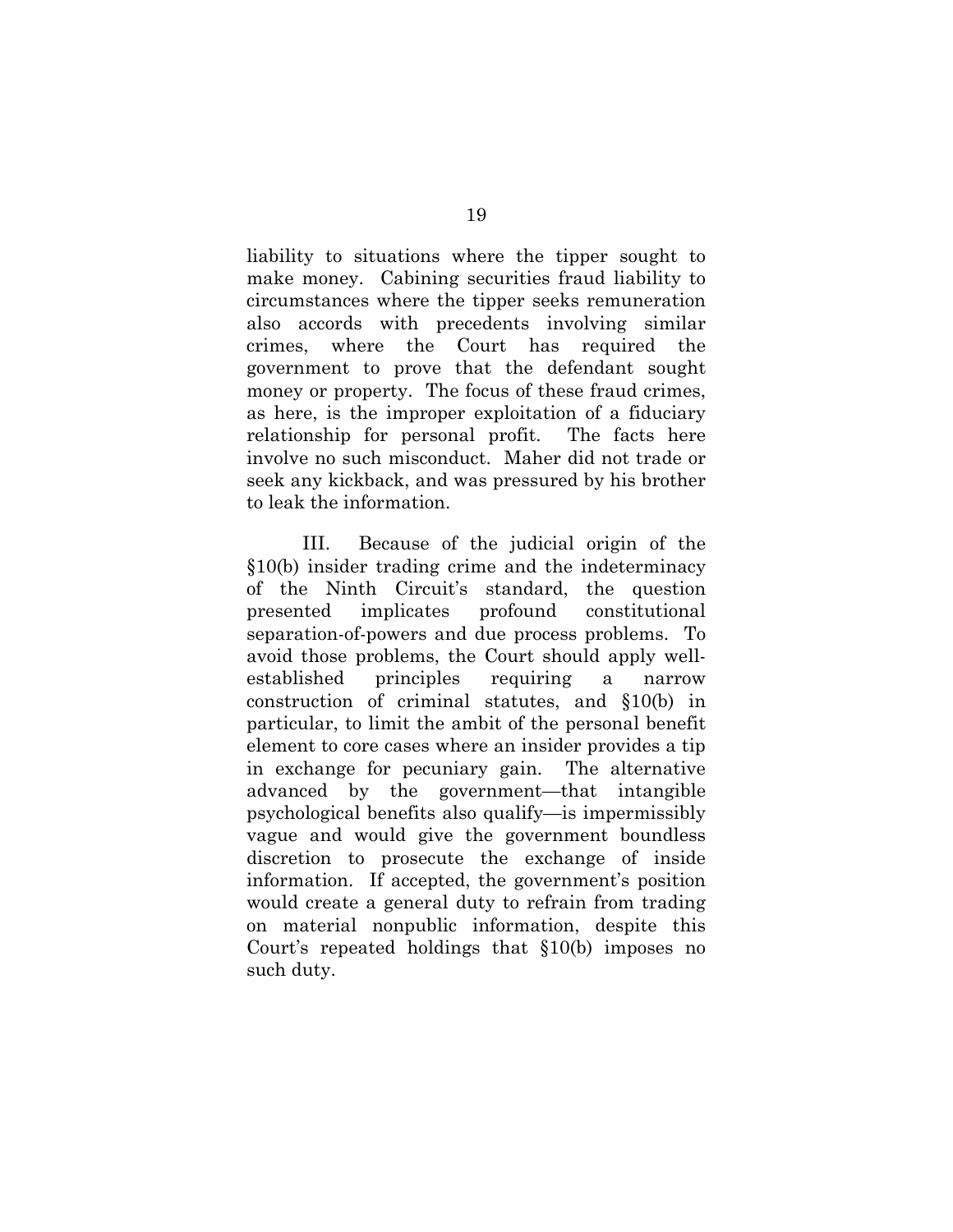liability to situations where the tipper sought to make money. Cabining securities fraud liability to circumstances where the tipper seeks remuneration also accords with precedents involving similar crimes, where the Court has required the government to prove that the defendant sought money or property. The focus of these fraud crimes, as here, is the improper exploitation of a fiduciary relationship for personal profit. The facts here involve no such misconduct. Maher did not trade or seek any kickback, and was pressured by his brother to leak the information.

III. Because of the judicial origin of the §10(b) insider trading crime and the indeterminacy of the Ninth Circuit's standard, the question presented implicates profound constitutional separation-of-powers and due process problems. To avoid those problems, the Court should apply wellestablished principles requiring a narrow construction of criminal statutes, and §10(b) in particular, to limit the ambit of the personal benefit element to core cases where an insider provides a tip in exchange for pecuniary gain. The alternative advanced by the government—that intangible psychological benefits also qualify—is impermissibly vague and would give the government boundless discretion to prosecute the exchange of inside information. If accepted, the government's position would create a general duty to refrain from trading on material nonpublic information, despite this Court's repeated holdings that §10(b) imposes no such duty.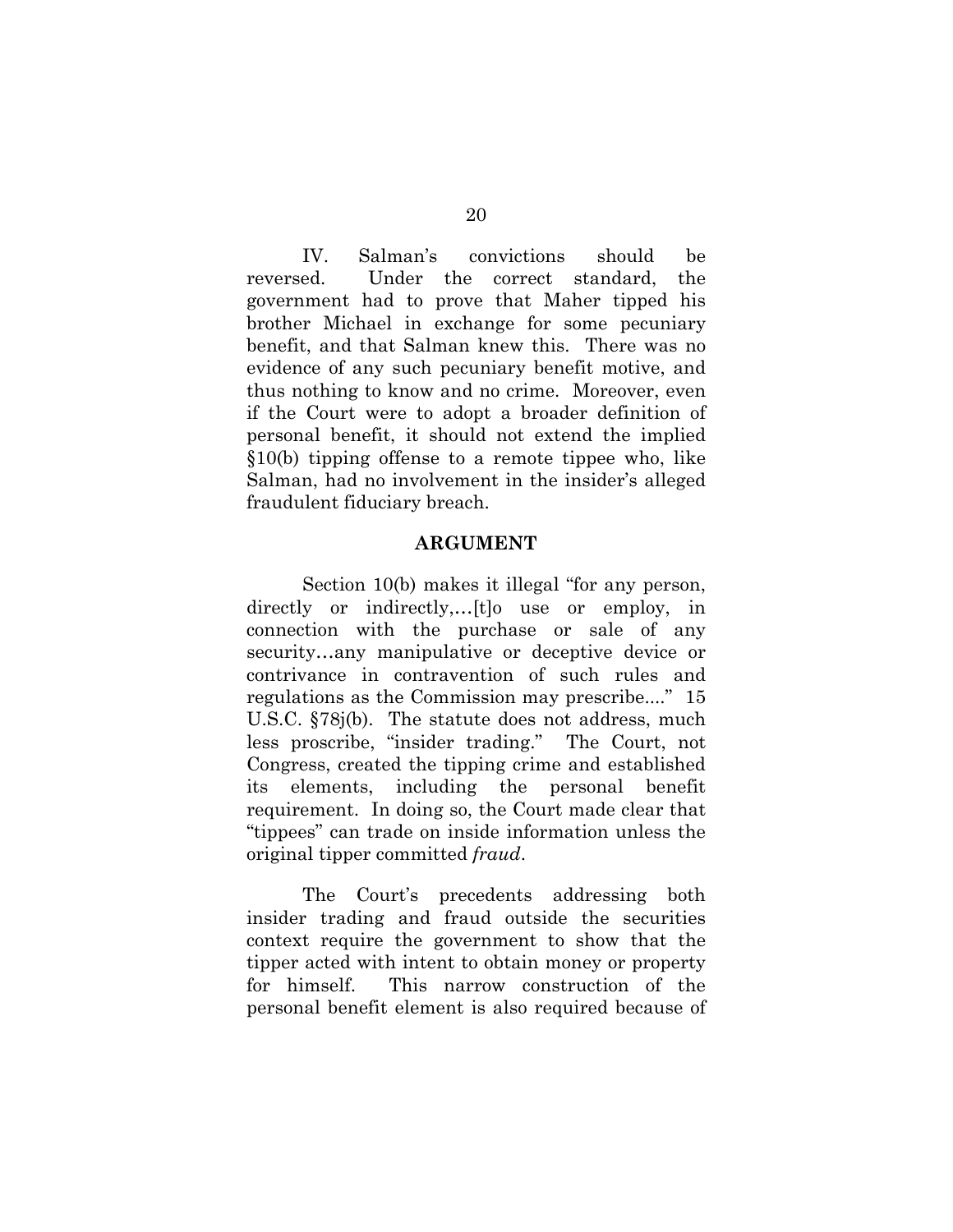IV. Salman's convictions should be reversed. Under the correct standard, the government had to prove that Maher tipped his brother Michael in exchange for some pecuniary benefit, and that Salman knew this. There was no evidence of any such pecuniary benefit motive, and thus nothing to know and no crime. Moreover, even if the Court were to adopt a broader definition of personal benefit, it should not extend the implied §10(b) tipping offense to a remote tippee who, like Salman, had no involvement in the insider's alleged fraudulent fiduciary breach.

#### **ARGUMENT**

Section 10(b) makes it illegal "for any person, directly or indirectly,…[t]o use or employ, in connection with the purchase or sale of any security…any manipulative or deceptive device or contrivance in contravention of such rules and regulations as the Commission may prescribe...." 15 U.S.C. §78j(b). The statute does not address, much less proscribe, "insider trading." The Court, not Congress, created the tipping crime and established its elements, including the personal benefit requirement. In doing so, the Court made clear that "tippees" can trade on inside information unless the original tipper committed *fraud*.

The Court's precedents addressing both insider trading and fraud outside the securities context require the government to show that the tipper acted with intent to obtain money or property for himself. This narrow construction of the personal benefit element is also required because of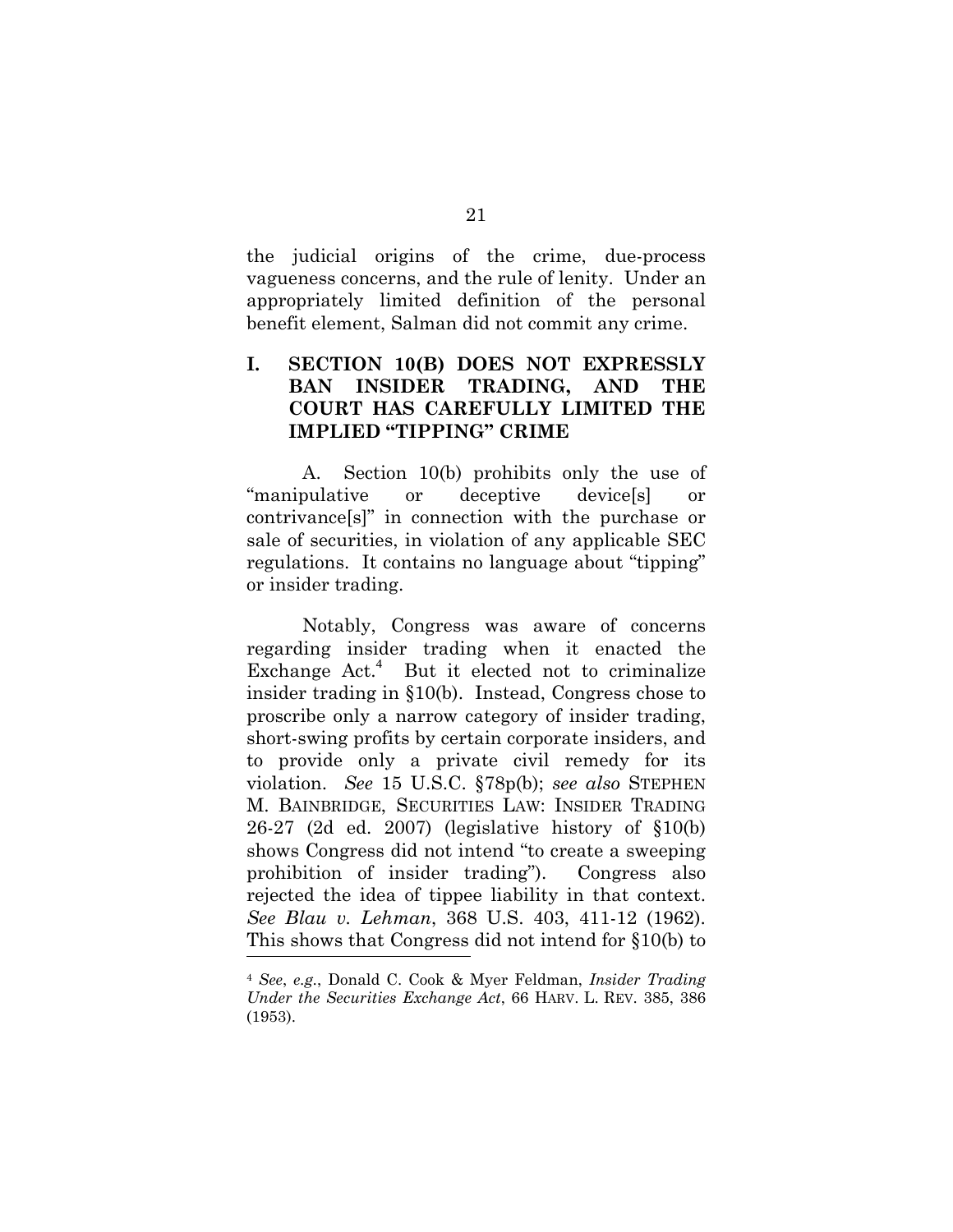the judicial origins of the crime, due-process vagueness concerns, and the rule of lenity. Under an appropriately limited definition of the personal benefit element, Salman did not commit any crime.

# **I. SECTION 10(B) DOES NOT EXPRESSLY BAN INSIDER TRADING, AND THE COURT HAS CAREFULLY LIMITED THE IMPLIED "TIPPING" CRIME**

A. Section 10(b) prohibits only the use of "manipulative or deceptive device[s] or contrivance[s]" in connection with the purchase or sale of securities, in violation of any applicable SEC regulations. It contains no language about "tipping" or insider trading.

Notably, Congress was aware of concerns regarding insider trading when it enacted the Exchange Act.<sup>4</sup> But it elected not to criminalize insider trading in §10(b). Instead, Congress chose to proscribe only a narrow category of insider trading, short-swing profits by certain corporate insiders, and to provide only a private civil remedy for its violation. *See* 15 U.S.C. §78p(b); *see also* STEPHEN M. BAINBRIDGE, SECURITIES LAW: INSIDER TRADING 26-27 (2d ed. 2007) (legislative history of §10(b) shows Congress did not intend "to create a sweeping prohibition of insider trading"). Congress also rejected the idea of tippee liability in that context. *See Blau v. Lehman*, 368 U.S. 403, 411-12 (1962). This shows that Congress did not intend for §10(b) to  $\overline{a}$ 

<sup>4</sup> *See*, *e.g.*, Donald C. Cook & Myer Feldman, *Insider Trading Under the Securities Exchange Act*, 66 HARV. L. REV. 385, 386 (1953).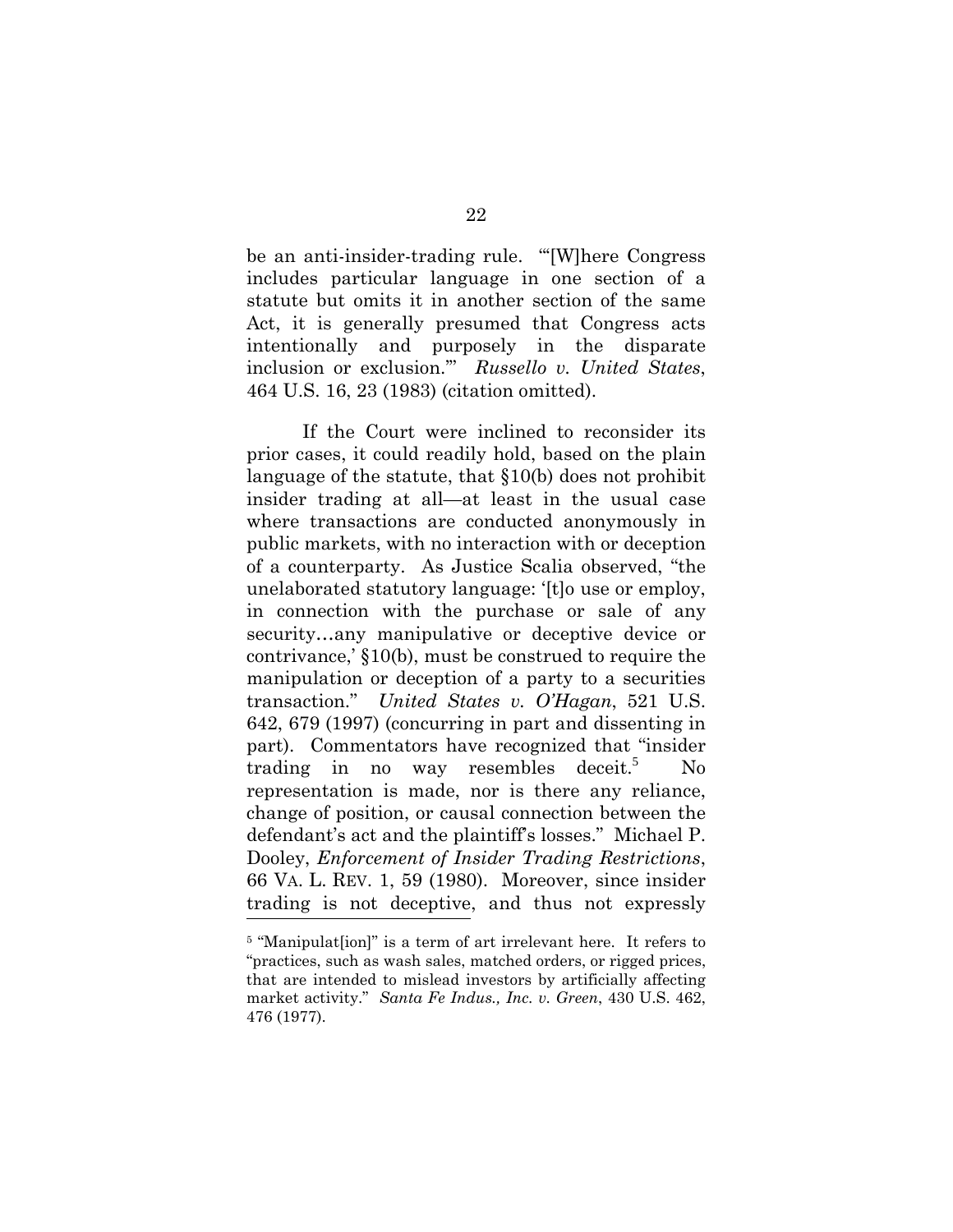be an anti-insider-trading rule. "'[W]here Congress includes particular language in one section of a statute but omits it in another section of the same Act, it is generally presumed that Congress acts intentionally and purposely in the disparate inclusion or exclusion.'" *Russello v. United States*, 464 U.S. 16, 23 (1983) (citation omitted).

If the Court were inclined to reconsider its prior cases, it could readily hold, based on the plain language of the statute, that §10(b) does not prohibit insider trading at all—at least in the usual case where transactions are conducted anonymously in public markets, with no interaction with or deception of a counterparty. As Justice Scalia observed, "the unelaborated statutory language: '[t]o use or employ, in connection with the purchase or sale of any security…any manipulative or deceptive device or contrivance,' §10(b), must be construed to require the manipulation or deception of a party to a securities transaction." *United States v. O'Hagan*, 521 U.S. 642, 679 (1997) (concurring in part and dissenting in part). Commentators have recognized that "insider trading in no way resembles deceit.<sup>5</sup> No representation is made, nor is there any reliance, change of position, or causal connection between the defendant's act and the plaintiff's losses." Michael P. Dooley, *Enforcement of Insider Trading Restrictions*, 66 VA. L. REV. 1, 59 (1980). Moreover, since insider trading is not deceptive, and thus not expressly  $\overline{a}$ 

<sup>&</sup>lt;sup>5</sup> "Manipulat[ion]" is a term of art irrelevant here. It refers to "practices, such as wash sales, matched orders, or rigged prices, that are intended to mislead investors by artificially affecting market activity." *Santa Fe Indus., Inc. v. Green*, 430 U.S. 462, 476 (1977).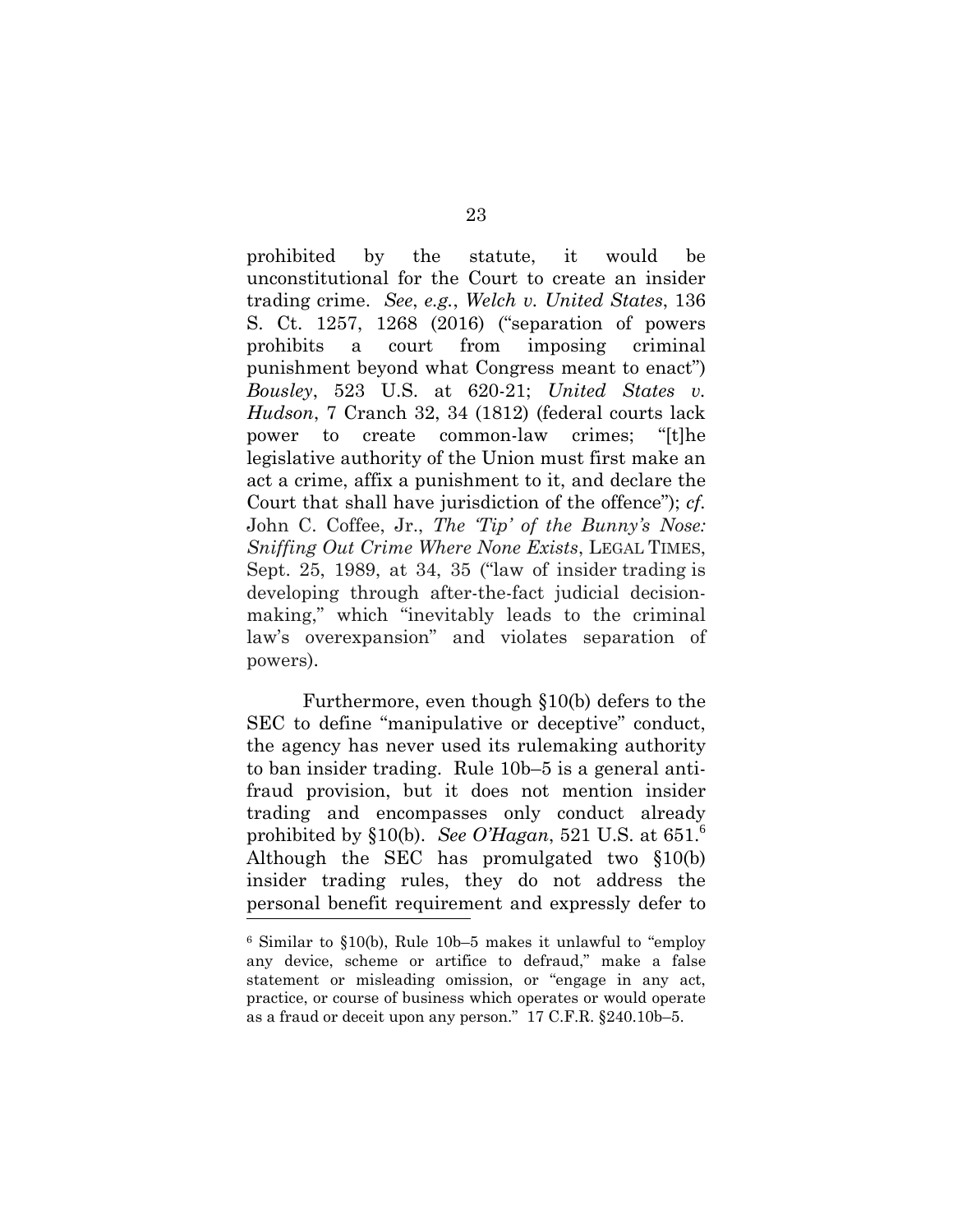prohibited by the statute, it would be unconstitutional for the Court to create an insider trading crime. *See*, *e.g.*, *Welch v. United States*, 136 S. Ct. 1257, 1268 (2016) ("separation of powers prohibits a court from imposing criminal punishment beyond what Congress meant to enact") *Bousley*, 523 U.S. at 620-21; *United States v. Hudson*, 7 Cranch 32, 34 (1812) (federal courts lack power to create common-law crimes; "[t]he legislative authority of the Union must first make an act a crime, affix a punishment to it, and declare the Court that shall have jurisdiction of the offence"); *cf.*  John C. Coffee, Jr., *The 'Tip' of the Bunny's Nose: Sniffing Out Crime Where None Exists*, LEGAL TIMES, Sept. 25, 1989, at 34, 35 ("law of insider trading is developing through after-the-fact judicial decisionmaking," which "inevitably leads to the criminal law's overexpansion" and violates separation of powers).

 Furthermore, even though §10(b) defers to the SEC to define "manipulative or deceptive" conduct, the agency has never used its rulemaking authority to ban insider trading. Rule 10b–5 is a general antifraud provision, but it does not mention insider trading and encompasses only conduct already prohibited by §10(b). *See O'Hagan*, 521 U.S. at  $651<sup>6</sup>$ Although the SEC has promulgated two §10(b) insider trading rules, they do not address the personal benefit requirement and expressly defer to  $\frac{1}{\sqrt{2}}$ 

<sup>6</sup> Similar to §10(b), Rule 10b–5 makes it unlawful to "employ any device, scheme or artifice to defraud," make a false statement or misleading omission, or "engage in any act, practice, or course of business which operates or would operate as a fraud or deceit upon any person." 17 C.F.R. §240.10b–5.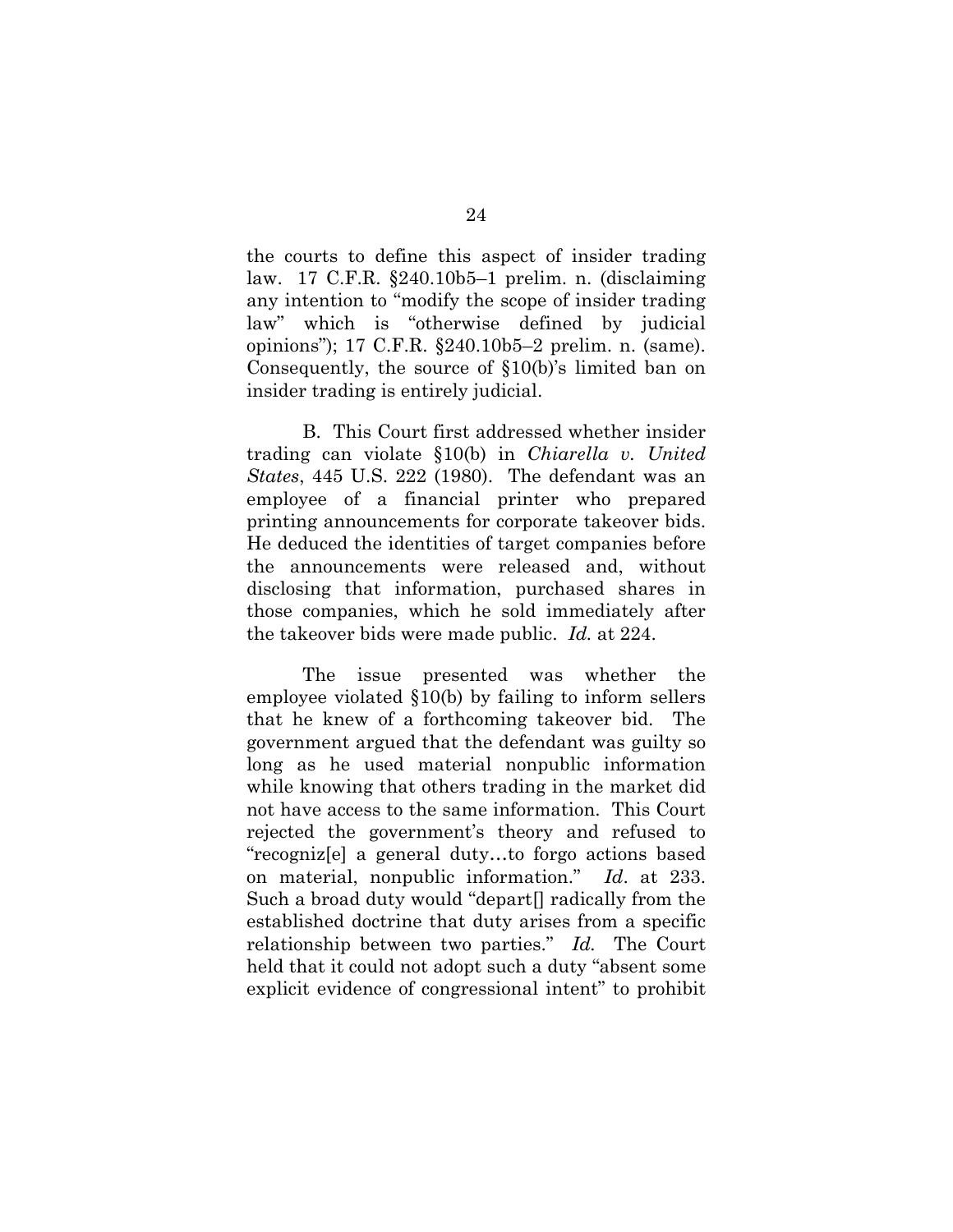the courts to define this aspect of insider trading law. 17 C.F.R. §240.10b5–1 prelim. n. (disclaiming any intention to "modify the scope of insider trading law" which is "otherwise defined by judicial opinions"); 17 C.F.R. §240.10b5–2 prelim. n. (same). Consequently, the source of §10(b)'s limited ban on insider trading is entirely judicial.

B. This Court first addressed whether insider trading can violate §10(b) in *Chiarella v. United States*, 445 U.S. 222 (1980). The defendant was an employee of a financial printer who prepared printing announcements for corporate takeover bids. He deduced the identities of target companies before the announcements were released and, without disclosing that information, purchased shares in those companies, which he sold immediately after the takeover bids were made public. *Id.* at 224.

The issue presented was whether the employee violated §10(b) by failing to inform sellers that he knew of a forthcoming takeover bid. The government argued that the defendant was guilty so long as he used material nonpublic information while knowing that others trading in the market did not have access to the same information. This Court rejected the government's theory and refused to "recogniz[e] a general duty…to forgo actions based on material, nonpublic information." *Id*. at 233. Such a broad duty would "depart[] radically from the established doctrine that duty arises from a specific relationship between two parties." *Id.* The Court held that it could not adopt such a duty "absent some explicit evidence of congressional intent" to prohibit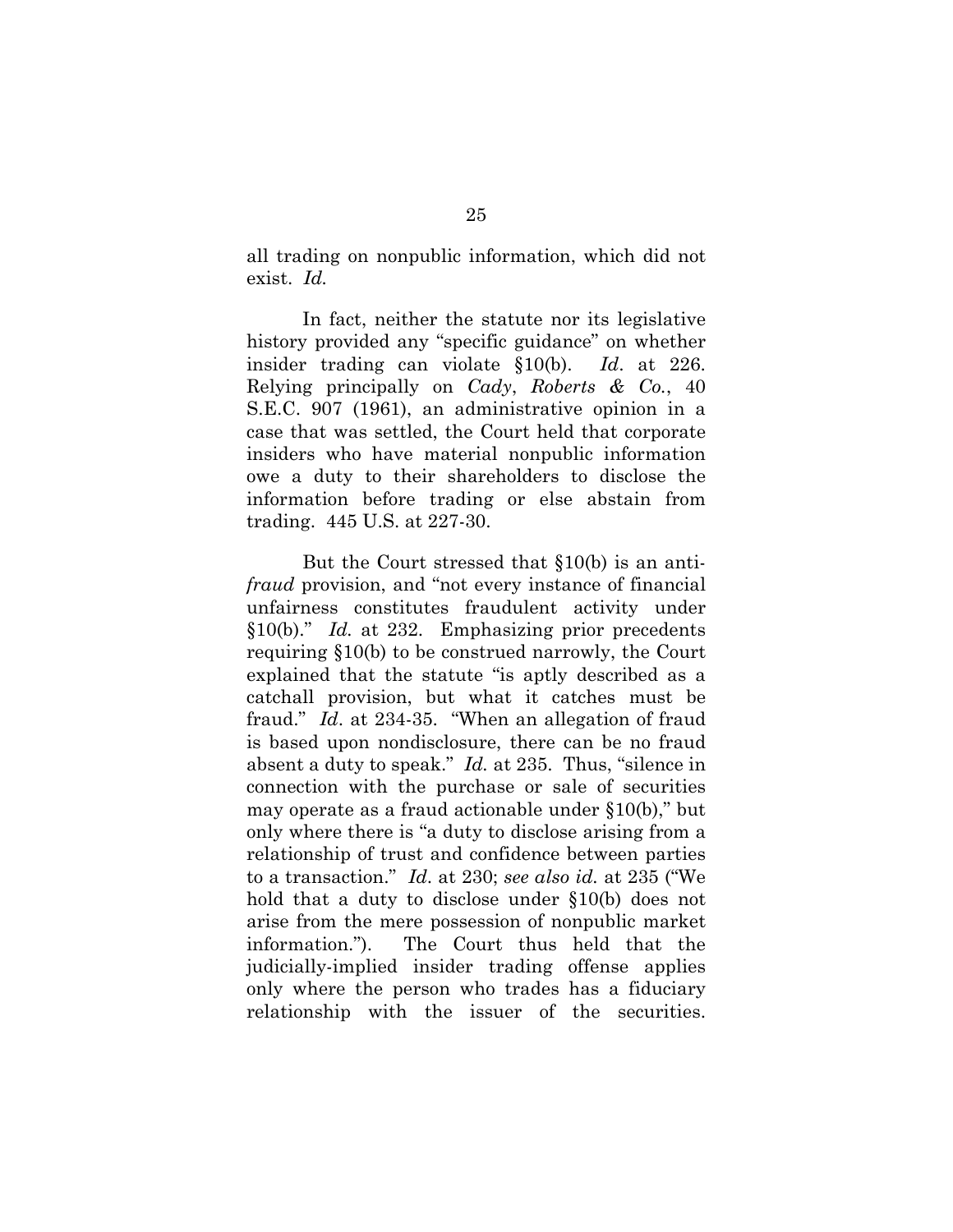all trading on nonpublic information, which did not exist. *Id.*

In fact, neither the statute nor its legislative history provided any "specific guidance" on whether insider trading can violate §10(b). *Id*. at 226. Relying principally on *Cady*, *Roberts & Co.*, 40 S.E.C. 907 (1961), an administrative opinion in a case that was settled, the Court held that corporate insiders who have material nonpublic information owe a duty to their shareholders to disclose the information before trading or else abstain from trading. 445 U.S. at 227-30.

But the Court stressed that §10(b) is an anti*fraud* provision, and "not every instance of financial unfairness constitutes fraudulent activity under §10(b)." *Id.* at 232. Emphasizing prior precedents requiring §10(b) to be construed narrowly, the Court explained that the statute "is aptly described as a catchall provision, but what it catches must be fraud." *Id*. at 234-35. "When an allegation of fraud is based upon nondisclosure, there can be no fraud absent a duty to speak." *Id.* at 235. Thus, "silence in connection with the purchase or sale of securities may operate as a fraud actionable under §10(b)," but only where there is "a duty to disclose arising from a relationship of trust and confidence between parties to a transaction." *Id*. at 230; *see also id.* at 235 ("We hold that a duty to disclose under §10(b) does not arise from the mere possession of nonpublic market information."). The Court thus held that the judicially-implied insider trading offense applies only where the person who trades has a fiduciary relationship with the issuer of the securities.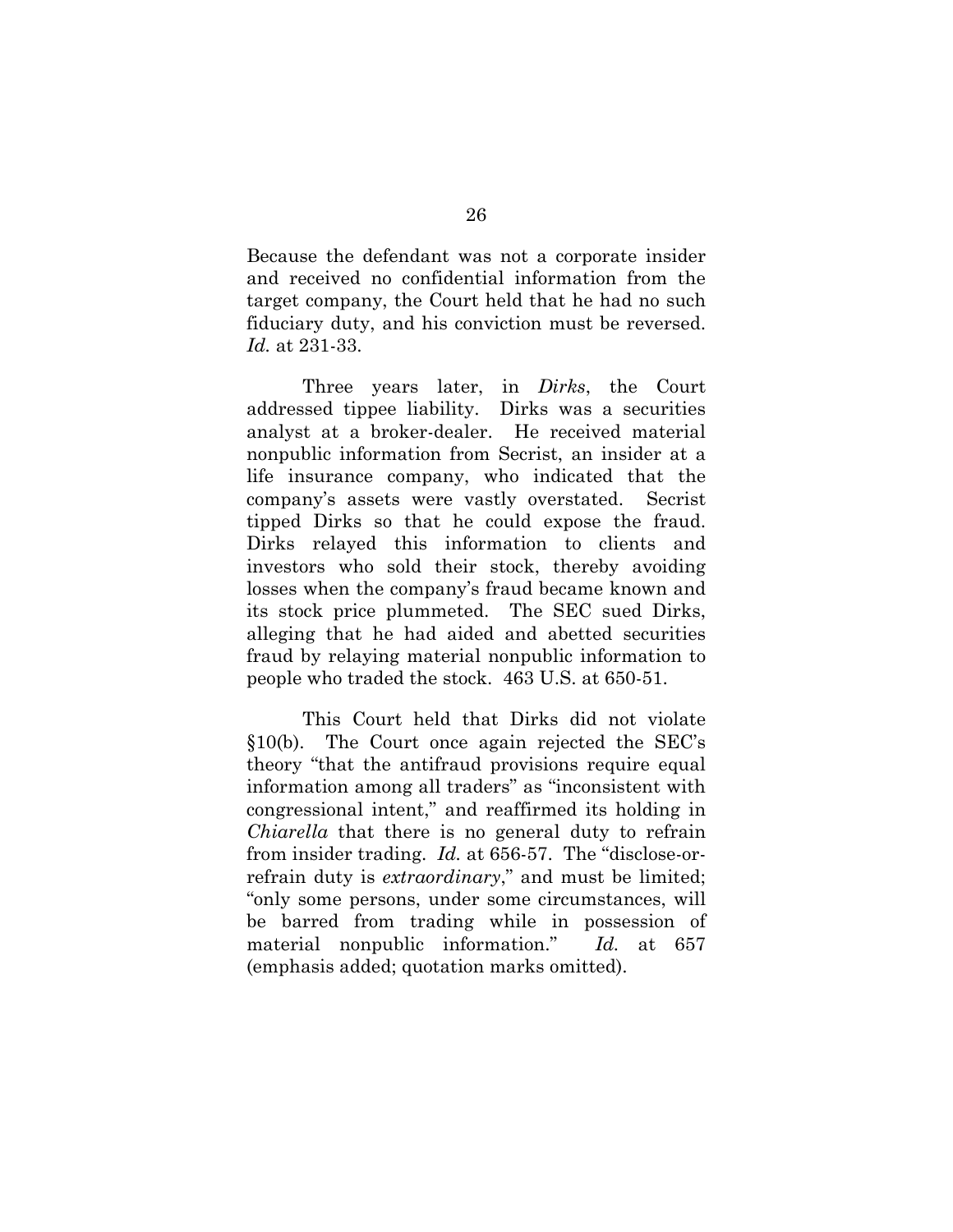Because the defendant was not a corporate insider and received no confidential information from the target company, the Court held that he had no such fiduciary duty, and his conviction must be reversed. *Id.* at 231-33.

Three years later, in *Dirks*, the Court addressed tippee liability. Dirks was a securities analyst at a broker-dealer. He received material nonpublic information from Secrist, an insider at a life insurance company, who indicated that the company's assets were vastly overstated. Secrist tipped Dirks so that he could expose the fraud. Dirks relayed this information to clients and investors who sold their stock, thereby avoiding losses when the company's fraud became known and its stock price plummeted. The SEC sued Dirks, alleging that he had aided and abetted securities fraud by relaying material nonpublic information to people who traded the stock. 463 U.S. at 650-51.

This Court held that Dirks did not violate §10(b). The Court once again rejected the SEC's theory "that the antifraud provisions require equal information among all traders" as "inconsistent with congressional intent," and reaffirmed its holding in *Chiarella* that there is no general duty to refrain from insider trading. *Id.* at 656-57. The "disclose-orrefrain duty is *extraordinary*," and must be limited; "only some persons, under some circumstances, will be barred from trading while in possession of material nonpublic information." *Id.* at 657 (emphasis added; quotation marks omitted).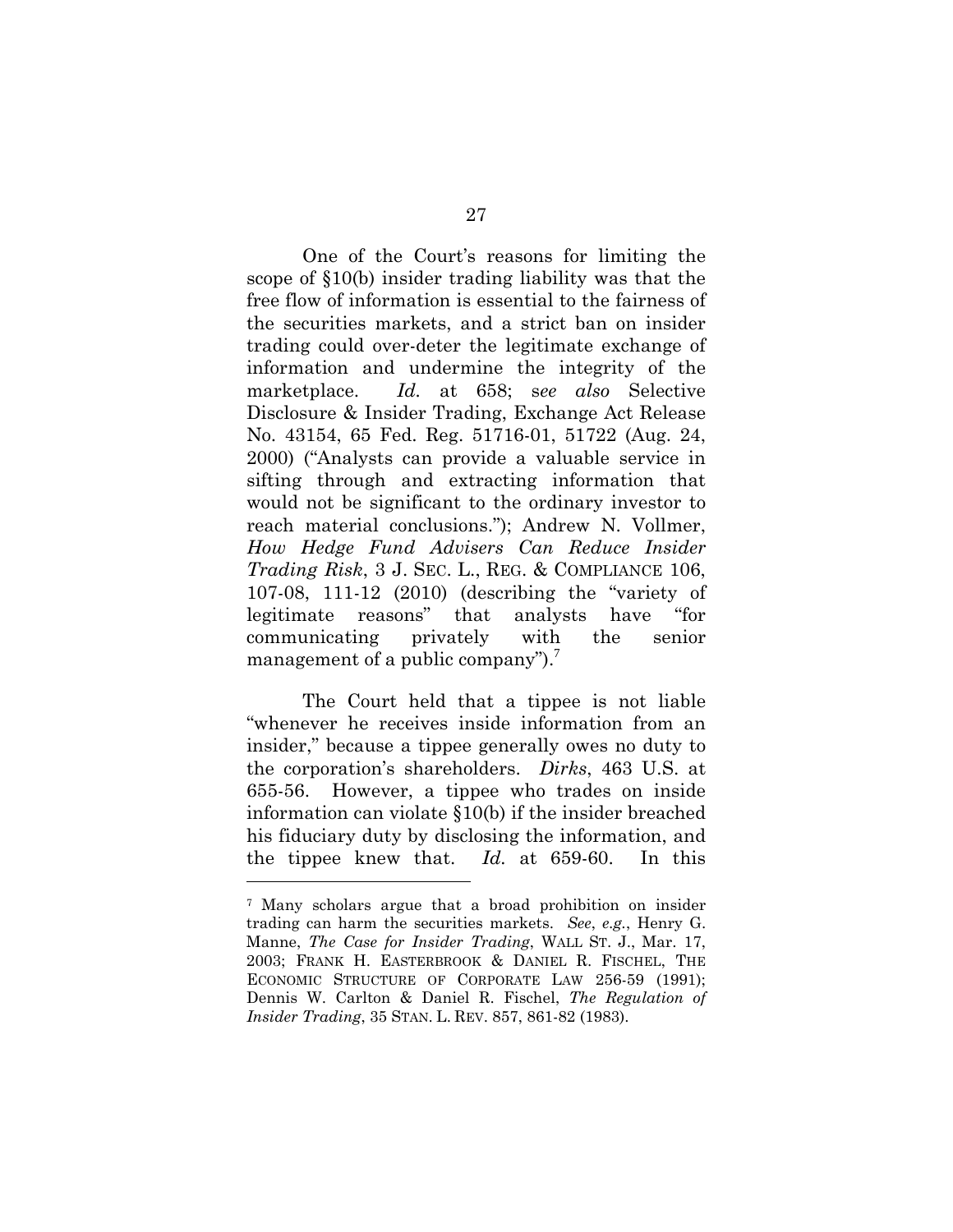One of the Court's reasons for limiting the scope of §10(b) insider trading liability was that the free flow of information is essential to the fairness of the securities markets, and a strict ban on insider trading could over-deter the legitimate exchange of information and undermine the integrity of the marketplace. *Id.* at 658; s*ee also* Selective Disclosure & Insider Trading, Exchange Act Release No. 43154, 65 Fed. Reg. 51716-01, 51722 (Aug. 24, 2000) ("Analysts can provide a valuable service in sifting through and extracting information that would not be significant to the ordinary investor to reach material conclusions."); Andrew N. Vollmer, *How Hedge Fund Advisers Can Reduce Insider Trading Risk*, 3 J. SEC. L., REG. & COMPLIANCE 106, 107-08, 111-12 (2010) (describing the "variety of legitimate reasons" that analysts have "for communicating privately with the senior management of a public company").<sup>7</sup>

The Court held that a tippee is not liable "whenever he receives inside information from an insider," because a tippee generally owes no duty to the corporation's shareholders. *Dirks*, 463 U.S. at 655-56. However, a tippee who trades on inside information can violate §10(b) if the insider breached his fiduciary duty by disclosing the information, and the tippee knew that. *Id.* at 659-60. In this

l

<sup>7</sup> Many scholars argue that a broad prohibition on insider trading can harm the securities markets. *See*, *e.g.*, Henry G. Manne, *The Case for Insider Trading*, WALL ST. J., Mar. 17, 2003; FRANK H. EASTERBROOK & DANIEL R. FISCHEL, THE ECONOMIC STRUCTURE OF CORPORATE LAW 256-59 (1991); Dennis W. Carlton & Daniel R. Fischel, *The Regulation of Insider Trading*, 35 STAN. L. REV. 857, 861-82 (1983).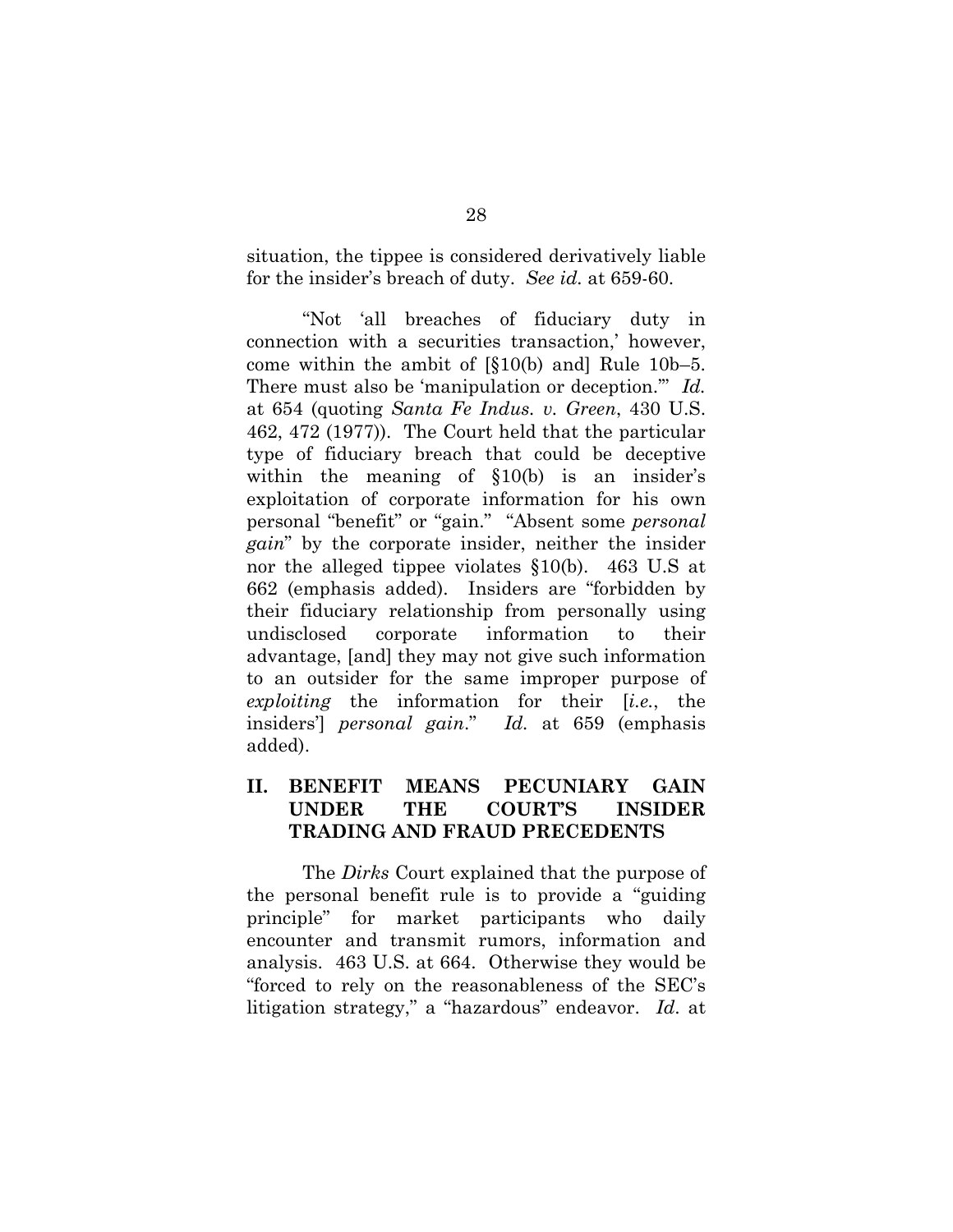situation, the tippee is considered derivatively liable for the insider's breach of duty. *See id.* at 659-60.

"Not 'all breaches of fiduciary duty in connection with a securities transaction,' however, come within the ambit of [§10(b) and] Rule 10b–5. There must also be 'manipulation or deception.'" *Id.* at 654 (quoting *Santa Fe Indus. v. Green*, 430 U.S. 462, 472 (1977)). The Court held that the particular type of fiduciary breach that could be deceptive within the meaning of  $\S10(b)$  is an insider's exploitation of corporate information for his own personal "benefit" or "gain." "Absent some *personal gain*" by the corporate insider, neither the insider nor the alleged tippee violates §10(b). 463 U.S at 662 (emphasis added). Insiders are "forbidden by their fiduciary relationship from personally using undisclosed corporate information to their advantage, [and] they may not give such information to an outsider for the same improper purpose of *exploiting* the information for their [*i.e.*, the insiders'] *personal gain*." *Id.* at 659 (emphasis added).

# **II. BENEFIT MEANS PECUNIARY GAIN UNDER THE COURT'S INSIDER TRADING AND FRAUD PRECEDENTS**

The *Dirks* Court explained that the purpose of the personal benefit rule is to provide a "guiding principle" for market participants who daily encounter and transmit rumors, information and analysis. 463 U.S. at 664. Otherwise they would be "forced to rely on the reasonableness of the SEC's litigation strategy," a "hazardous" endeavor. *Id*. at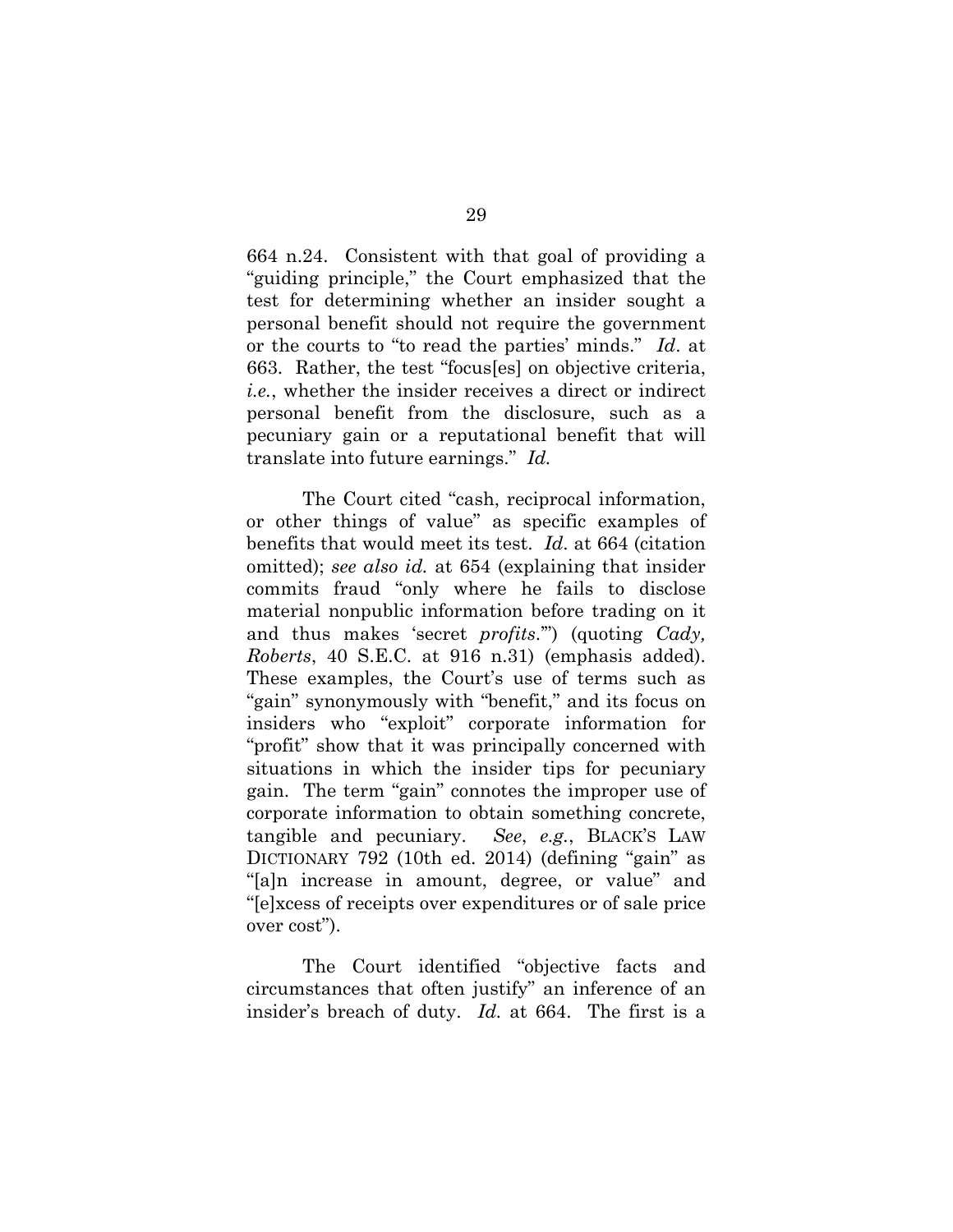664 n.24. Consistent with that goal of providing a "guiding principle," the Court emphasized that the test for determining whether an insider sought a personal benefit should not require the government or the courts to "to read the parties' minds." *Id*. at 663. Rather, the test "focus[es] on objective criteria, *i.e.*, whether the insider receives a direct or indirect personal benefit from the disclosure, such as a pecuniary gain or a reputational benefit that will translate into future earnings." *Id.*

The Court cited "cash, reciprocal information, or other things of value" as specific examples of benefits that would meet its test. *Id*. at 664 (citation omitted); *see also id.* at 654 (explaining that insider commits fraud "only where he fails to disclose material nonpublic information before trading on it and thus makes 'secret *profits*.'") (quoting *Cady, Roberts*, 40 S.E.C. at 916 n.31) (emphasis added). These examples, the Court's use of terms such as "gain" synonymously with "benefit," and its focus on insiders who "exploit" corporate information for "profit" show that it was principally concerned with situations in which the insider tips for pecuniary gain. The term "gain" connotes the improper use of corporate information to obtain something concrete, tangible and pecuniary. *See*, *e.g.*, BLACK'S LAW DICTIONARY 792 (10th ed. 2014) (defining "gain" as "[a]n increase in amount, degree, or value" and "[e]xcess of receipts over expenditures or of sale price over cost").

The Court identified "objective facts and circumstances that often justify" an inference of an insider's breach of duty. *Id.* at 664. The first is a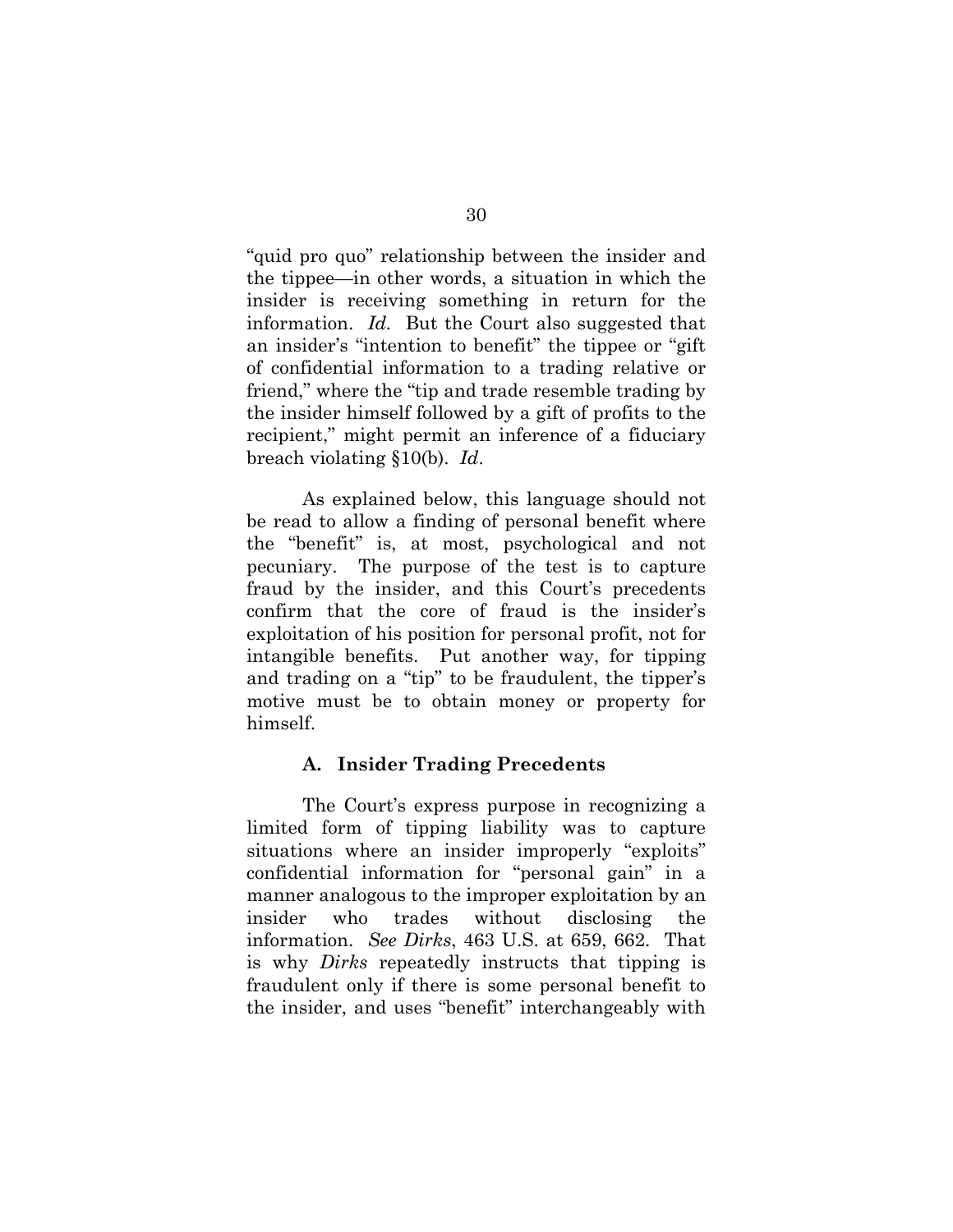"quid pro quo" relationship between the insider and the tippee—in other words, a situation in which the insider is receiving something in return for the information. *Id.* But the Court also suggested that an insider's "intention to benefit" the tippee or "gift of confidential information to a trading relative or friend," where the "tip and trade resemble trading by the insider himself followed by a gift of profits to the recipient," might permit an inference of a fiduciary breach violating §10(b). *Id*.

As explained below, this language should not be read to allow a finding of personal benefit where the "benefit" is, at most, psychological and not pecuniary. The purpose of the test is to capture fraud by the insider, and this Court's precedents confirm that the core of fraud is the insider's exploitation of his position for personal profit, not for intangible benefits. Put another way, for tipping and trading on a "tip" to be fraudulent, the tipper's motive must be to obtain money or property for himself.

### **A. Insider Trading Precedents**

The Court's express purpose in recognizing a limited form of tipping liability was to capture situations where an insider improperly "exploits" confidential information for "personal gain" in a manner analogous to the improper exploitation by an insider who trades without disclosing the information. *See Dirks*, 463 U.S. at 659, 662. That is why *Dirks* repeatedly instructs that tipping is fraudulent only if there is some personal benefit to the insider, and uses "benefit" interchangeably with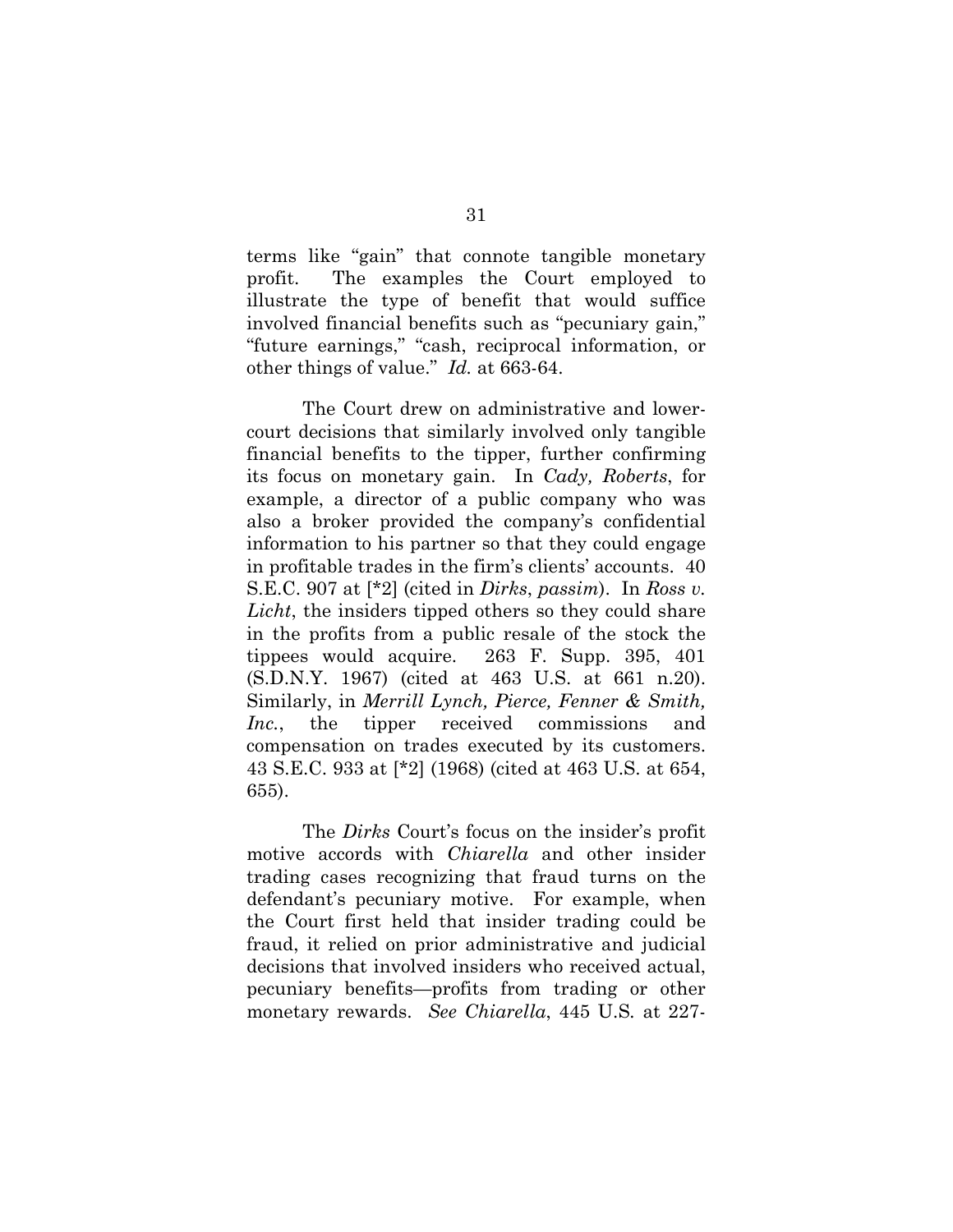terms like "gain" that connote tangible monetary profit. The examples the Court employed to illustrate the type of benefit that would suffice involved financial benefits such as "pecuniary gain," "future earnings," "cash, reciprocal information, or other things of value." *Id.* at 663-64.

The Court drew on administrative and lowercourt decisions that similarly involved only tangible financial benefits to the tipper, further confirming its focus on monetary gain. In *Cady, Roberts*, for example, a director of a public company who was also a broker provided the company's confidential information to his partner so that they could engage in profitable trades in the firm's clients' accounts. 40 S.E.C. 907 at [\*2] (cited in *Dirks*, *passim*).In *Ross v. Licht*, the insiders tipped others so they could share in the profits from a public resale of the stock the tippees would acquire. 263 F. Supp. 395, 401 (S.D.N.Y. 1967) (cited at 463 U.S. at 661 n.20). Similarly, in *Merrill Lynch, Pierce, Fenner & Smith, Inc.*, the tipper received commissions and compensation on trades executed by its customers. 43 S.E.C. 933 at [\*2] (1968) (cited at 463 U.S. at 654, 655).

The *Dirks* Court's focus on the insider's profit motive accords with *Chiarella* and other insider trading cases recognizing that fraud turns on the defendant's pecuniary motive. For example, when the Court first held that insider trading could be fraud, it relied on prior administrative and judicial decisions that involved insiders who received actual, pecuniary benefits—profits from trading or other monetary rewards. *See Chiarella*, 445 U.S*.* at 227-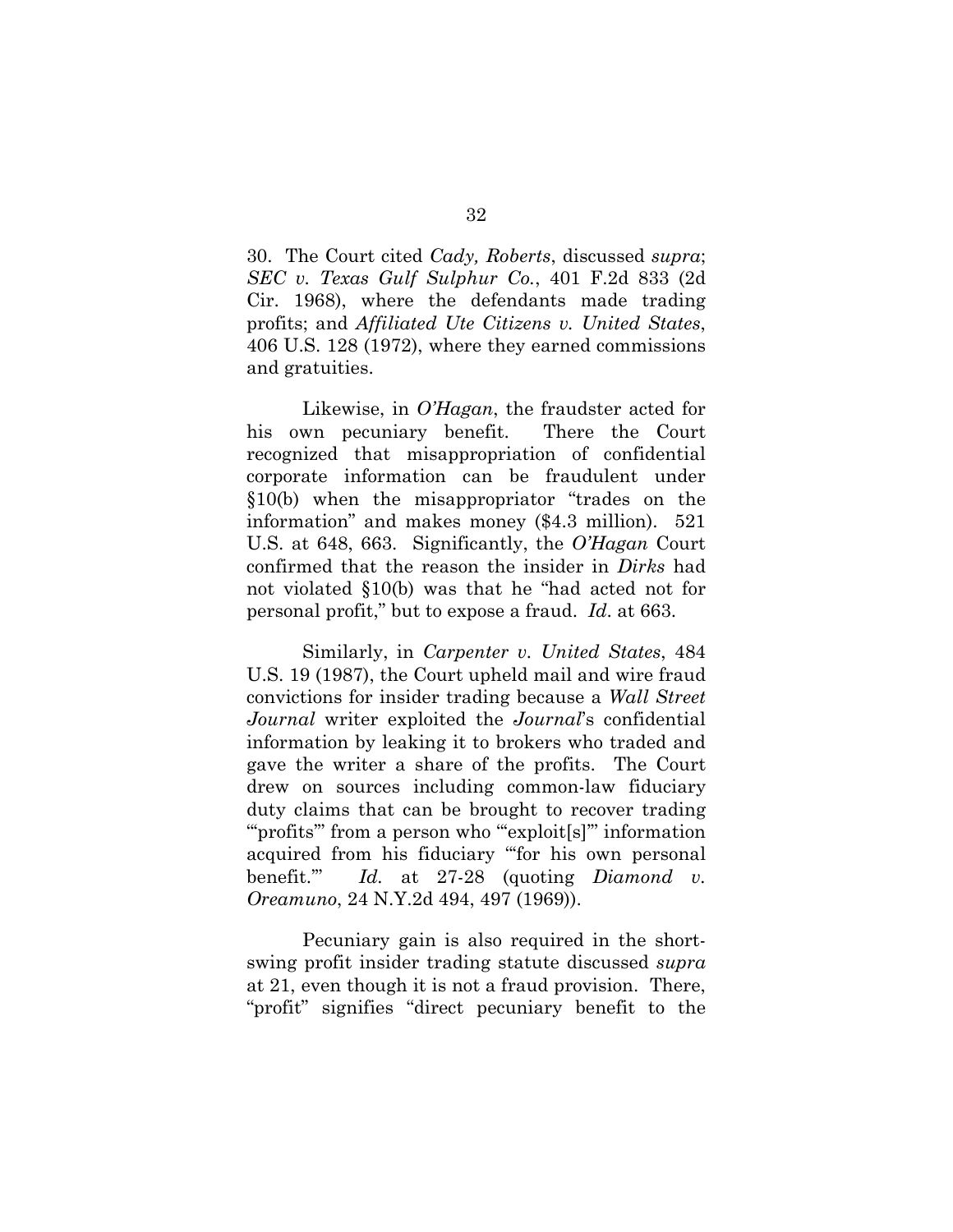30. The Court cited *Cady, Roberts*, discussed *supra*; *SEC v. Texas Gulf Sulphur Co.*, 401 F.2d 833 (2d Cir. 1968), where the defendants made trading profits; and *Affiliated Ute Citizens v. United States*, 406 U.S. 128 (1972), where they earned commissions and gratuities.

Likewise, in *O'Hagan*, the fraudster acted for his own pecuniary benefit. There the Court recognized that misappropriation of confidential corporate information can be fraudulent under §10(b) when the misappropriator "trades on the information" and makes money (\$4.3 million). 521 U.S. at 648, 663. Significantly, the *O'Hagan* Court confirmed that the reason the insider in *Dirks* had not violated §10(b) was that he "had acted not for personal profit," but to expose a fraud. *Id*. at 663.

Similarly, in *Carpenter v. United States*, 484 U.S. 19 (1987), the Court upheld mail and wire fraud convictions for insider trading because a *Wall Street Journal* writer exploited the *Journal*'s confidential information by leaking it to brokers who traded and gave the writer a share of the profits. The Court drew on sources including common-law fiduciary duty claims that can be brought to recover trading "profits" from a person who "exploit[s]" information acquired from his fiduciary "'for his own personal benefit.'" *Id.* at 27-28 (quoting *Diamond v. Oreamuno*, 24 N.Y.2d 494, 497 (1969)).

Pecuniary gain is also required in the shortswing profit insider trading statute discussed *supra*  at 21, even though it is not a fraud provision. There, "profit" signifies "direct pecuniary benefit to the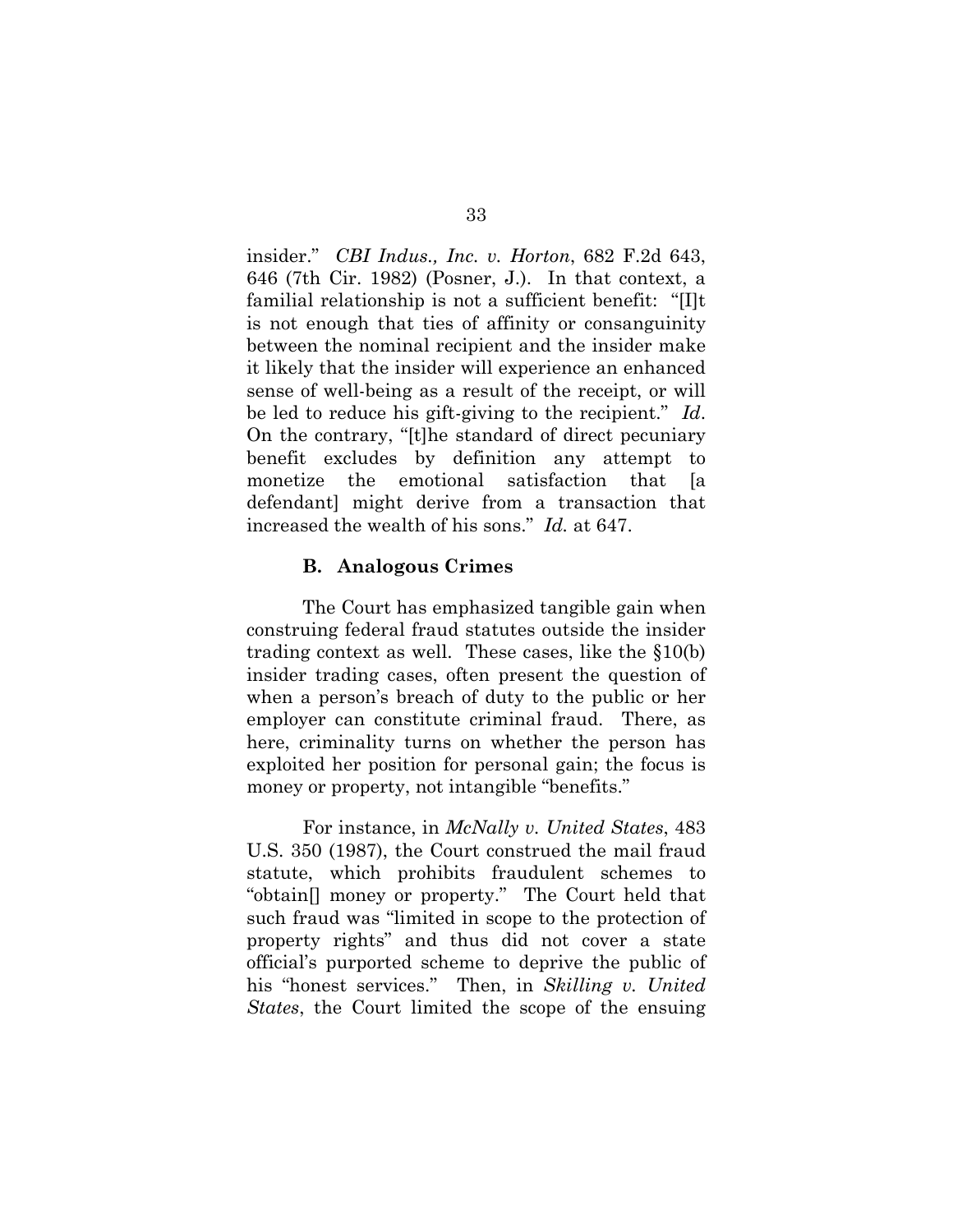insider." *CBI Indus., Inc. v. Horton*, 682 F.2d 643, 646 (7th Cir. 1982) (Posner, J.). In that context, a familial relationship is not a sufficient benefit: "[I]t is not enough that ties of affinity or consanguinity between the nominal recipient and the insider make it likely that the insider will experience an enhanced sense of well-being as a result of the receipt, or will be led to reduce his gift-giving to the recipient." *Id*. On the contrary, "[t]he standard of direct pecuniary benefit excludes by definition any attempt to monetize the emotional satisfaction that [a defendant] might derive from a transaction that increased the wealth of his sons." *Id.* at 647.

#### **B. Analogous Crimes**

The Court has emphasized tangible gain when construing federal fraud statutes outside the insider trading context as well. These cases, like the §10(b) insider trading cases, often present the question of when a person's breach of duty to the public or her employer can constitute criminal fraud. There, as here, criminality turns on whether the person has exploited her position for personal gain; the focus is money or property, not intangible "benefits."

For instance, in *McNally v. United States*, 483 U.S. 350 (1987), the Court construed the mail fraud statute, which prohibits fraudulent schemes to "obtain[] money or property." The Court held that such fraud was "limited in scope to the protection of property rights" and thus did not cover a state official's purported scheme to deprive the public of his "honest services." Then, in *Skilling v. United States*, the Court limited the scope of the ensuing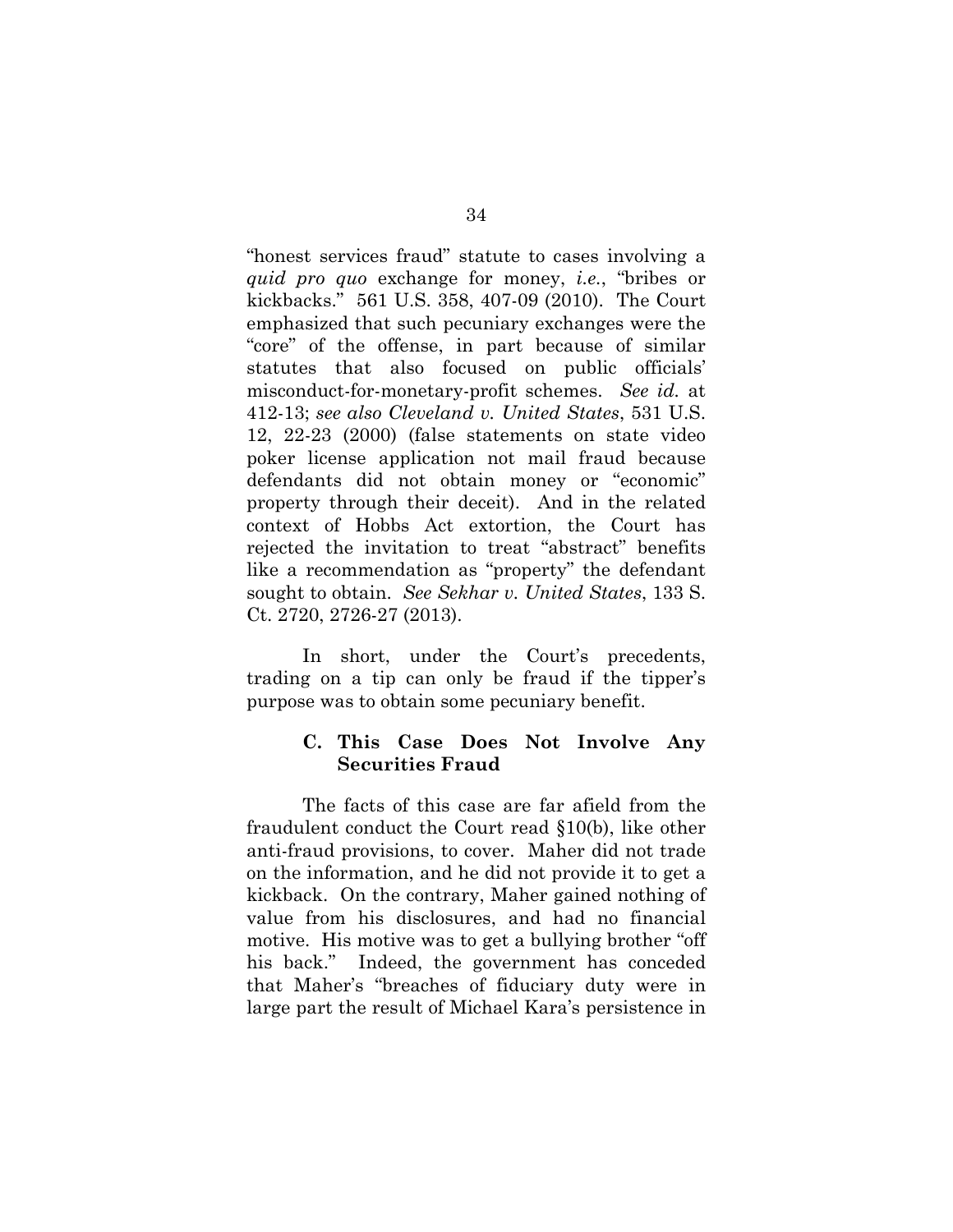"honest services fraud" statute to cases involving a *quid pro quo* exchange for money, *i.e.*, "bribes or kickbacks." 561 U.S. 358, 407-09 (2010). The Court emphasized that such pecuniary exchanges were the "core" of the offense, in part because of similar statutes that also focused on public officials' misconduct-for-monetary-profit schemes. *See id.* at 412-13; *see also Cleveland v. United States*, 531 U.S. 12, 22-23 (2000) (false statements on state video poker license application not mail fraud because defendants did not obtain money or "economic" property through their deceit). And in the related context of Hobbs Act extortion, the Court has rejected the invitation to treat "abstract" benefits like a recommendation as "property" the defendant sought to obtain. *See Sekhar v. United States*, 133 S. Ct. 2720, 2726-27 (2013).

In short, under the Court's precedents, trading on a tip can only be fraud if the tipper's purpose was to obtain some pecuniary benefit.

## **C. This Case Does Not Involve Any Securities Fraud**

The facts of this case are far afield from the fraudulent conduct the Court read §10(b), like other anti-fraud provisions, to cover. Maher did not trade on the information, and he did not provide it to get a kickback. On the contrary, Maher gained nothing of value from his disclosures, and had no financial motive. His motive was to get a bullying brother "off his back." Indeed, the government has conceded that Maher's "breaches of fiduciary duty were in large part the result of Michael Kara's persistence in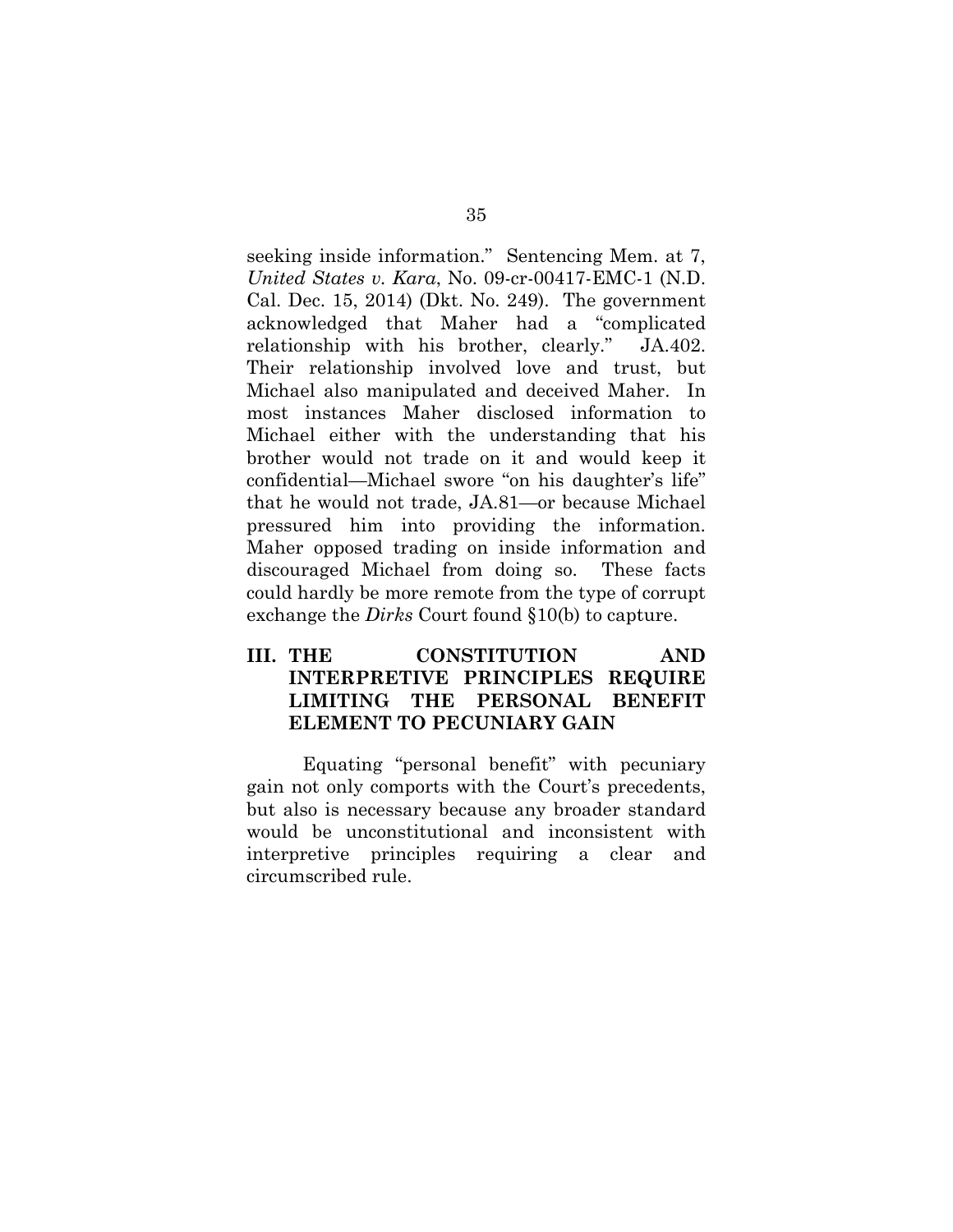seeking inside information." Sentencing Mem. at 7, *United States v. Kara*, No. 09-cr-00417-EMC-1 (N.D. Cal. Dec. 15, 2014) (Dkt. No. 249). The government acknowledged that Maher had a "complicated relationship with his brother, clearly." JA.402. Their relationship involved love and trust, but Michael also manipulated and deceived Maher. In most instances Maher disclosed information to Michael either with the understanding that his brother would not trade on it and would keep it confidential—Michael swore "on his daughter's life" that he would not trade, JA.81—or because Michael pressured him into providing the information. Maher opposed trading on inside information and discouraged Michael from doing so. These facts could hardly be more remote from the type of corrupt exchange the *Dirks* Court found §10(b) to capture.

# **III. THE CONSTITUTION AND INTERPRETIVE PRINCIPLES REQUIRE LIMITING THE PERSONAL BENEFIT ELEMENT TO PECUNIARY GAIN**

Equating "personal benefit" with pecuniary gain not only comports with the Court's precedents, but also is necessary because any broader standard would be unconstitutional and inconsistent with interpretive principles requiring a clear and circumscribed rule.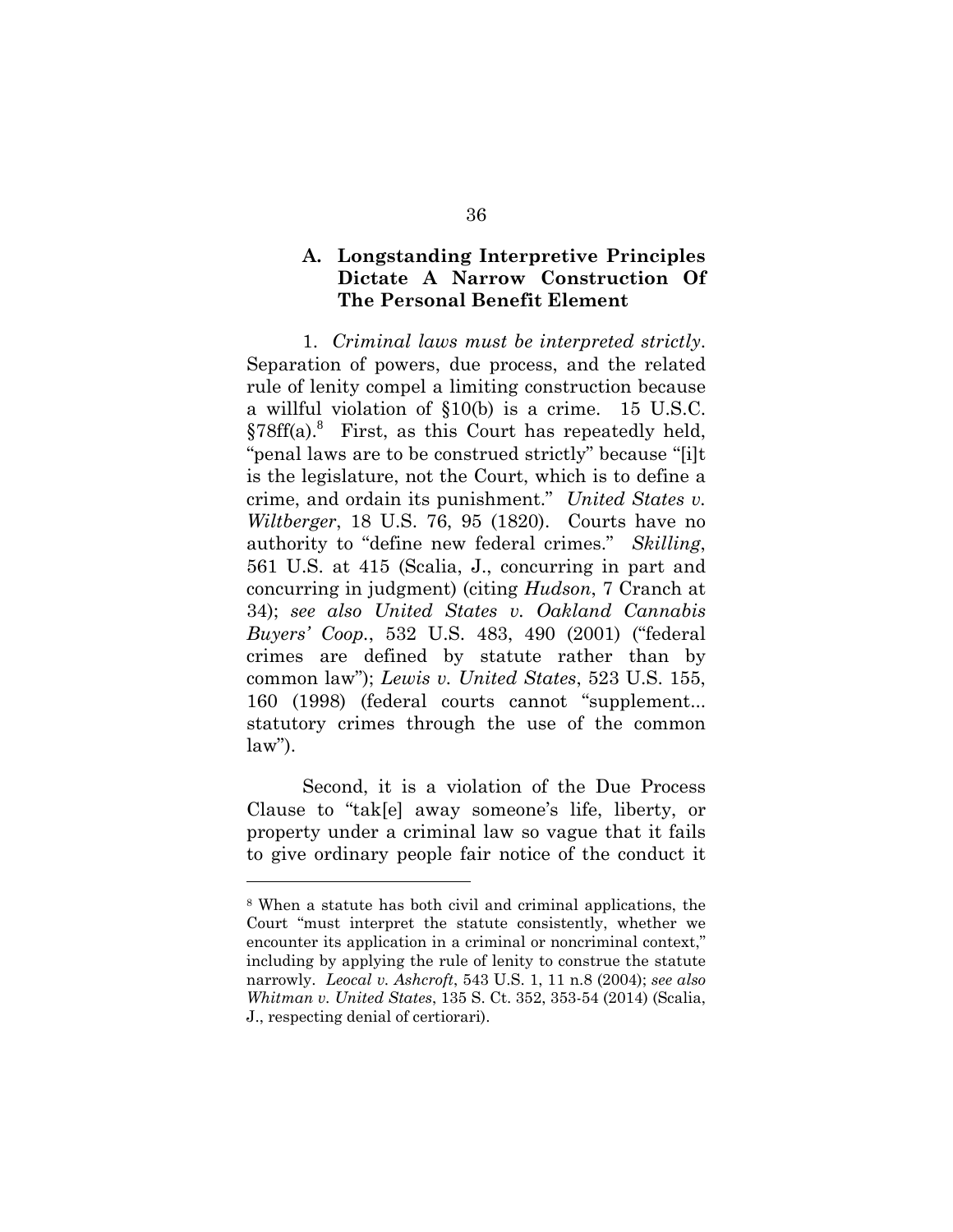## **A. Longstanding Interpretive Principles Dictate A Narrow Construction Of The Personal Benefit Element**

1. *Criminal laws must be interpreted strictly*. Separation of powers, due process, and the related rule of lenity compel a limiting construction because a willful violation of §10(b) is a crime. 15 U.S.C. §78ff(a).<sup>8</sup> First, as this Court has repeatedly held, "penal laws are to be construed strictly" because "[i]t is the legislature, not the Court, which is to define a crime, and ordain its punishment." *United States v. Wiltberger*, 18 U.S. 76, 95 (1820). Courts have no authority to "define new federal crimes." *Skilling*, 561 U.S. at 415 (Scalia, J., concurring in part and concurring in judgment) (citing *Hudson*, 7 Cranch at 34); *see also United States v. Oakland Cannabis Buyers' Coop.*, 532 U.S. 483, 490 (2001) ("federal crimes are defined by statute rather than by common law"); *Lewis v. United States*, 523 U.S. 155, 160 (1998) (federal courts cannot "supplement... statutory crimes through the use of the common  $law$ ").

Second, it is a violation of the Due Process Clause to "tak[e] away someone's life, liberty, or property under a criminal law so vague that it fails to give ordinary people fair notice of the conduct it

l

<sup>8</sup> When a statute has both civil and criminal applications, the Court "must interpret the statute consistently, whether we encounter its application in a criminal or noncriminal context," including by applying the rule of lenity to construe the statute narrowly. *Leocal v. Ashcroft*, 543 U.S. 1, 11 n.8 (2004); *see also Whitman v. United States*, 135 S. Ct. 352, 353-54 (2014) (Scalia, J., respecting denial of certiorari).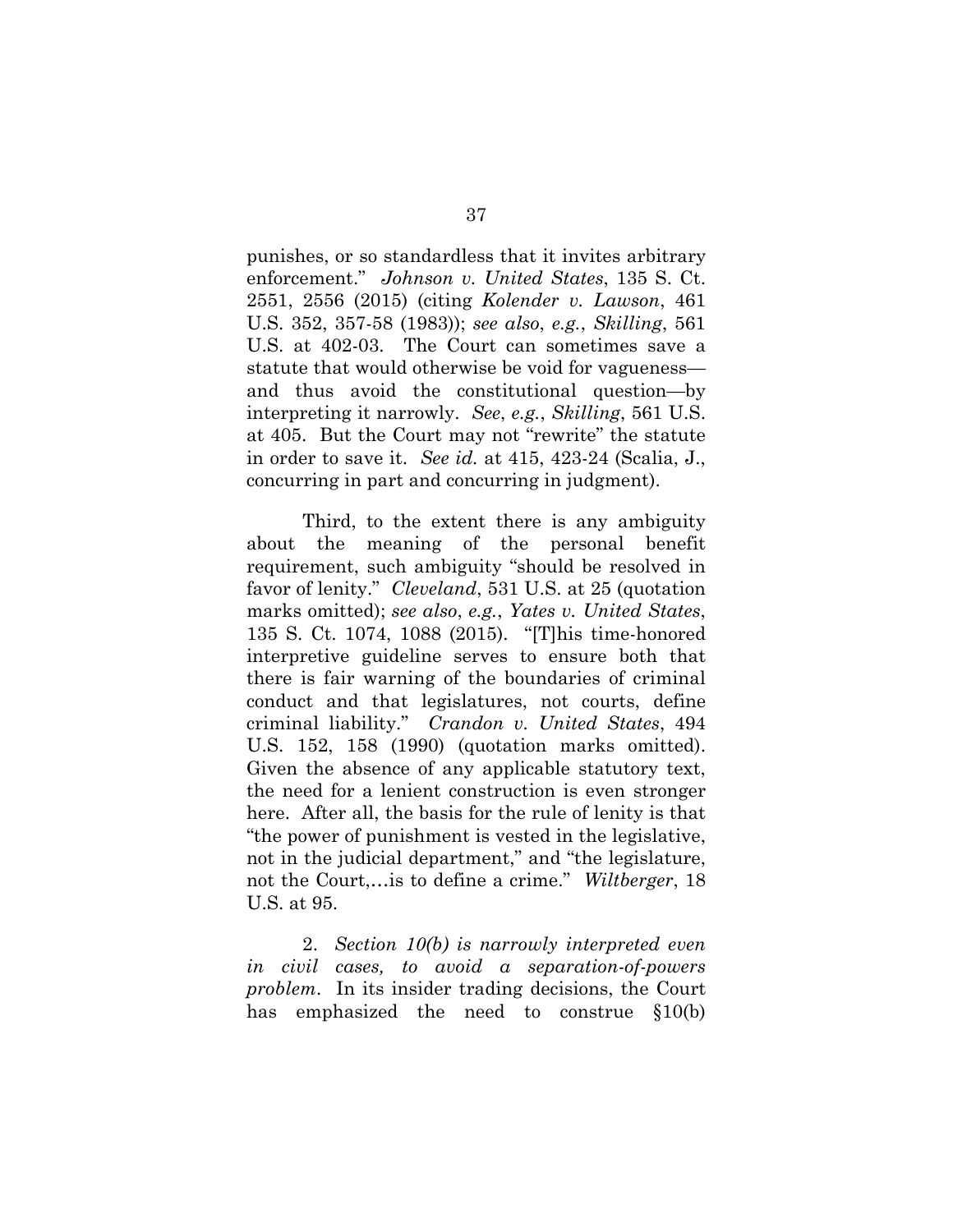punishes, or so standardless that it invites arbitrary enforcement." *Johnson v. United States*, 135 S. Ct. 2551, 2556 (2015) (citing *Kolender v. Lawson*, 461 U.S. 352, 357-58 (1983)); *see also*, *e.g.*, *Skilling*, 561 U.S. at 402-03. The Court can sometimes save a statute that would otherwise be void for vagueness and thus avoid the constitutional question—by interpreting it narrowly. *See*, *e.g.*, *Skilling*, 561 U.S. at 405. But the Court may not "rewrite" the statute in order to save it. *See id.* at 415, 423-24 (Scalia, J., concurring in part and concurring in judgment).

Third, to the extent there is any ambiguity about the meaning of the personal benefit requirement, such ambiguity "should be resolved in favor of lenity." *Cleveland*, 531 U.S. at 25 (quotation marks omitted); *see also*, *e.g.*, *Yates v. United States*, 135 S. Ct. 1074, 1088 (2015). "[T]his time-honored interpretive guideline serves to ensure both that there is fair warning of the boundaries of criminal conduct and that legislatures, not courts, define criminal liability." *Crandon v. United States*, 494 U.S. 152, 158 (1990) (quotation marks omitted). Given the absence of any applicable statutory text, the need for a lenient construction is even stronger here. After all, the basis for the rule of lenity is that "the power of punishment is vested in the legislative, not in the judicial department," and "the legislature, not the Court,…is to define a crime." *Wiltberger*, 18 U.S. at 95.

2. *Section 10(b) is narrowly interpreted even in civil cases, to avoid a separation-of-powers problem*. In its insider trading decisions, the Court has emphasized the need to construe §10(b)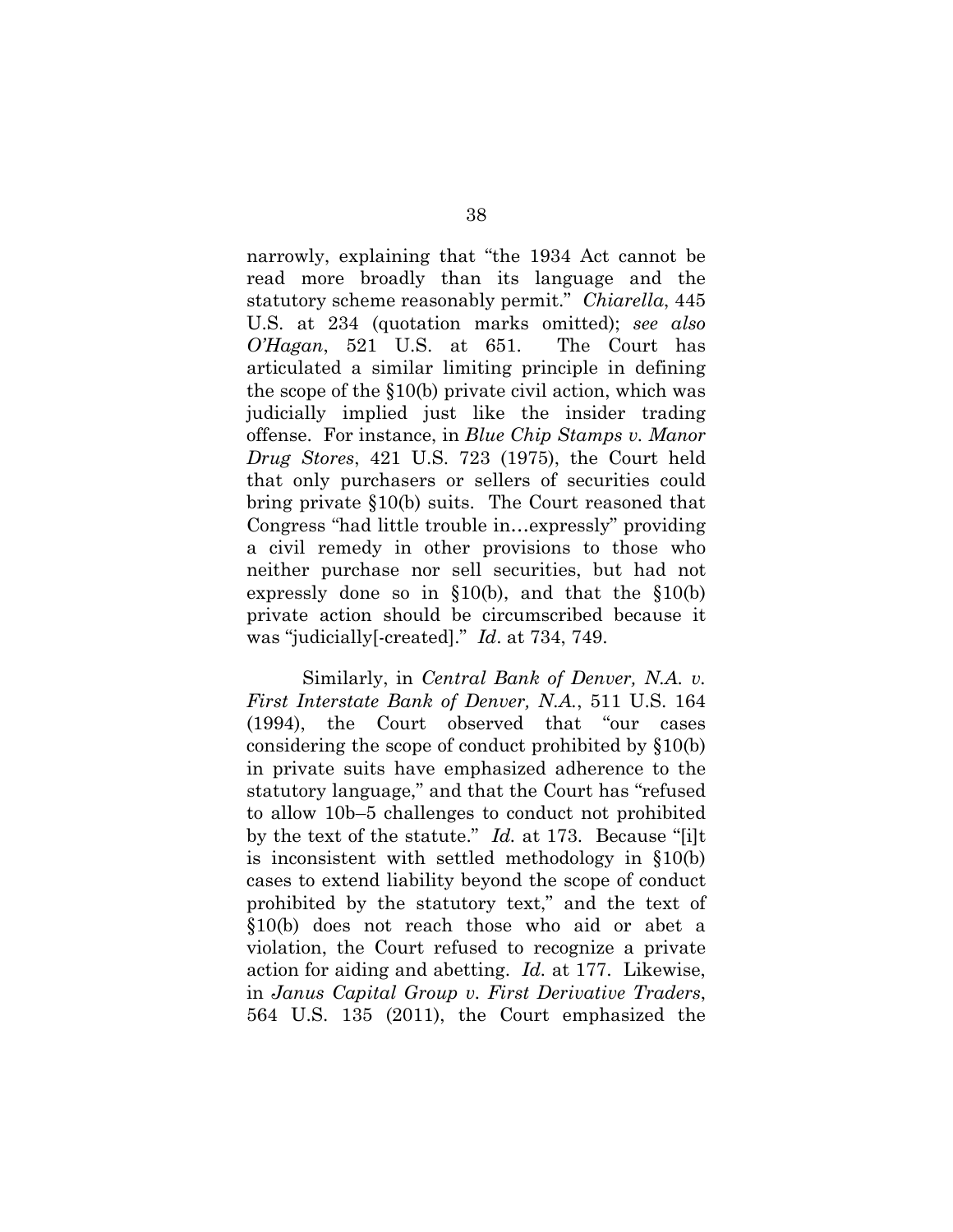narrowly, explaining that "the 1934 Act cannot be read more broadly than its language and the statutory scheme reasonably permit." *Chiarella*, 445 U.S. at 234 (quotation marks omitted); *see also O'Hagan*, 521 U.S. at 651. The Court has articulated a similar limiting principle in defining the scope of the §10(b) private civil action, which was judicially implied just like the insider trading offense. For instance, in *Blue Chip Stamps v. Manor Drug Stores*, 421 U.S. 723 (1975), the Court held that only purchasers or sellers of securities could bring private §10(b) suits. The Court reasoned that Congress "had little trouble in…expressly" providing a civil remedy in other provisions to those who neither purchase nor sell securities, but had not expressly done so in §10(b), and that the §10(b) private action should be circumscribed because it was "judicially[-created]." *Id*. at 734, 749.

Similarly, in *Central Bank of Denver, N.A. v. First Interstate Bank of Denver, N.A.*, 511 U.S. 164 (1994), the Court observed that "our cases considering the scope of conduct prohibited by §10(b) in private suits have emphasized adherence to the statutory language," and that the Court has "refused to allow 10b–5 challenges to conduct not prohibited by the text of the statute." *Id.* at 173. Because "[i]t is inconsistent with settled methodology in §10(b) cases to extend liability beyond the scope of conduct prohibited by the statutory text," and the text of §10(b) does not reach those who aid or abet a violation, the Court refused to recognize a private action for aiding and abetting. *Id.* at 177. Likewise, in *Janus Capital Group v. First Derivative Traders*, 564 U.S. 135 (2011), the Court emphasized the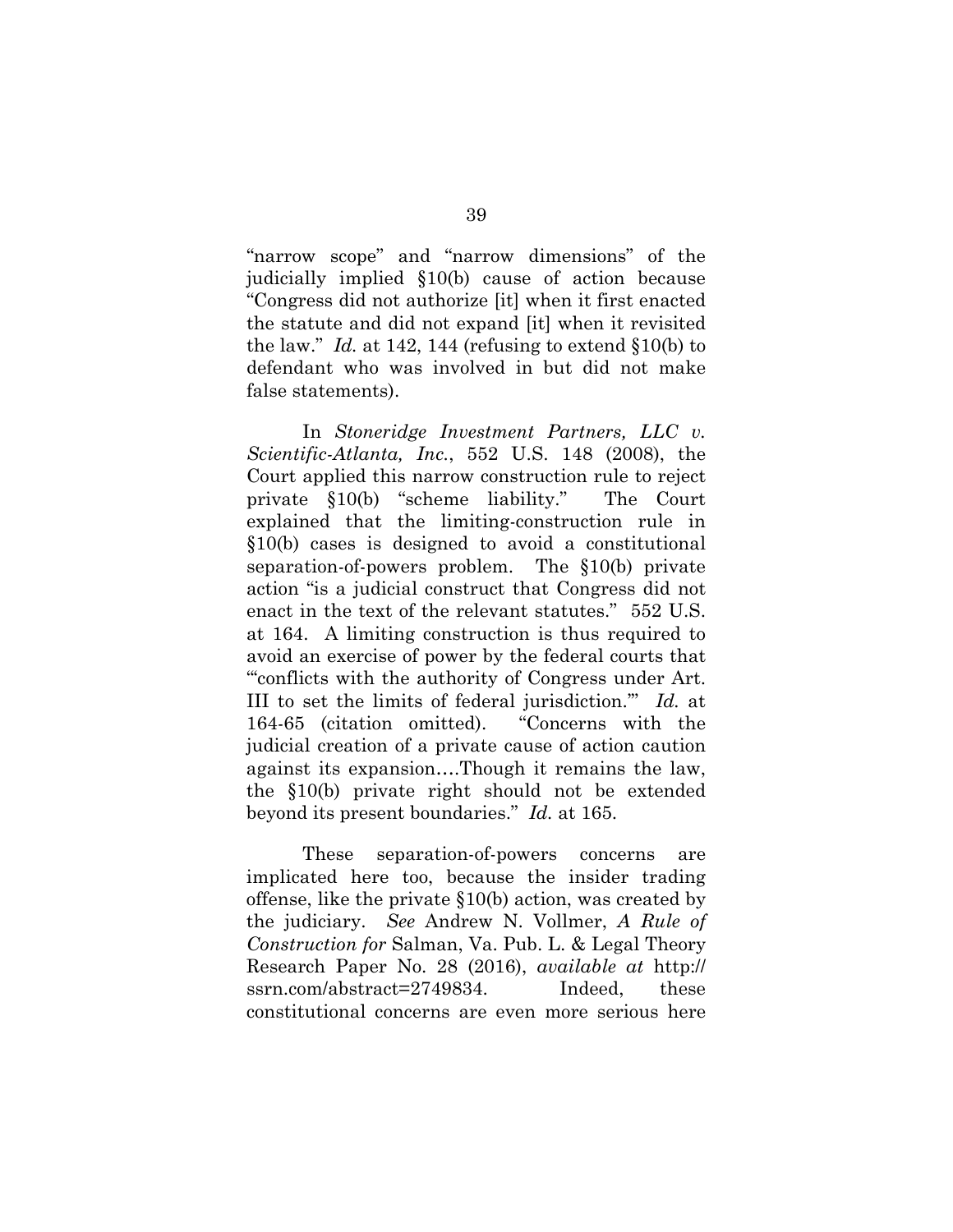"narrow scope" and "narrow dimensions" of the judicially implied §10(b) cause of action because "Congress did not authorize [it] when it first enacted the statute and did not expand [it] when it revisited the law." *Id.* at 142, 144 (refusing to extend §10(b) to defendant who was involved in but did not make false statements).

In *Stoneridge Investment Partners, LLC v. Scientific-Atlanta, Inc.*, 552 U.S. 148 (2008), the Court applied this narrow construction rule to reject private §10(b) "scheme liability." The Court explained that the limiting-construction rule in §10(b) cases is designed to avoid a constitutional separation-of-powers problem. The §10(b) private action "is a judicial construct that Congress did not enact in the text of the relevant statutes." 552 U.S. at 164. A limiting construction is thus required to avoid an exercise of power by the federal courts that "'conflicts with the authority of Congress under Art. III to set the limits of federal jurisdiction.'" *Id.* at 164-65 (citation omitted). "Concerns with the judicial creation of a private cause of action caution against its expansion….Though it remains the law, the §10(b) private right should not be extended beyond its present boundaries." *Id.* at 165.

These separation-of-powers concerns are implicated here too, because the insider trading offense, like the private §10(b) action, was created by the judiciary. *See* Andrew N. Vollmer, *A Rule of Construction for* Salman, Va. Pub. L. & Legal Theory Research Paper No. 28 (2016), *available at* http:// ssrn.com/abstract=2749834. Indeed, these constitutional concerns are even more serious here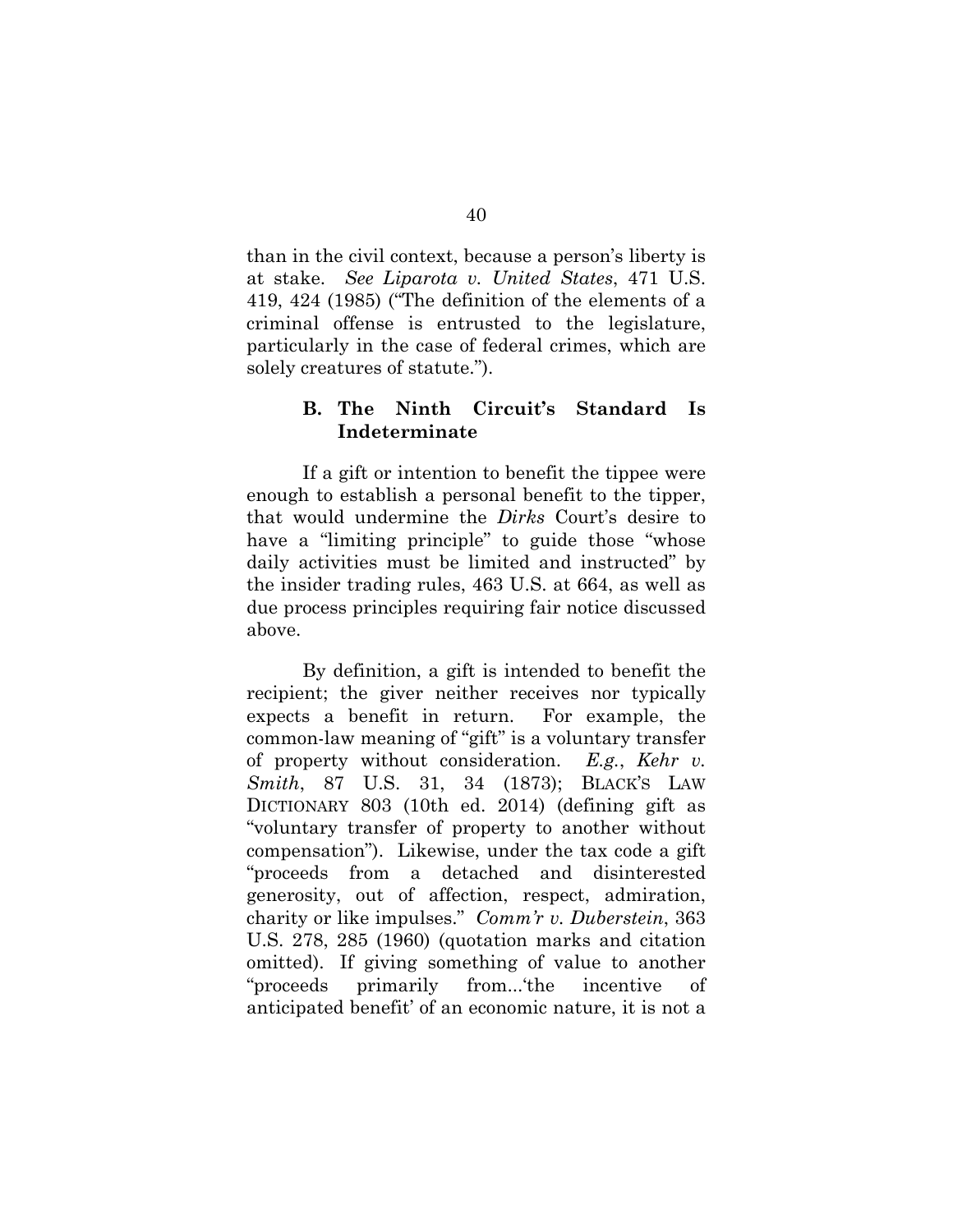than in the civil context, because a person's liberty is at stake. *See Liparota v. United States*, 471 U.S. 419, 424 (1985) ("The definition of the elements of a criminal offense is entrusted to the legislature, particularly in the case of federal crimes, which are solely creatures of statute.").

### **B. The Ninth Circuit's Standard Is Indeterminate**

If a gift or intention to benefit the tippee were enough to establish a personal benefit to the tipper, that would undermine the *Dirks* Court's desire to have a "limiting principle" to guide those "whose daily activities must be limited and instructed" by the insider trading rules, 463 U.S. at 664, as well as due process principles requiring fair notice discussed above.

By definition, a gift is intended to benefit the recipient; the giver neither receives nor typically expects a benefit in return. For example, the common-law meaning of "gift" is a voluntary transfer of property without consideration. *E.g.*, *Kehr v. Smith*, 87 U.S. 31, 34 (1873); BLACK'S LAW DICTIONARY 803 (10th ed. 2014) (defining gift as "voluntary transfer of property to another without compensation"). Likewise, under the tax code a gift "proceeds from a detached and disinterested generosity, out of affection, respect, admiration, charity or like impulses." *Comm'r v. Duberstein*, 363 U.S. 278, 285 (1960) (quotation marks and citation omitted). If giving something of value to another "proceeds primarily from...'the incentive of anticipated benefit' of an economic nature, it is not a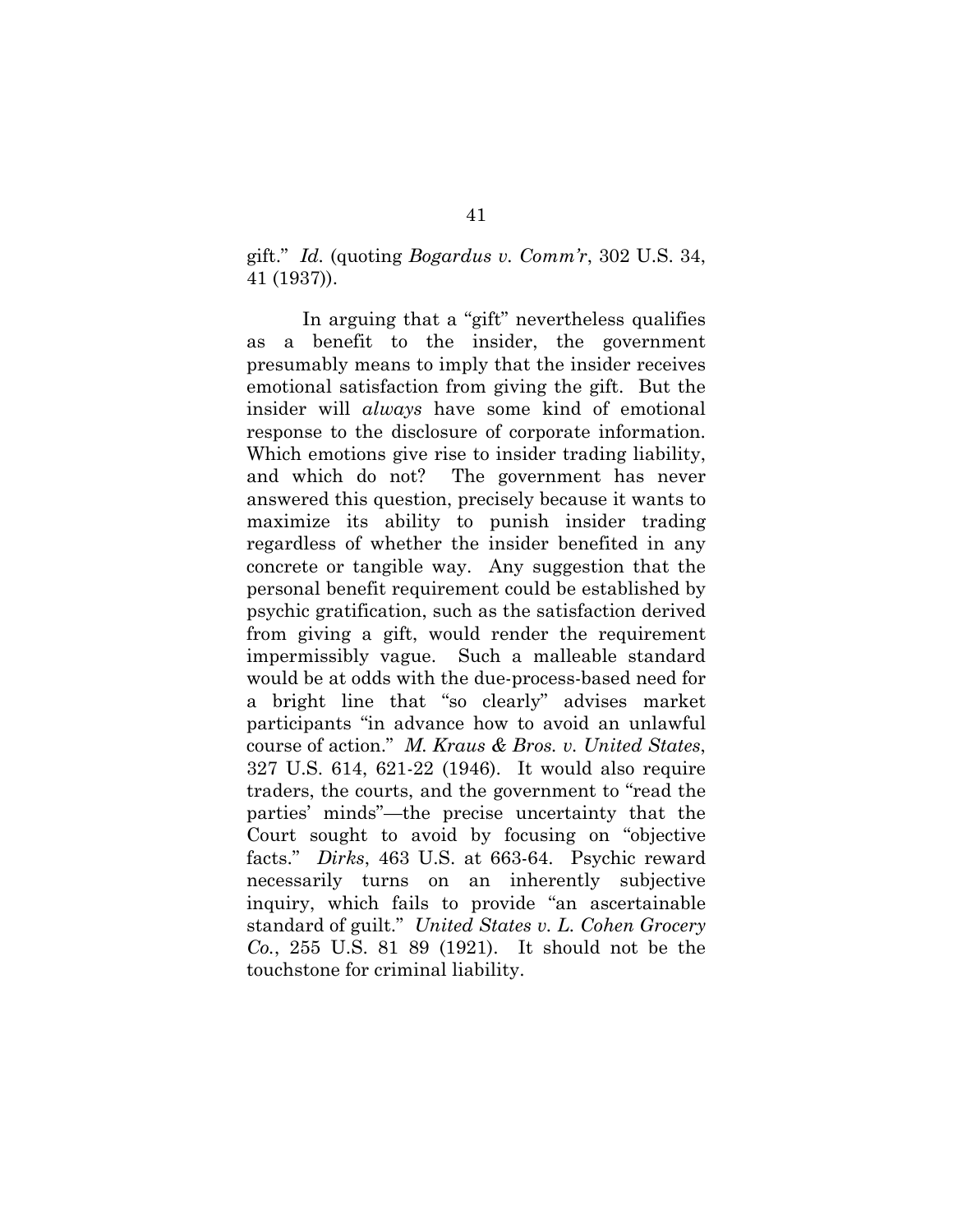gift." *Id.* (quoting *Bogardus v. Comm'r*, 302 U.S. 34, 41 (1937)).

In arguing that a "gift" nevertheless qualifies as a benefit to the insider, the government presumably means to imply that the insider receives emotional satisfaction from giving the gift. But the insider will *always* have some kind of emotional response to the disclosure of corporate information. Which emotions give rise to insider trading liability, and which do not? The government has never answered this question, precisely because it wants to maximize its ability to punish insider trading regardless of whether the insider benefited in any concrete or tangible way. Any suggestion that the personal benefit requirement could be established by psychic gratification, such as the satisfaction derived from giving a gift, would render the requirement impermissibly vague. Such a malleable standard would be at odds with the due-process-based need for a bright line that "so clearly" advises market participants "in advance how to avoid an unlawful course of action." *M. Kraus & Bros. v. United States*, 327 U.S. 614, 621-22 (1946). It would also require traders, the courts, and the government to "read the parties' minds"—the precise uncertainty that the Court sought to avoid by focusing on "objective facts." *Dirks*, 463 U.S. at 663-64. Psychic reward necessarily turns on an inherently subjective inquiry, which fails to provide "an ascertainable standard of guilt." *United States v. L. Cohen Grocery Co.*, 255 U.S. 81 89 (1921). It should not be the touchstone for criminal liability.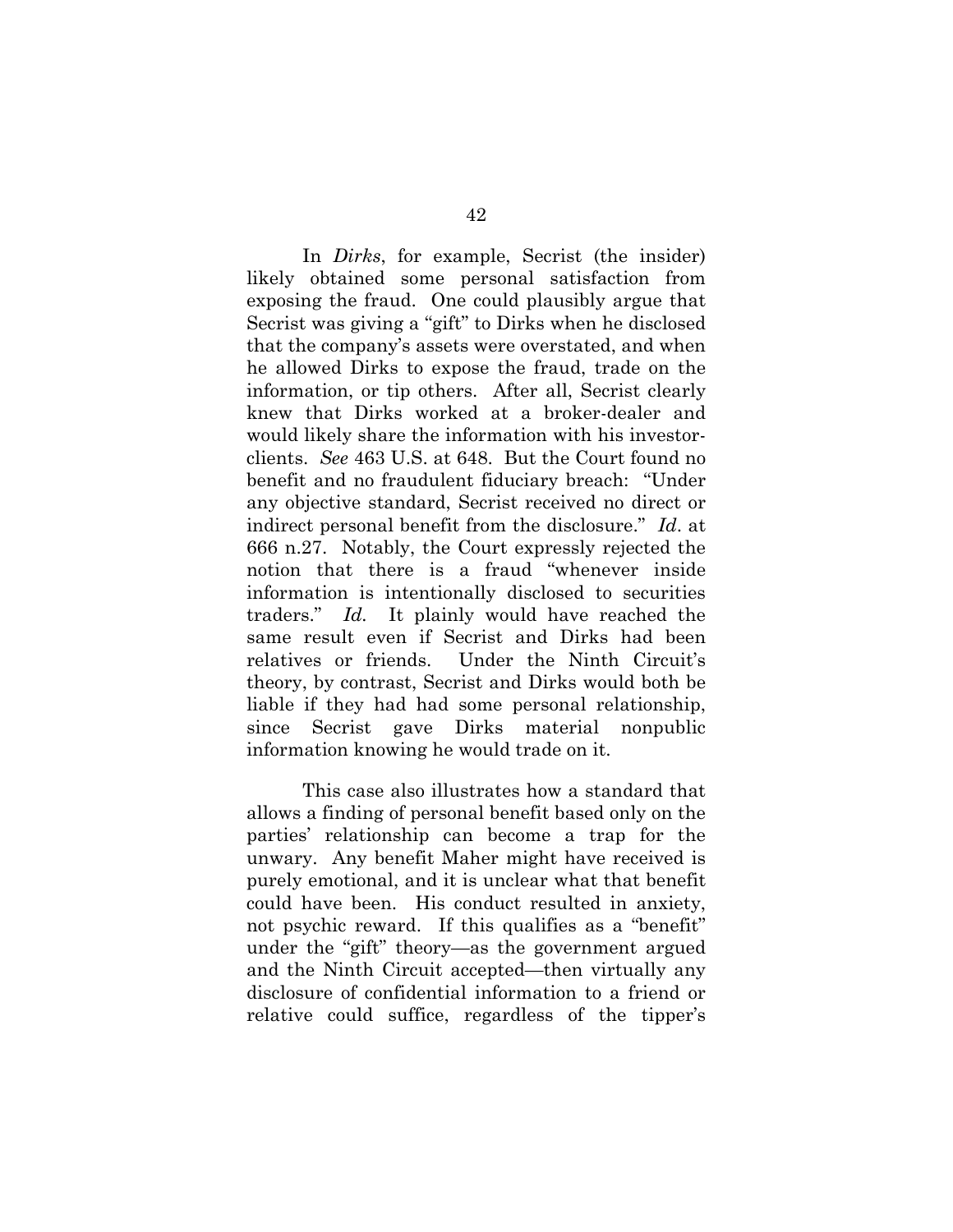In *Dirks*, for example, Secrist (the insider) likely obtained some personal satisfaction from exposing the fraud. One could plausibly argue that Secrist was giving a "gift" to Dirks when he disclosed that the company's assets were overstated, and when he allowed Dirks to expose the fraud, trade on the information, or tip others. After all, Secrist clearly knew that Dirks worked at a broker-dealer and would likely share the information with his investorclients. *See* 463 U.S. at 648. But the Court found no benefit and no fraudulent fiduciary breach: "Under any objective standard, Secrist received no direct or indirect personal benefit from the disclosure." *Id*. at 666 n.27. Notably, the Court expressly rejected the notion that there is a fraud "whenever inside information is intentionally disclosed to securities traders." *Id.* It plainly would have reached the same result even if Secrist and Dirks had been relatives or friends. Under the Ninth Circuit's theory, by contrast, Secrist and Dirks would both be liable if they had had some personal relationship, since Secrist gave Dirks material nonpublic information knowing he would trade on it.

This case also illustrates how a standard that allows a finding of personal benefit based only on the parties' relationship can become a trap for the unwary. Any benefit Maher might have received is purely emotional, and it is unclear what that benefit could have been. His conduct resulted in anxiety, not psychic reward. If this qualifies as a "benefit" under the "gift" theory—as the government argued and the Ninth Circuit accepted—then virtually any disclosure of confidential information to a friend or relative could suffice, regardless of the tipper's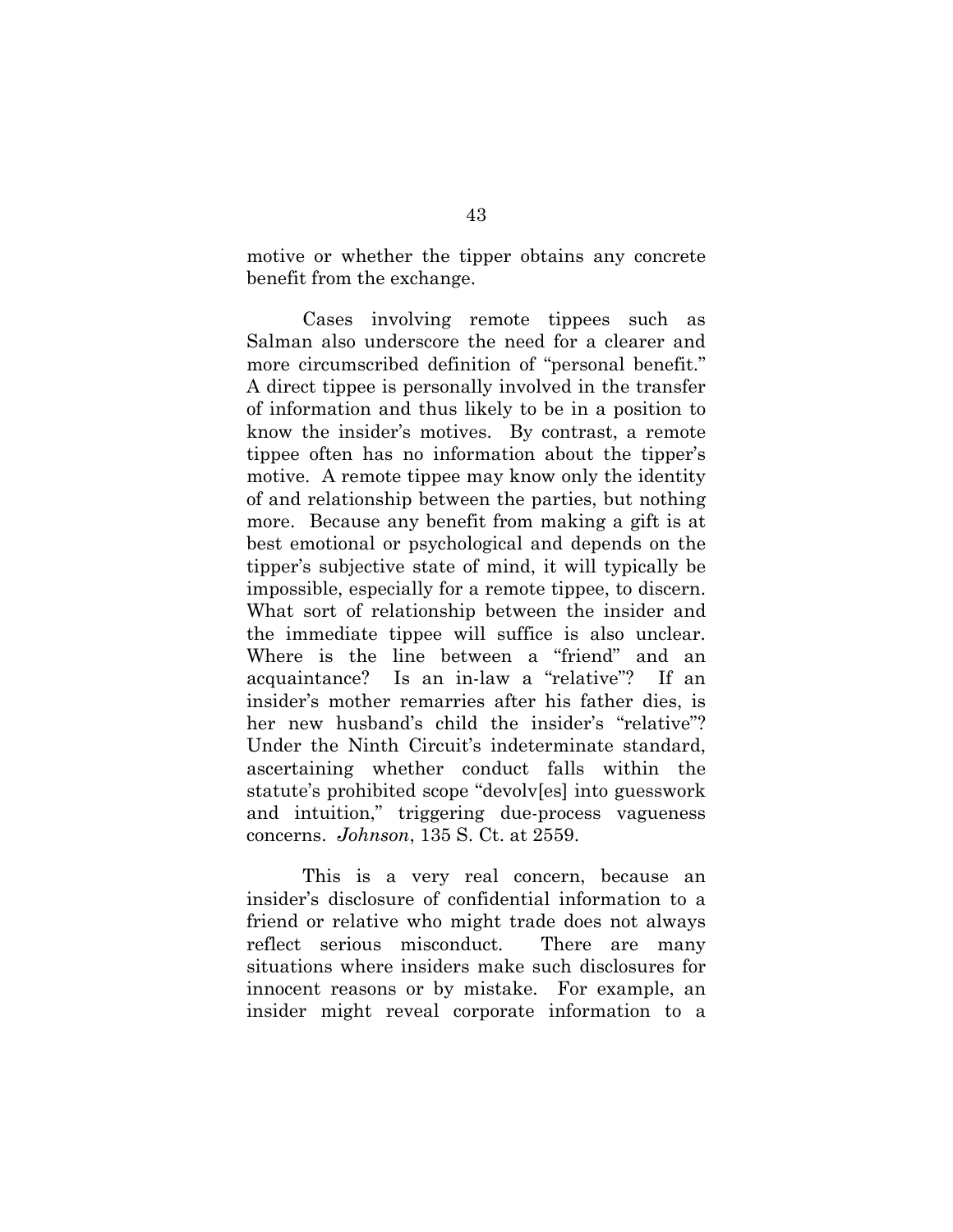motive or whether the tipper obtains any concrete benefit from the exchange.

Cases involving remote tippees such as Salman also underscore the need for a clearer and more circumscribed definition of "personal benefit." A direct tippee is personally involved in the transfer of information and thus likely to be in a position to know the insider's motives. By contrast, a remote tippee often has no information about the tipper's motive. A remote tippee may know only the identity of and relationship between the parties, but nothing more. Because any benefit from making a gift is at best emotional or psychological and depends on the tipper's subjective state of mind, it will typically be impossible, especially for a remote tippee, to discern. What sort of relationship between the insider and the immediate tippee will suffice is also unclear. Where is the line between a "friend" and an acquaintance? Is an in-law a "relative"? If an insider's mother remarries after his father dies, is her new husband's child the insider's "relative"? Under the Ninth Circuit's indeterminate standard, ascertaining whether conduct falls within the statute's prohibited scope "devolv[es] into guesswork and intuition," triggering due-process vagueness concerns. *Johnson*, 135 S. Ct. at 2559.

This is a very real concern, because an insider's disclosure of confidential information to a friend or relative who might trade does not always reflect serious misconduct. There are many situations where insiders make such disclosures for innocent reasons or by mistake. For example, an insider might reveal corporate information to a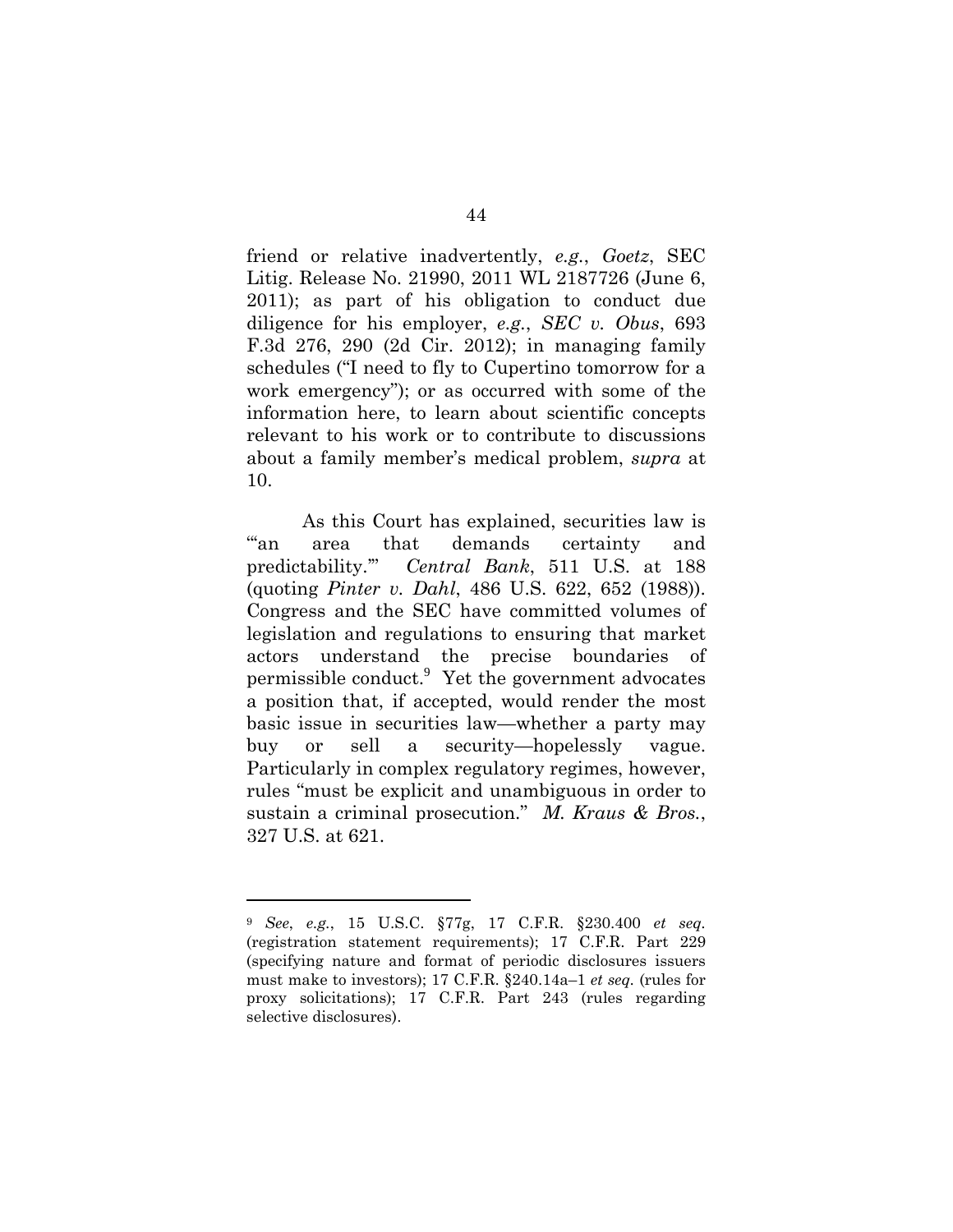friend or relative inadvertently, *e.g.*, *Goetz*, SEC Litig. Release No. 21990, 2011 WL 2187726 (June 6, 2011); as part of his obligation to conduct due diligence for his employer, *e.g.*, *SEC v. Obus*, 693 F.3d 276, 290 (2d Cir. 2012); in managing family schedules ("I need to fly to Cupertino tomorrow for a work emergency"); or as occurred with some of the information here, to learn about scientific concepts relevant to his work or to contribute to discussions about a family member's medical problem, *supra* at 10.

As this Court has explained, securities law is "an area that demands certainty and predictability.'" *Central Bank*, 511 U.S. at 188 (quoting *Pinter v. Dahl*, 486 U.S. 622, 652 (1988)). Congress and the SEC have committed volumes of legislation and regulations to ensuring that market actors understand the precise boundaries of permissible conduct.<sup>9</sup> Yet the government advocates a position that, if accepted, would render the most basic issue in securities law—whether a party may buy or sell a security—hopelessly vague. Particularly in complex regulatory regimes, however, rules "must be explicit and unambiguous in order to sustain a criminal prosecution." *M. Kraus & Bros.*, 327 U.S. at 621.

l

<sup>9</sup> *See*, *e.g.*, 15 U.S.C. §77g, 17 C.F.R. §230.400 *et seq.* (registration statement requirements); 17 C.F.R. Part 229 (specifying nature and format of periodic disclosures issuers must make to investors); 17 C.F.R. §240.14a–1 *et seq.* (rules for proxy solicitations); 17 C.F.R. Part 243 (rules regarding selective disclosures).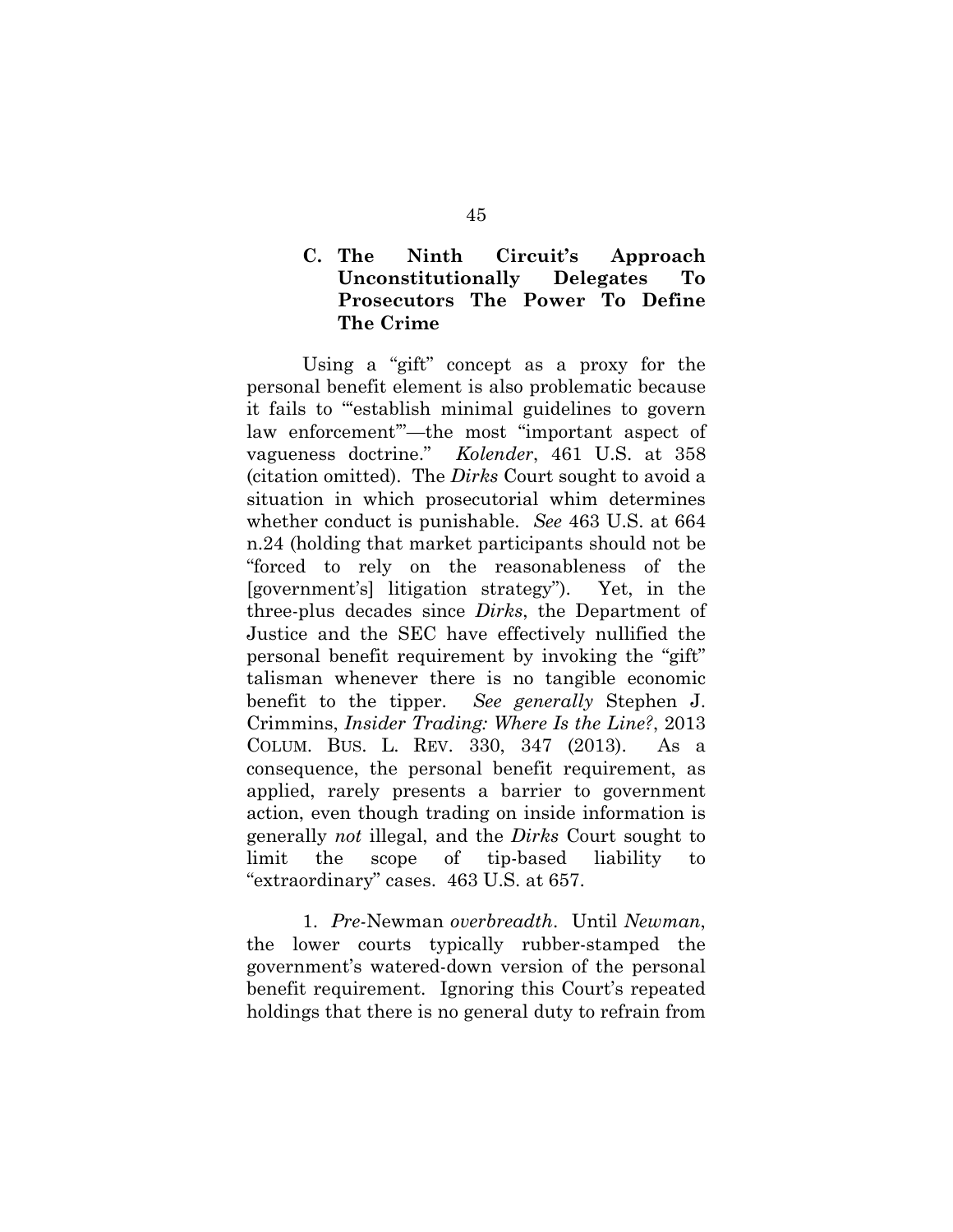# **C. The Ninth Circuit's Approach Unconstitutionally Delegates To Prosecutors The Power To Define The Crime**

Using a "gift" concept as a proxy for the personal benefit element is also problematic because it fails to "'establish minimal guidelines to govern law enforcement'"—the most "important aspect of vagueness doctrine." *Kolender*, 461 U.S. at 358 (citation omitted). The *Dirks* Court sought to avoid a situation in which prosecutorial whim determines whether conduct is punishable. *See* 463 U.S. at 664 n.24 (holding that market participants should not be "forced to rely on the reasonableness of the [government's] litigation strategy"). Yet, in the three-plus decades since *Dirks*, the Department of Justice and the SEC have effectively nullified the personal benefit requirement by invoking the "gift" talisman whenever there is no tangible economic benefit to the tipper. *See generally* Stephen J. Crimmins, *Insider Trading: Where Is the Line?*, 2013 COLUM. BUS. L. REV. 330, 347 (2013). As a consequence, the personal benefit requirement, as applied, rarely presents a barrier to government action, even though trading on inside information is generally *not* illegal, and the *Dirks* Court sought to limit the scope of tip-based liability to "extraordinary" cases. 463 U.S. at 657.

1. *Pre-*Newman *overbreadth*.Until *Newman*, the lower courts typically rubber-stamped the government's watered-down version of the personal benefit requirement. Ignoring this Court's repeated holdings that there is no general duty to refrain from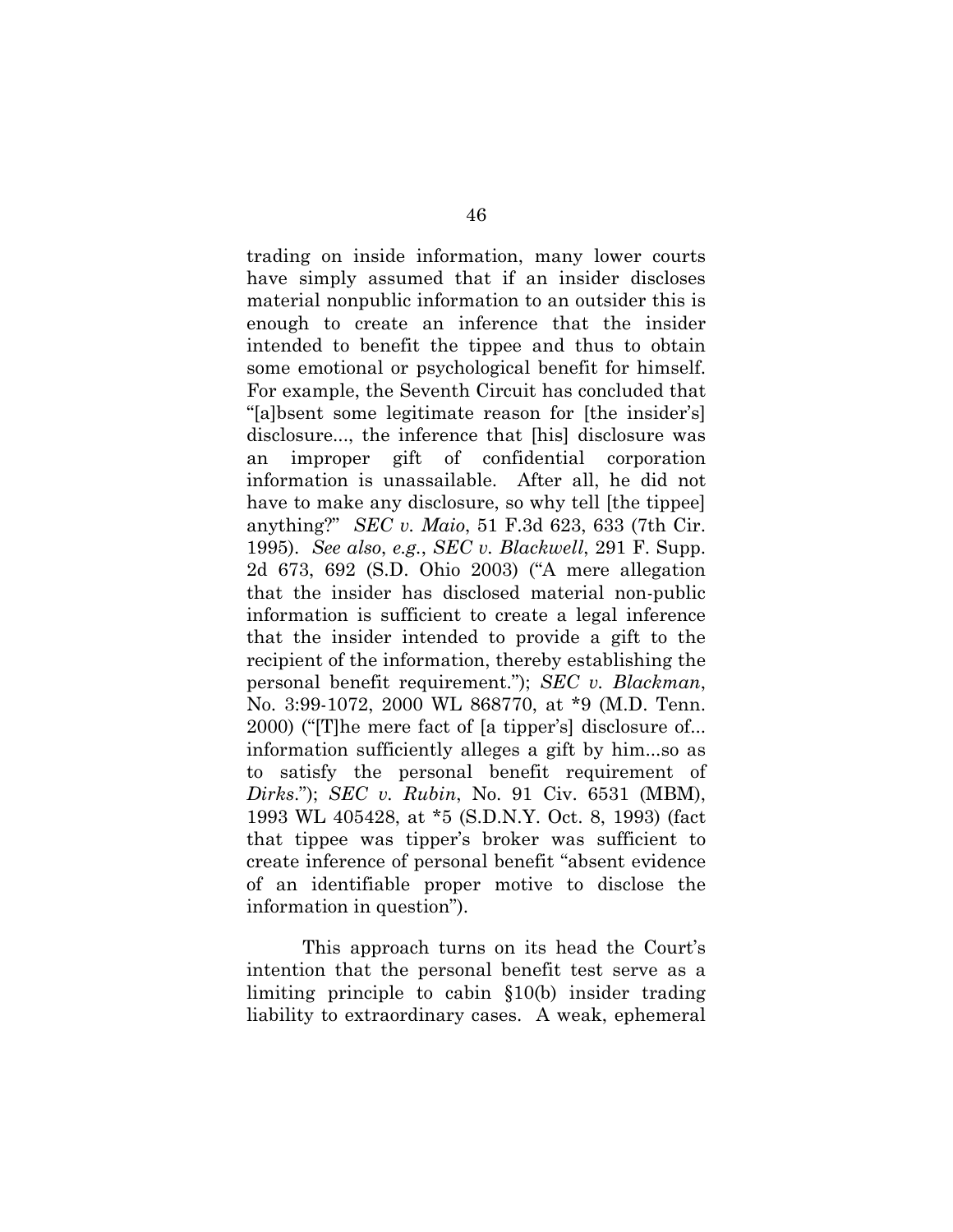trading on inside information, many lower courts have simply assumed that if an insider discloses material nonpublic information to an outsider this is enough to create an inference that the insider intended to benefit the tippee and thus to obtain some emotional or psychological benefit for himself. For example, the Seventh Circuit has concluded that "[a]bsent some legitimate reason for [the insider's] disclosure..., the inference that [his] disclosure was an improper gift of confidential corporation information is unassailable. After all, he did not have to make any disclosure, so why tell [the tippee] anything?" *SEC v. Maio*, 51 F.3d 623, 633 (7th Cir. 1995). *See also*, *e.g.*, *SEC v. Blackwell*, 291 F. Supp. 2d 673, 692 (S.D. Ohio 2003) ("A mere allegation that the insider has disclosed material non-public information is sufficient to create a legal inference that the insider intended to provide a gift to the recipient of the information, thereby establishing the personal benefit requirement."); *SEC v. Blackman*, No. 3:99-1072, 2000 WL 868770, at \*9 (M.D. Tenn. 2000) ("[T]he mere fact of [a tipper's] disclosure of... information sufficiently alleges a gift by him...so as to satisfy the personal benefit requirement of *Dirks*."); *SEC v. Rubin*, No. 91 Civ. 6531 (MBM), 1993 WL 405428, at \*5 (S.D.N.Y. Oct. 8, 1993) (fact that tippee was tipper's broker was sufficient to create inference of personal benefit "absent evidence of an identifiable proper motive to disclose the information in question").

This approach turns on its head the Court's intention that the personal benefit test serve as a limiting principle to cabin §10(b) insider trading liability to extraordinary cases. A weak, ephemeral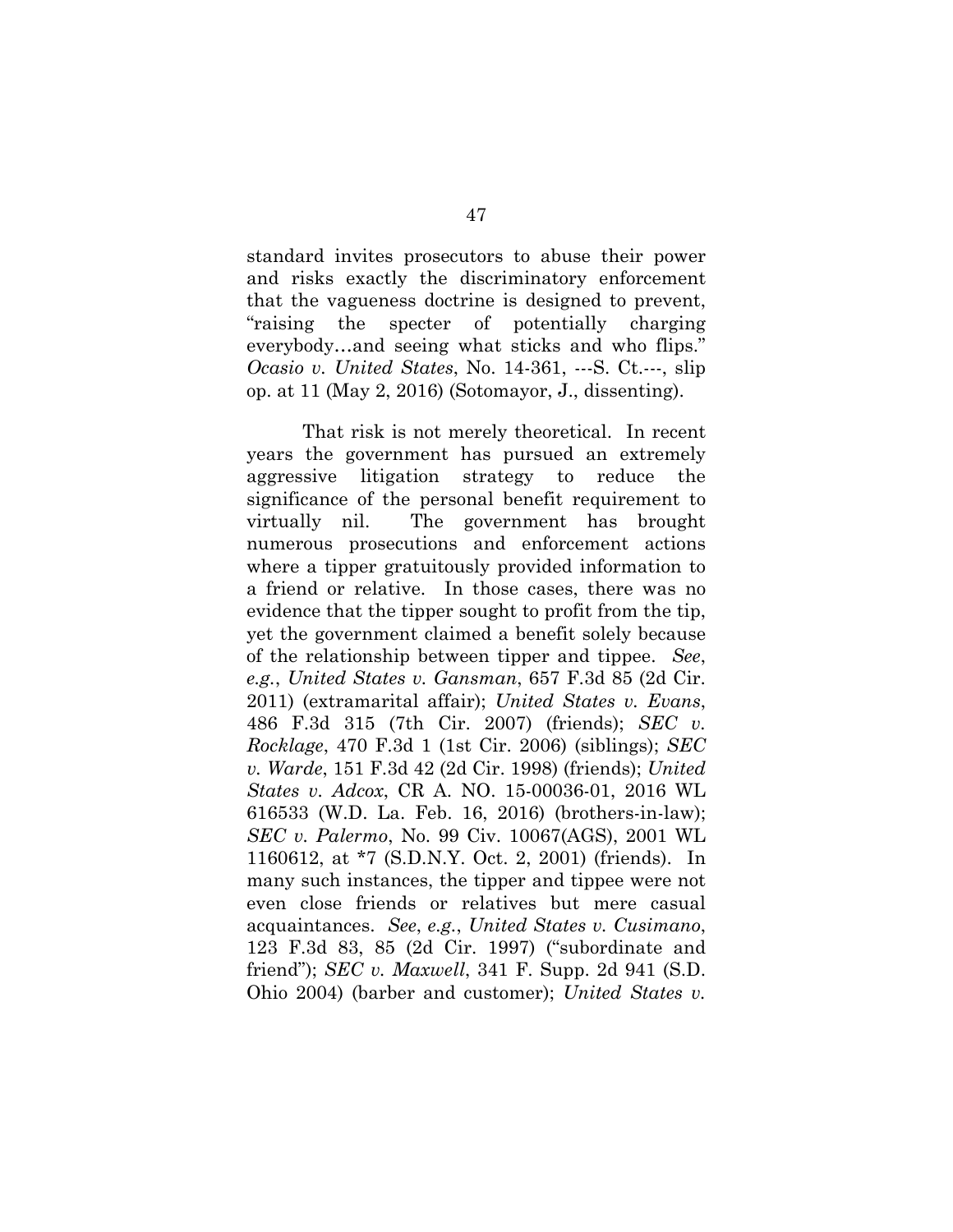standard invites prosecutors to abuse their power and risks exactly the discriminatory enforcement that the vagueness doctrine is designed to prevent, "raising the specter of potentially charging everybody…and seeing what sticks and who flips." *Ocasio v. United States*, No. 14-361, ---S. Ct.---, slip op. at 11 (May 2, 2016) (Sotomayor, J., dissenting).

That risk is not merely theoretical. In recent years the government has pursued an extremely aggressive litigation strategy to reduce the significance of the personal benefit requirement to virtually nil. The government has brought numerous prosecutions and enforcement actions where a tipper gratuitously provided information to a friend or relative. In those cases, there was no evidence that the tipper sought to profit from the tip, yet the government claimed a benefit solely because of the relationship between tipper and tippee. *See*, *e.g.*, *United States v. Gansman*, 657 F.3d 85 (2d Cir. 2011) (extramarital affair); *United States v. Evans*, 486 F.3d 315 (7th Cir. 2007) (friends); *SEC v. Rocklage*, 470 F.3d 1 (1st Cir. 2006) (siblings); *SEC v. Warde*, 151 F.3d 42 (2d Cir. 1998) (friends); *United States v. Adcox*, CR A. NO. 15-00036-01, 2016 WL 616533 (W.D. La. Feb. 16, 2016) (brothers-in-law); *SEC v. Palermo*, No. 99 Civ. 10067(AGS), 2001 WL 1160612, at \*7 (S.D.N.Y. Oct. 2, 2001) (friends). In many such instances, the tipper and tippee were not even close friends or relatives but mere casual acquaintances. *See*, *e.g.*, *United States v. Cusimano*, 123 F.3d 83, 85 (2d Cir. 1997) ("subordinate and friend"); *SEC v. Maxwell*, 341 F. Supp. 2d 941 (S.D. Ohio 2004) (barber and customer); *United States v.*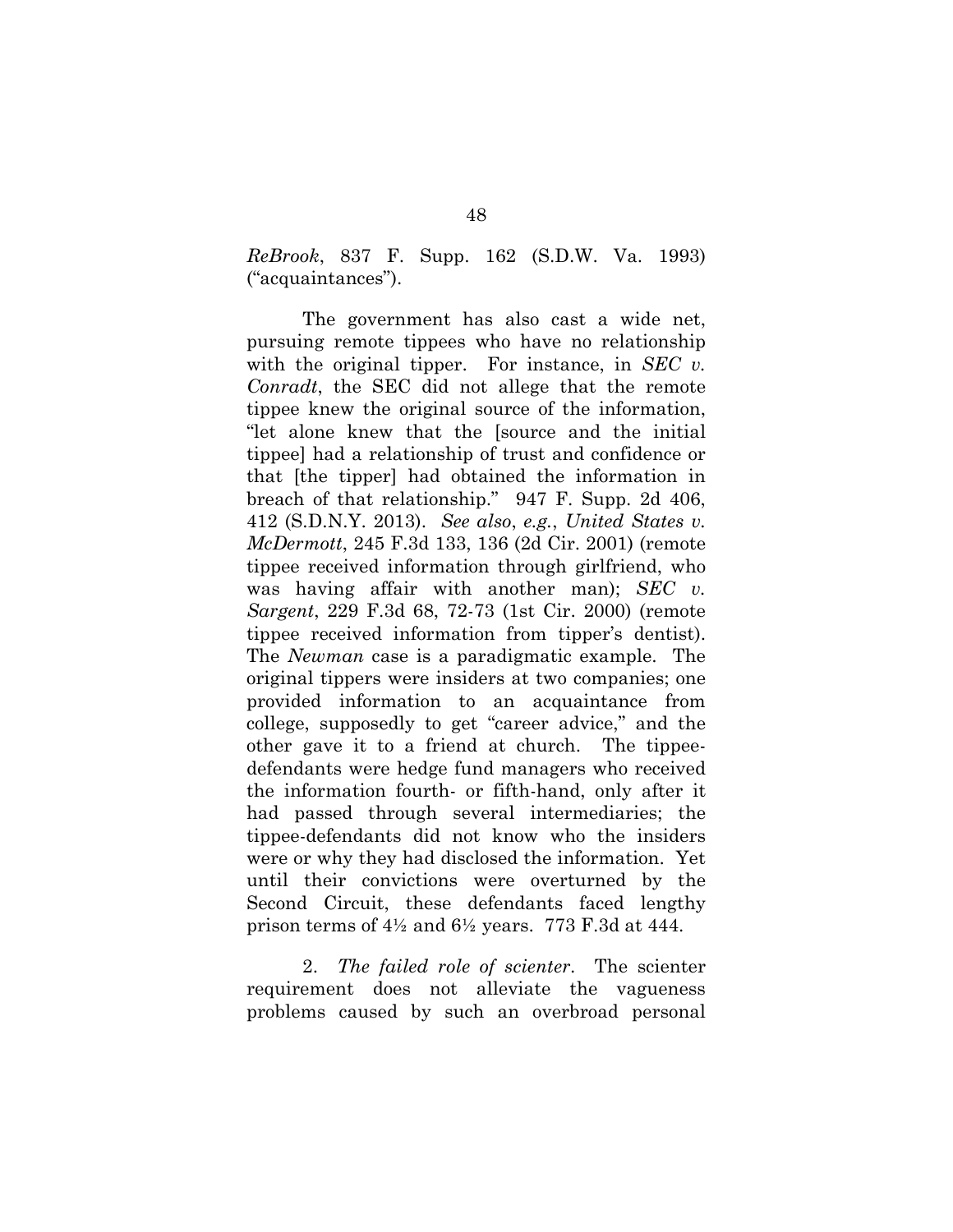*ReBrook*, 837 F. Supp. 162 (S.D.W. Va. 1993) ("acquaintances").

The government has also cast a wide net, pursuing remote tippees who have no relationship with the original tipper. For instance, in *SEC v. Conradt*, the SEC did not allege that the remote tippee knew the original source of the information, "let alone knew that the [source and the initial tippee] had a relationship of trust and confidence or that [the tipper] had obtained the information in breach of that relationship." 947 F. Supp. 2d 406, 412 (S.D.N.Y. 2013). *See also*, *e.g.*, *United States v. McDermott*, 245 F.3d 133, 136 (2d Cir. 2001) (remote tippee received information through girlfriend, who was having affair with another man); *SEC v. Sargent*, 229 F.3d 68, 72-73 (1st Cir. 2000) (remote tippee received information from tipper's dentist). The *Newman* case is a paradigmatic example. The original tippers were insiders at two companies; one provided information to an acquaintance from college, supposedly to get "career advice," and the other gave it to a friend at church. The tippeedefendants were hedge fund managers who received the information fourth- or fifth-hand, only after it had passed through several intermediaries; the tippee-defendants did not know who the insiders were or why they had disclosed the information. Yet until their convictions were overturned by the Second Circuit, these defendants faced lengthy prison terms of  $4\frac{1}{2}$  and  $6\frac{1}{2}$  years. 773 F.3d at 444.

2. *The failed role of scienter*. The scienter requirement does not alleviate the vagueness problems caused by such an overbroad personal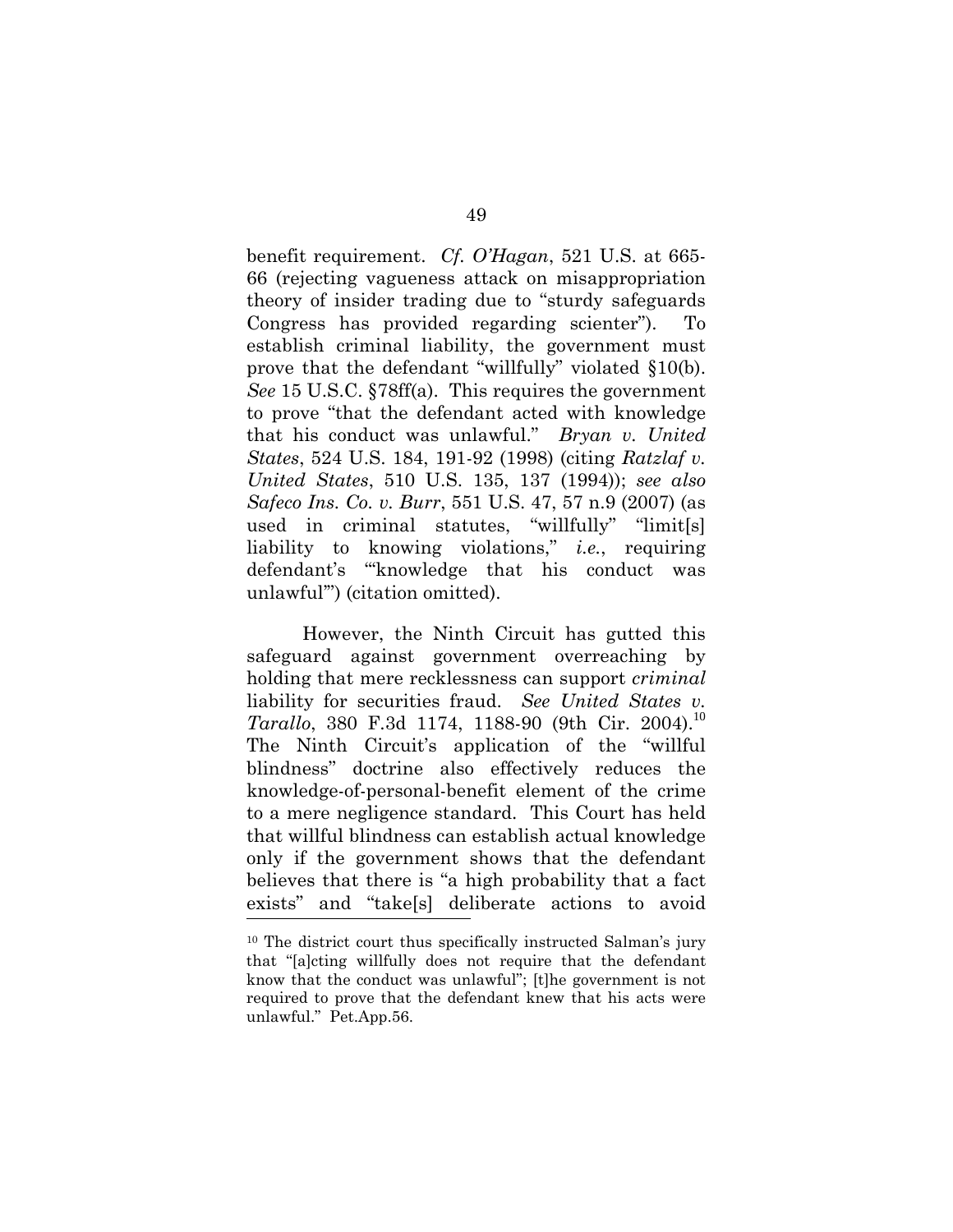benefit requirement. *Cf. O'Hagan*, 521 U.S. at 665- 66 (rejecting vagueness attack on misappropriation theory of insider trading due to "sturdy safeguards Congress has provided regarding scienter"). To establish criminal liability, the government must prove that the defendant "willfully" violated §10(b). *See* 15 U.S.C. §78ff(a). This requires the government to prove "that the defendant acted with knowledge that his conduct was unlawful." *Bryan v. United States*, 524 U.S. 184, 191-92 (1998) (citing *Ratzlaf v. United States*, 510 U.S. 135, 137 (1994)); *see also Safeco Ins. Co. v. Burr*, 551 U.S. 47, 57 n.9 (2007) (as used in criminal statutes, "willfully" "limit[s] liability to knowing violations," *i.e.*, requiring defendant's "'knowledge that his conduct was unlawful'") (citation omitted).

However, the Ninth Circuit has gutted this safeguard against government overreaching by holding that mere recklessness can support *criminal*  liability for securities fraud. *See United States v. Tarallo*, 380 F.3d 1174, 1188-90 (9th Cir. 2004).<sup>10</sup> The Ninth Circuit's application of the "willful blindness" doctrine also effectively reduces the knowledge-of-personal-benefit element of the crime to a mere negligence standard. This Court has held that willful blindness can establish actual knowledge only if the government shows that the defendant believes that there is "a high probability that a fact exists" and "take[s] deliberate actions to avoid

<sup>10</sup> The district court thus specifically instructed Salman's jury that "[a]cting willfully does not require that the defendant know that the conduct was unlawful"; [t]he government is not required to prove that the defendant knew that his acts were unlawful." Pet.App.56.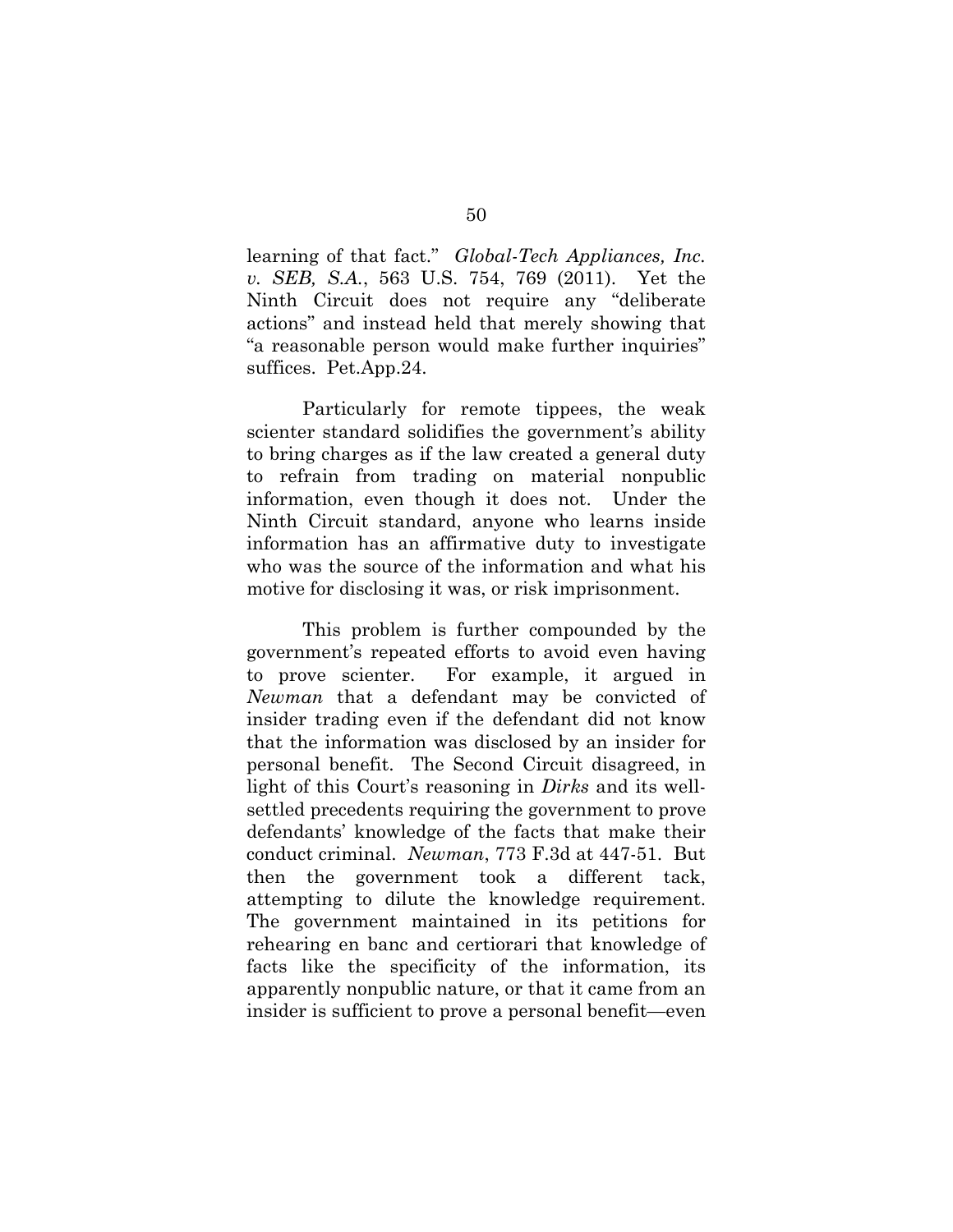learning of that fact." *Global-Tech Appliances, Inc. v. SEB, S.A.*, 563 U.S. 754, 769 (2011). Yet the Ninth Circuit does not require any "deliberate actions" and instead held that merely showing that "a reasonable person would make further inquiries" suffices. Pet.App.24.

Particularly for remote tippees, the weak scienter standard solidifies the government's ability to bring charges as if the law created a general duty to refrain from trading on material nonpublic information, even though it does not. Under the Ninth Circuit standard, anyone who learns inside information has an affirmative duty to investigate who was the source of the information and what his motive for disclosing it was, or risk imprisonment.

This problem is further compounded by the government's repeated efforts to avoid even having to prove scienter. For example, it argued in *Newman* that a defendant may be convicted of insider trading even if the defendant did not know that the information was disclosed by an insider for personal benefit. The Second Circuit disagreed, in light of this Court's reasoning in *Dirks* and its wellsettled precedents requiring the government to prove defendants' knowledge of the facts that make their conduct criminal. *Newman*, 773 F.3d at 447-51. But then the government took a different tack, attempting to dilute the knowledge requirement. The government maintained in its petitions for rehearing en banc and certiorari that knowledge of facts like the specificity of the information, its apparently nonpublic nature, or that it came from an insider is sufficient to prove a personal benefit—even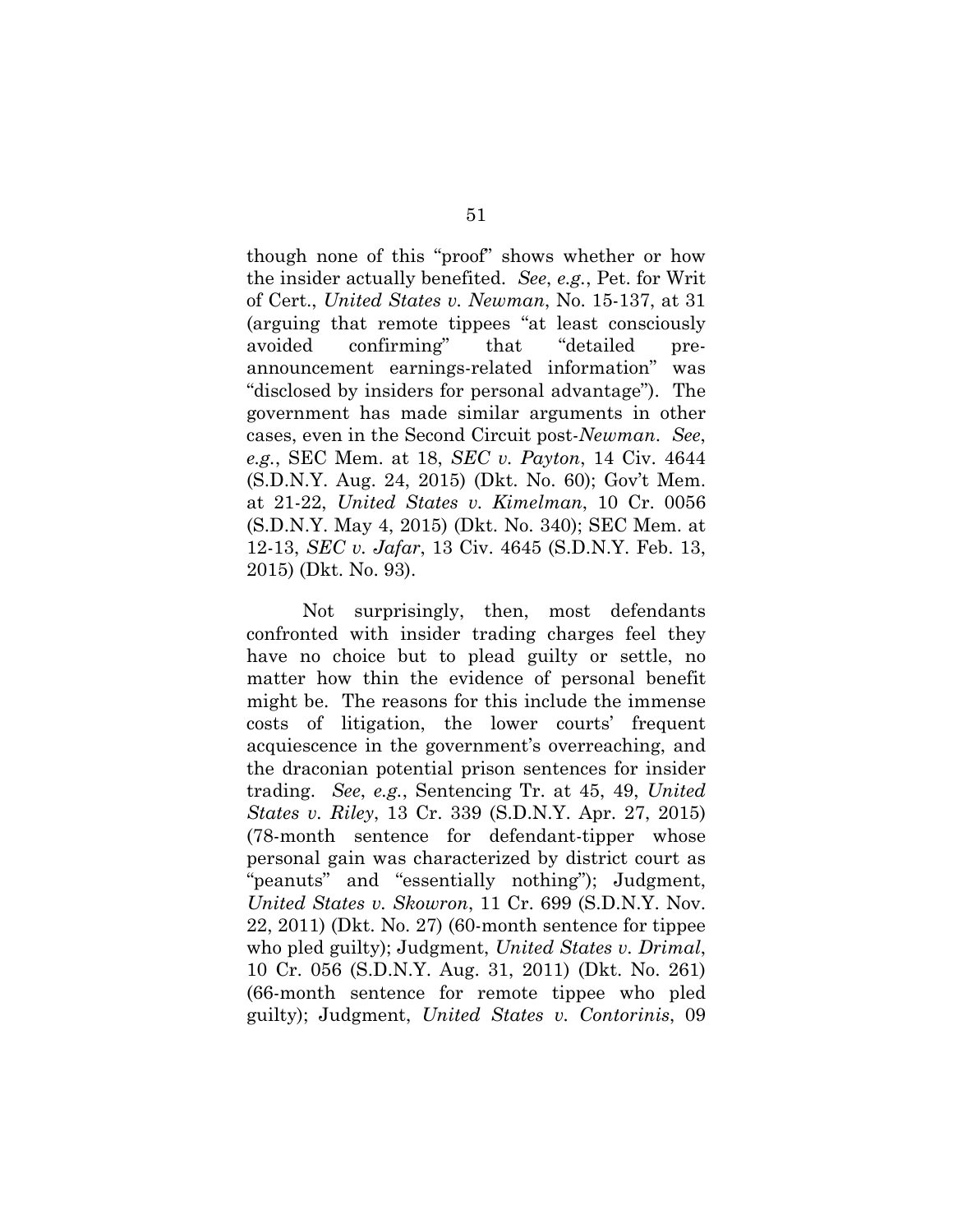though none of this "proof" shows whether or how the insider actually benefited. *See*, *e.g.*, Pet. for Writ of Cert., *United States v. Newman*, No. 15-137, at 31 (arguing that remote tippees "at least consciously avoided confirming" that "detailed preannouncement earnings-related information" was "disclosed by insiders for personal advantage"). The government has made similar arguments in other cases, even in the Second Circuit post-*Newman*. *See*, *e.g.*, SEC Mem. at 18, *SEC v. Payton*, 14 Civ. 4644 (S.D.N.Y. Aug. 24, 2015) (Dkt. No. 60); Gov't Mem. at 21-22, *United States v. Kimelman*, 10 Cr. 0056 (S.D.N.Y. May 4, 2015) (Dkt. No. 340); SEC Mem. at 12-13, *SEC v. Jafar*, 13 Civ. 4645 (S.D.N.Y. Feb. 13, 2015) (Dkt. No. 93).

Not surprisingly, then, most defendants confronted with insider trading charges feel they have no choice but to plead guilty or settle, no matter how thin the evidence of personal benefit might be. The reasons for this include the immense costs of litigation, the lower courts' frequent acquiescence in the government's overreaching, and the draconian potential prison sentences for insider trading. *See*, *e.g.*, Sentencing Tr. at 45, 49, *United States v. Riley*, 13 Cr. 339 (S.D.N.Y. Apr. 27, 2015) (78-month sentence for defendant-tipper whose personal gain was characterized by district court as "peanuts" and "essentially nothing"); Judgment, *United States v. Skowron*, 11 Cr. 699 (S.D.N.Y. Nov. 22, 2011) (Dkt. No. 27) (60-month sentence for tippee who pled guilty); Judgment, *United States v. Drimal*, 10 Cr. 056 (S.D.N.Y. Aug. 31, 2011) (Dkt. No. 261) (66-month sentence for remote tippee who pled guilty); Judgment, *United States v. Contorinis*, 09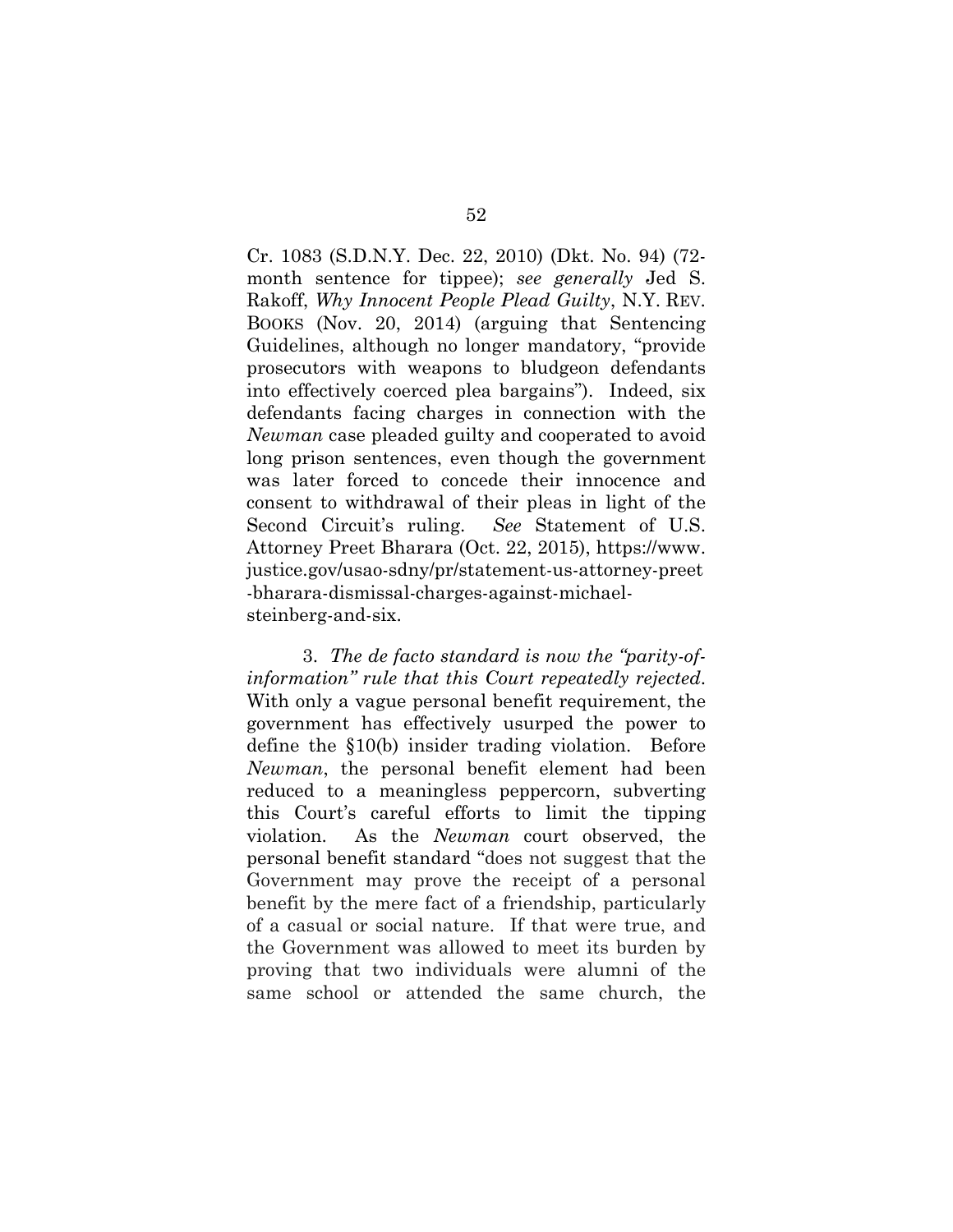Cr. 1083 (S.D.N.Y. Dec. 22, 2010) (Dkt. No. 94) (72 month sentence for tippee); *see generally* Jed S. Rakoff, *Why Innocent People Plead Guilty*, N.Y. REV. BOOKS (Nov. 20, 2014) (arguing that Sentencing Guidelines, although no longer mandatory, "provide prosecutors with weapons to bludgeon defendants into effectively coerced plea bargains"). Indeed, six defendants facing charges in connection with the *Newman* case pleaded guilty and cooperated to avoid long prison sentences, even though the government was later forced to concede their innocence and consent to withdrawal of their pleas in light of the Second Circuit's ruling. *See* Statement of U.S. Attorney Preet Bharara (Oct. 22, 2015), https://www. justice.gov/usao-sdny/pr/statement-us-attorney-preet -bharara-dismissal-charges-against-michaelsteinberg-and-six.

3. *The de facto standard is now the "parity-ofinformation" rule that this Court repeatedly rejected*. With only a vague personal benefit requirement, the government has effectively usurped the power to define the §10(b) insider trading violation. Before *Newman*, the personal benefit element had been reduced to a meaningless peppercorn, subverting this Court's careful efforts to limit the tipping violation. As the *Newman* court observed, the personal benefit standard "does not suggest that the Government may prove the receipt of a personal benefit by the mere fact of a friendship, particularly of a casual or social nature. If that were true, and the Government was allowed to meet its burden by proving that two individuals were alumni of the same school or attended the same church, the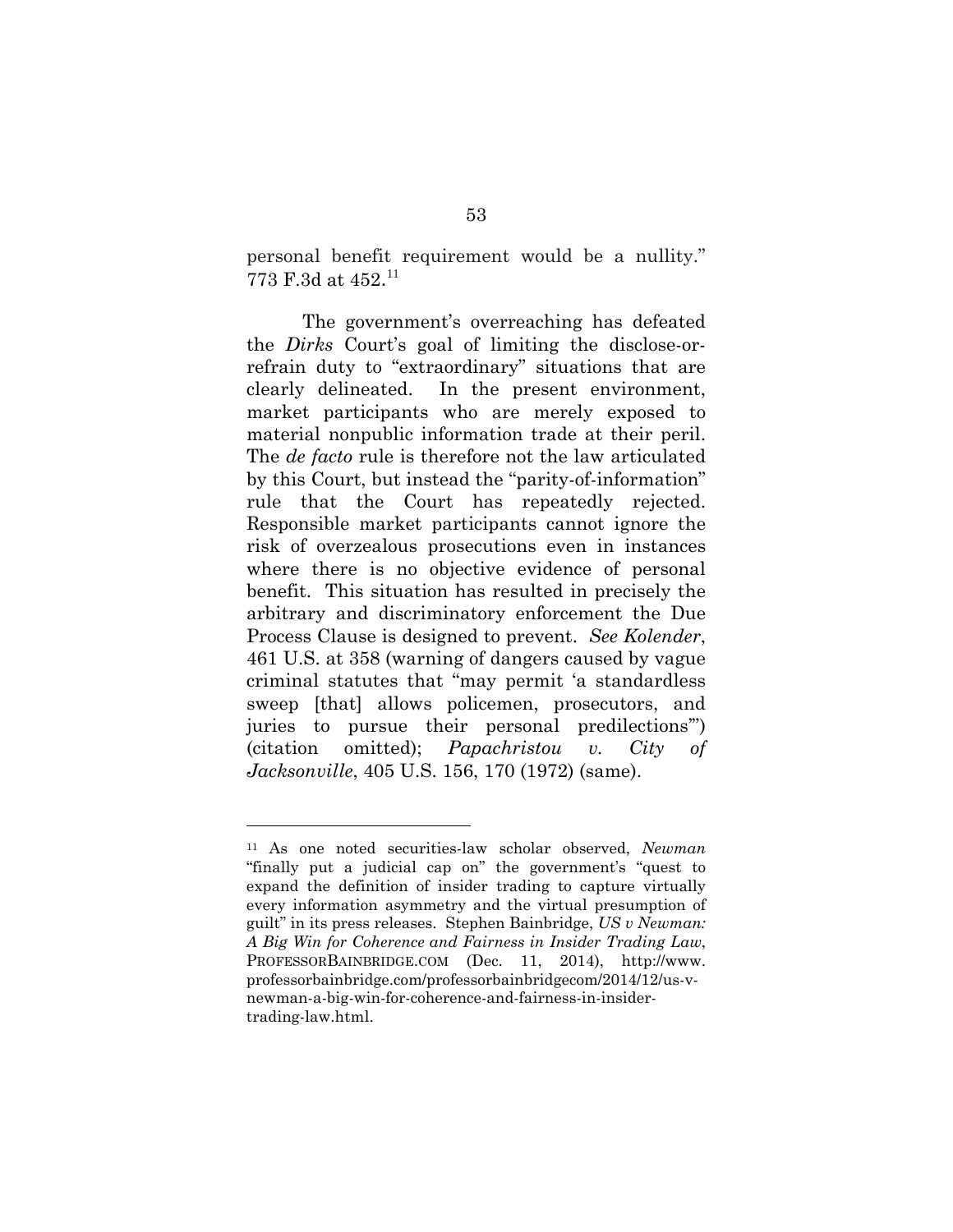personal benefit requirement would be a nullity." 773 F.3d at 452. 11

The government's overreaching has defeated the *Dirks* Court's goal of limiting the disclose-orrefrain duty to "extraordinary" situations that are clearly delineated. In the present environment, market participants who are merely exposed to material nonpublic information trade at their peril. The *de facto* rule is therefore not the law articulated by this Court, but instead the "parity-of-information" rule that the Court has repeatedly rejected. Responsible market participants cannot ignore the risk of overzealous prosecutions even in instances where there is no objective evidence of personal benefit. This situation has resulted in precisely the arbitrary and discriminatory enforcement the Due Process Clause is designed to prevent. *See Kolender*, 461 U.S. at 358 (warning of dangers caused by vague criminal statutes that "may permit 'a standardless sweep [that] allows policemen, prosecutors, and juries to pursue their personal predilections'") (citation omitted); *Papachristou v. City of Jacksonville*, 405 U.S. 156, 170 (1972) (same).

l

<sup>11</sup> As one noted securities-law scholar observed, *Newman* "finally put a judicial cap on" the government's "quest to expand the definition of insider trading to capture virtually every information asymmetry and the virtual presumption of guilt" in its press releases. Stephen Bainbridge, *US v Newman: A Big Win for Coherence and Fairness in Insider Trading Law*, PROFESSORBAINBRIDGE.COM (Dec. 11, 2014), http://www. professorbainbridge.com/professorbainbridgecom/2014/12/us-vnewman-a-big-win-for-coherence-and-fairness-in-insidertrading-law.html.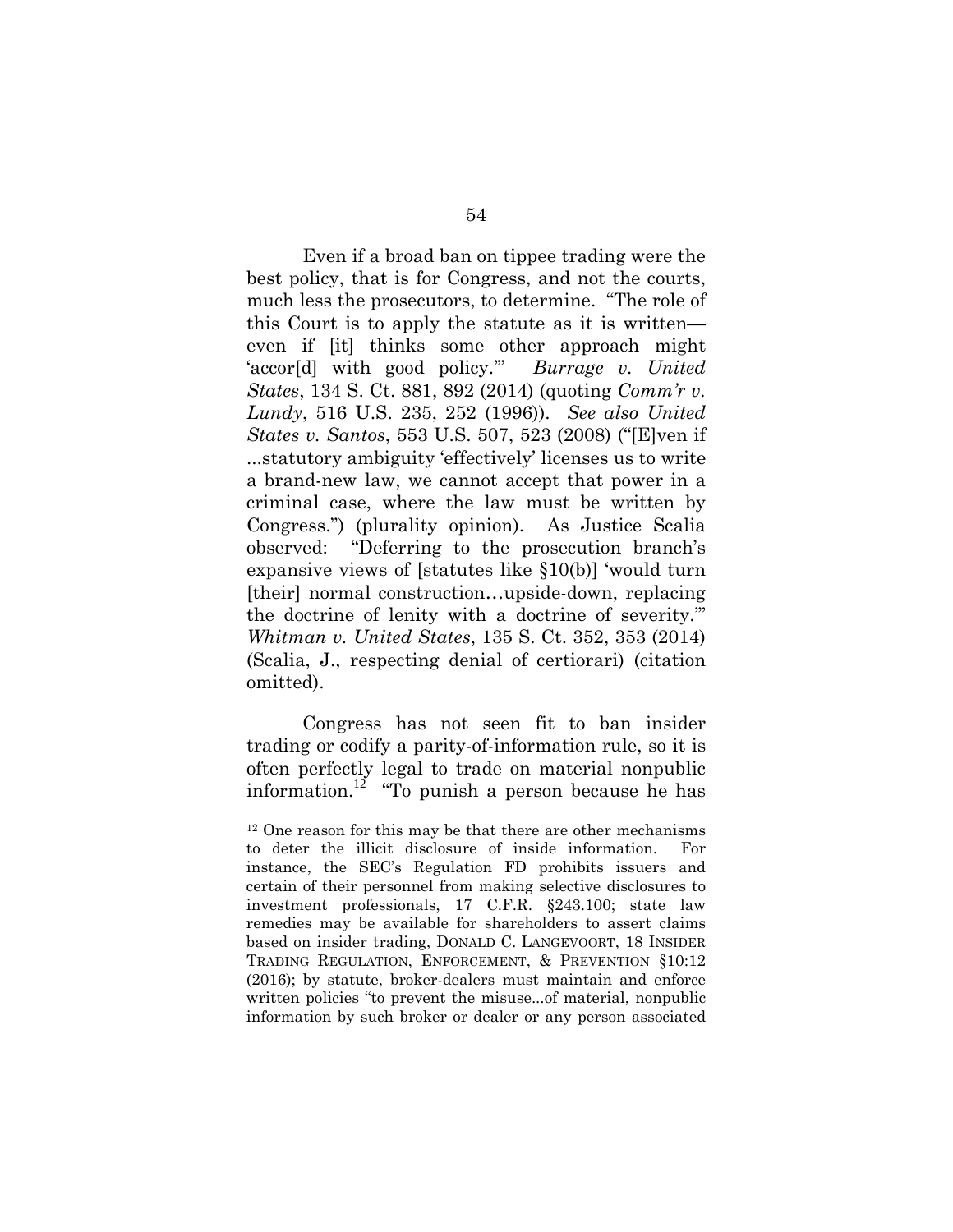Even if a broad ban on tippee trading were the best policy, that is for Congress, and not the courts, much less the prosecutors, to determine. "The role of this Court is to apply the statute as it is written even if [it] thinks some other approach might 'accor[d] with good policy.'" *Burrage v. United States*, 134 S. Ct. 881, 892 (2014) (quoting *Comm'r v. Lundy*, 516 U.S. 235, 252 (1996)). *See also United States v. Santos*, 553 U.S. 507, 523 (2008) ("[E]ven if ...statutory ambiguity 'effectively' licenses us to write a brand-new law, we cannot accept that power in a criminal case, where the law must be written by Congress.") (plurality opinion). As Justice Scalia observed: "Deferring to the prosecution branch's expansive views of [statutes like §10(b)] 'would turn [their] normal construction...upside-down, replacing the doctrine of lenity with a doctrine of severity.'" *Whitman v. United States*, 135 S. Ct. 352, 353 (2014) (Scalia, J., respecting denial of certiorari) (citation omitted).

Congress has not seen fit to ban insider trading or codify a parity-of-information rule, so it is often perfectly legal to trade on material nonpublic information.<sup>12</sup> "To punish a person because he has

<sup>&</sup>lt;sup>12</sup> One reason for this may be that there are other mechanisms to deter the illicit disclosure of inside information. For instance, the SEC's Regulation FD prohibits issuers and certain of their personnel from making selective disclosures to investment professionals, 17 C.F.R. §243.100; state law remedies may be available for shareholders to assert claims based on insider trading, DONALD C. LANGEVOORT, 18 INSIDER TRADING REGULATION, ENFORCEMENT, & PREVENTION §10:12 (2016); by statute, broker-dealers must maintain and enforce written policies "to prevent the misuse...of material, nonpublic information by such broker or dealer or any person associated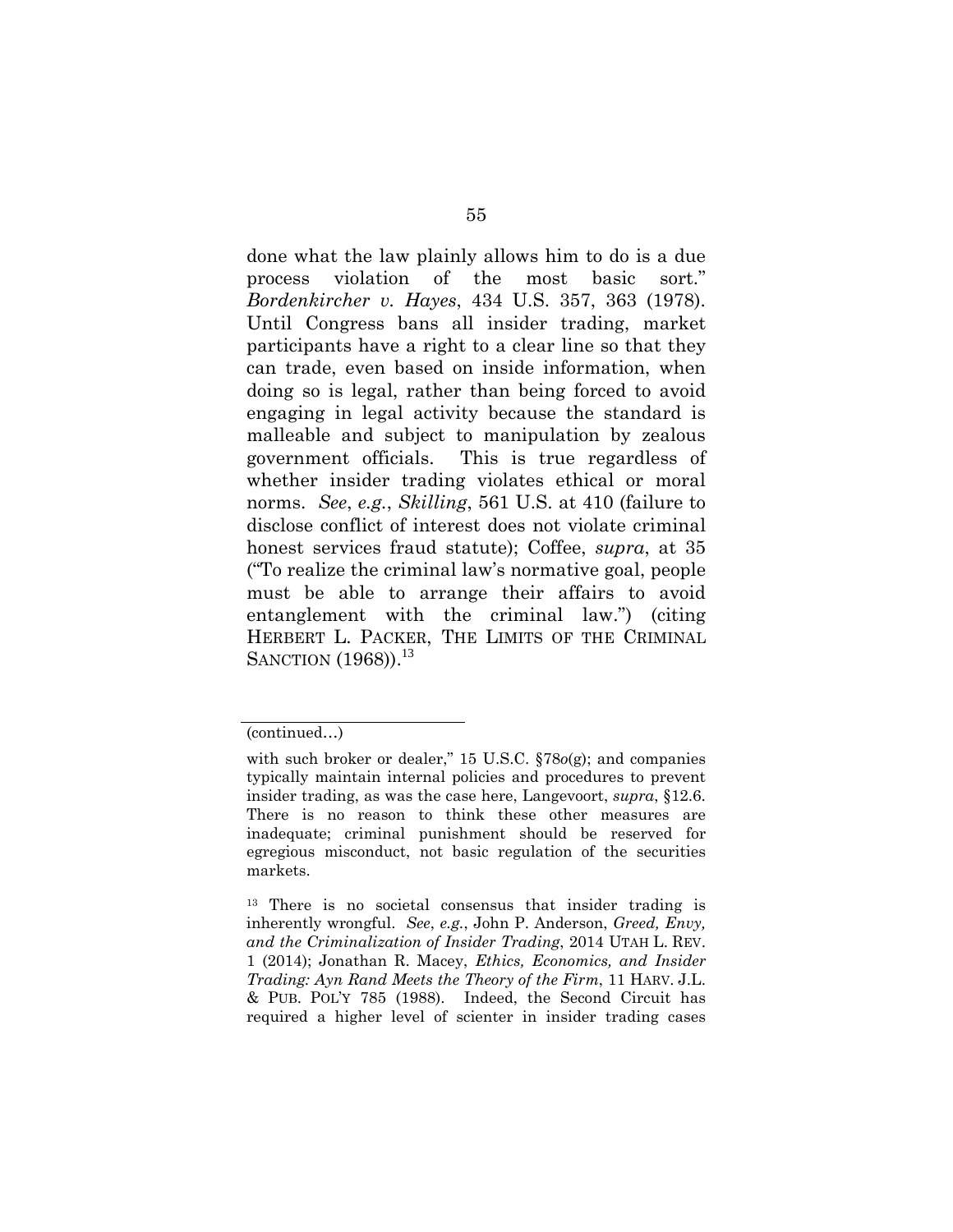done what the law plainly allows him to do is a due process violation of the most basic sort." *Bordenkircher v. Hayes*, 434 U.S. 357, 363 (1978). Until Congress bans all insider trading, market participants have a right to a clear line so that they can trade, even based on inside information, when doing so is legal, rather than being forced to avoid engaging in legal activity because the standard is malleable and subject to manipulation by zealous government officials. This is true regardless of whether insider trading violates ethical or moral norms. *See*, *e.g.*, *Skilling*, 561 U.S. at 410 (failure to disclose conflict of interest does not violate criminal honest services fraud statute); Coffee, *supra*, at 35 ("To realize the criminal law's normative goal, people must be able to arrange their affairs to avoid entanglement with the criminal law.") (citing HERBERT L. PACKER, THE LIMITS OF THE CRIMINAL SANCTION (1968)).<sup>13</sup>

<sup>(</sup>continued…)

with such broker or dealer," 15 U.S.C. §78*o*(g); and companies typically maintain internal policies and procedures to prevent insider trading, as was the case here, Langevoort, *supra*, §12.6. There is no reason to think these other measures are inadequate; criminal punishment should be reserved for egregious misconduct, not basic regulation of the securities markets.

<sup>13</sup> There is no societal consensus that insider trading is inherently wrongful. *See*, *e.g.*, John P. Anderson, *Greed, Envy, and the Criminalization of Insider Trading*, 2014 UTAH L. REV. 1 (2014); Jonathan R. Macey, *Ethics, Economics, and Insider Trading: Ayn Rand Meets the Theory of the Firm*, 11 HARV. J.L. & PUB. POL'Y 785 (1988). Indeed, the Second Circuit has required a higher level of scienter in insider trading cases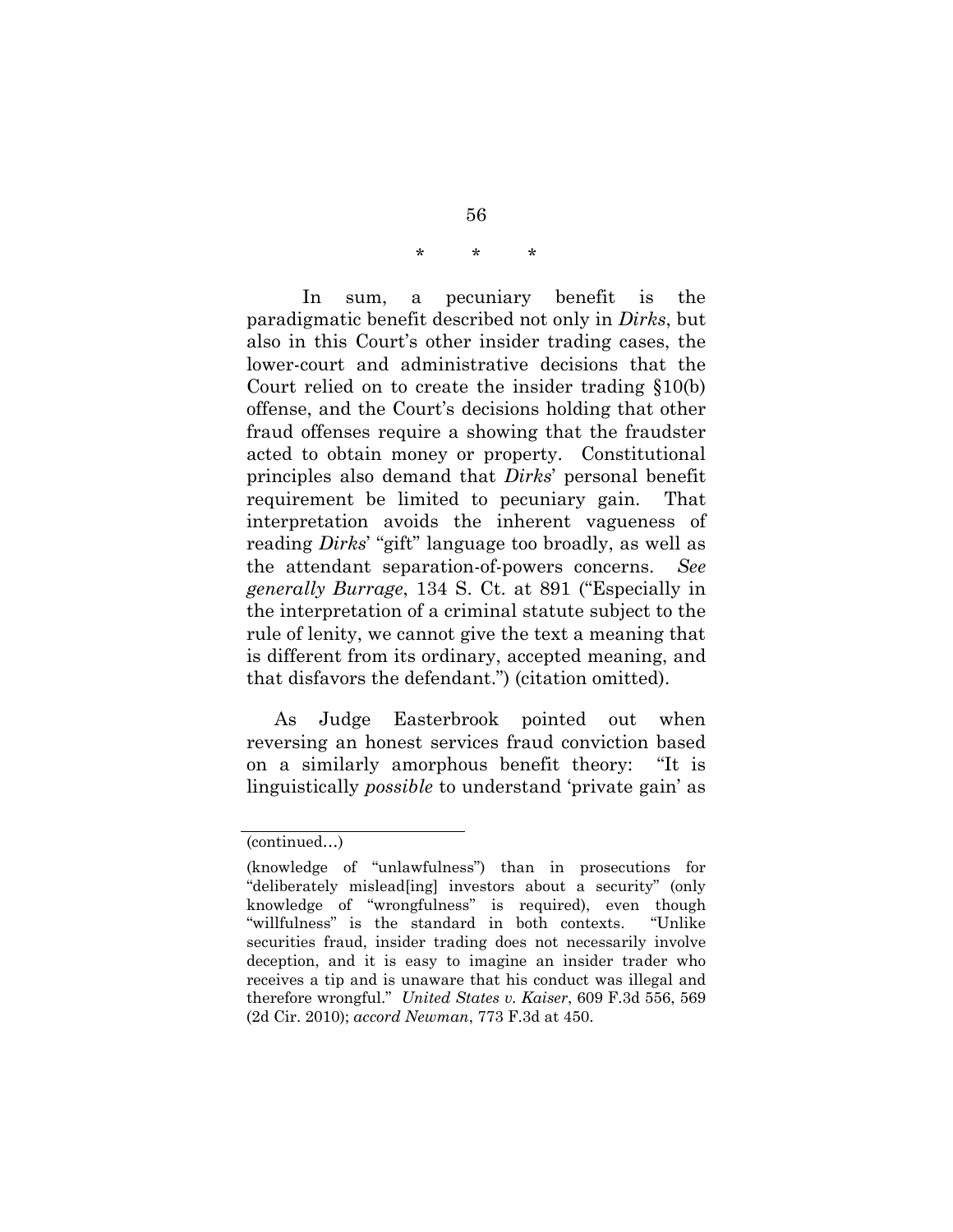### \* \* \*

In sum, a pecuniary benefit is the paradigmatic benefit described not only in *Dirks*, but also in this Court's other insider trading cases, the lower-court and administrative decisions that the Court relied on to create the insider trading §10(b) offense, and the Court's decisions holding that other fraud offenses require a showing that the fraudster acted to obtain money or property. Constitutional principles also demand that *Dirks*' personal benefit requirement be limited to pecuniary gain. That interpretation avoids the inherent vagueness of reading *Dirks*' "gift" language too broadly, as well as the attendant separation-of-powers concerns. *See generally Burrage*, 134 S. Ct. at 891 ("Especially in the interpretation of a criminal statute subject to the rule of lenity, we cannot give the text a meaning that is different from its ordinary, accepted meaning, and that disfavors the defendant.") (citation omitted).

As Judge Easterbrook pointed out when reversing an honest services fraud conviction based on a similarly amorphous benefit theory: "It is linguistically *possible* to understand 'private gain' as

<sup>(</sup>continued…)

<sup>(</sup>knowledge of "unlawfulness") than in prosecutions for "deliberately mislead[ing] investors about a security" (only knowledge of "wrongfulness" is required), even though "willfulness" is the standard in both contexts. "Unlike securities fraud, insider trading does not necessarily involve deception, and it is easy to imagine an insider trader who receives a tip and is unaware that his conduct was illegal and therefore wrongful." *United States v. Kaiser*, 609 F.3d 556, 569 (2d Cir. 2010); *accord Newman*, 773 F.3d at 450.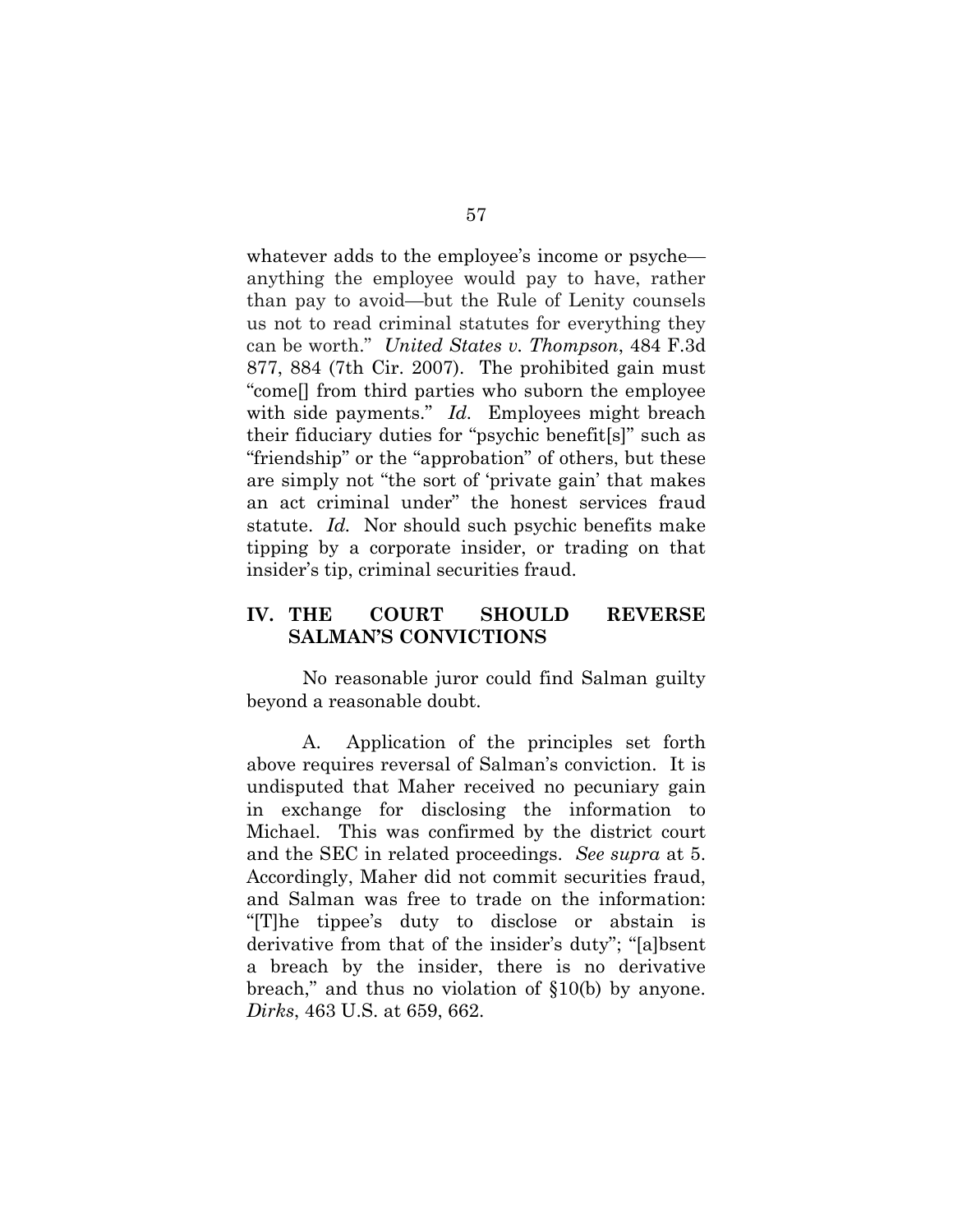whatever adds to the employee's income or psyche anything the employee would pay to have, rather than pay to avoid—but the Rule of Lenity counsels us not to read criminal statutes for everything they can be worth." *United States v. Thompson*, 484 F.3d 877, 884 (7th Cir. 2007). The prohibited gain must "come[] from third parties who suborn the employee with side payments." *Id.* Employees might breach their fiduciary duties for "psychic benefit[s]" such as "friendship" or the "approbation" of others, but these are simply not "the sort of 'private gain' that makes an act criminal under" the honest services fraud statute. *Id.* Nor should such psychic benefits make tipping by a corporate insider, or trading on that insider's tip, criminal securities fraud.

# **IV. THE COURT SHOULD REVERSE SALMAN'S CONVICTIONS**

No reasonable juror could find Salman guilty beyond a reasonable doubt.

A. Application of the principles set forth above requires reversal of Salman's conviction. It is undisputed that Maher received no pecuniary gain in exchange for disclosing the information to Michael. This was confirmed by the district court and the SEC in related proceedings. *See supra* at 5. Accordingly, Maher did not commit securities fraud, and Salman was free to trade on the information: "[T]he tippee's duty to disclose or abstain is derivative from that of the insider's duty"; "[a]bsent a breach by the insider, there is no derivative breach," and thus no violation of §10(b) by anyone. *Dirks*, 463 U.S. at 659, 662.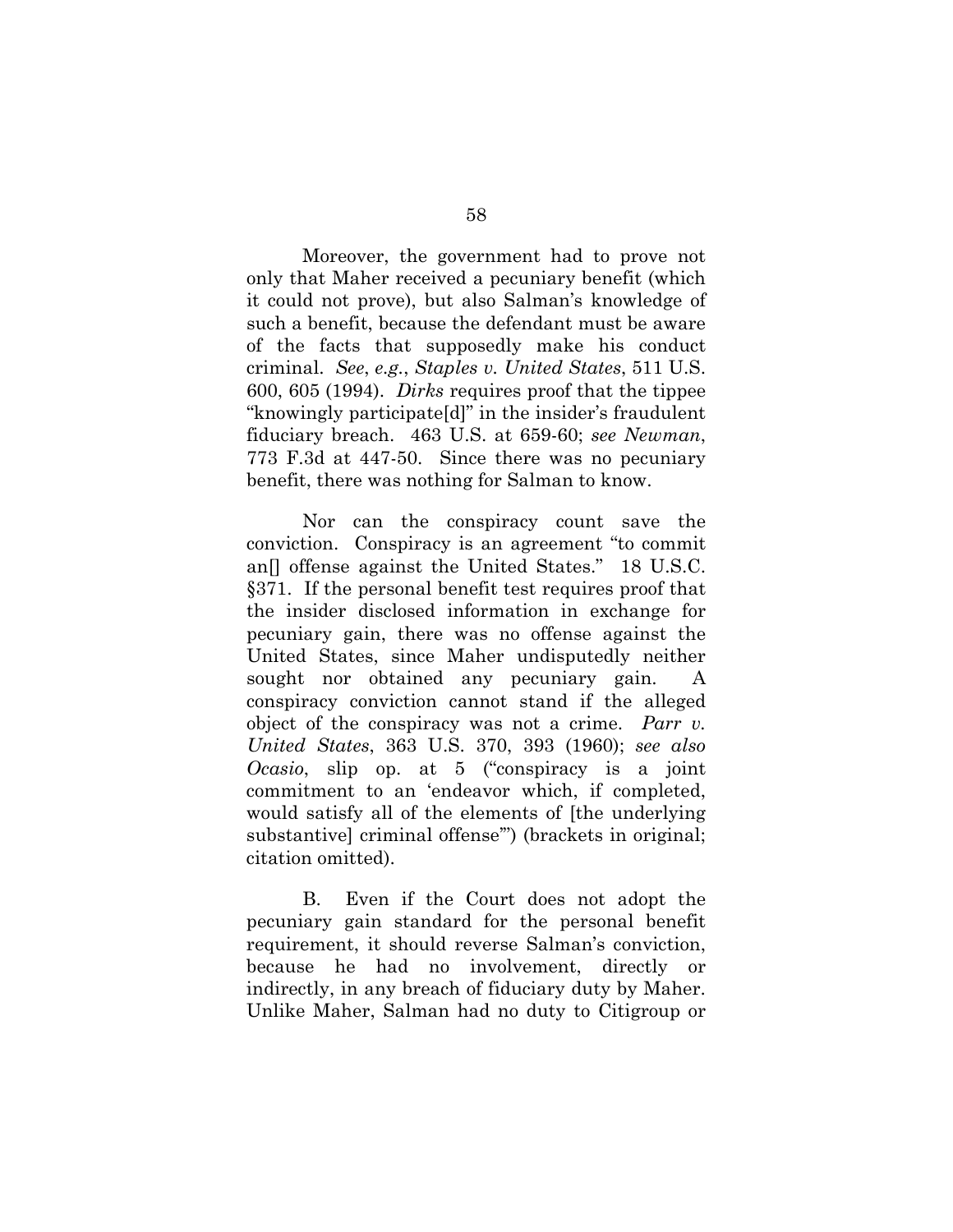Moreover, the government had to prove not only that Maher received a pecuniary benefit (which it could not prove), but also Salman's knowledge of such a benefit, because the defendant must be aware of the facts that supposedly make his conduct criminal. *See*, *e.g.*, *Staples v. United States*, 511 U.S. 600, 605 (1994). *Dirks* requires proof that the tippee "knowingly participate[d]" in the insider's fraudulent fiduciary breach. 463 U.S. at 659-60; *see Newman*, 773 F.3d at 447-50. Since there was no pecuniary benefit, there was nothing for Salman to know.

Nor can the conspiracy count save the conviction. Conspiracy is an agreement "to commit an[] offense against the United States." 18 U.S.C. §371. If the personal benefit test requires proof that the insider disclosed information in exchange for pecuniary gain, there was no offense against the United States, since Maher undisputedly neither sought nor obtained any pecuniary gain. conspiracy conviction cannot stand if the alleged object of the conspiracy was not a crime. *Parr v. United States*, 363 U.S. 370, 393 (1960); *see also Ocasio*, slip op. at 5 ("conspiracy is a joint commitment to an 'endeavor which, if completed, would satisfy all of the elements of [the underlying substantive] criminal offense'") (brackets in original; citation omitted).

B. Even if the Court does not adopt the pecuniary gain standard for the personal benefit requirement, it should reverse Salman's conviction, because he had no involvement, directly or indirectly, in any breach of fiduciary duty by Maher. Unlike Maher, Salman had no duty to Citigroup or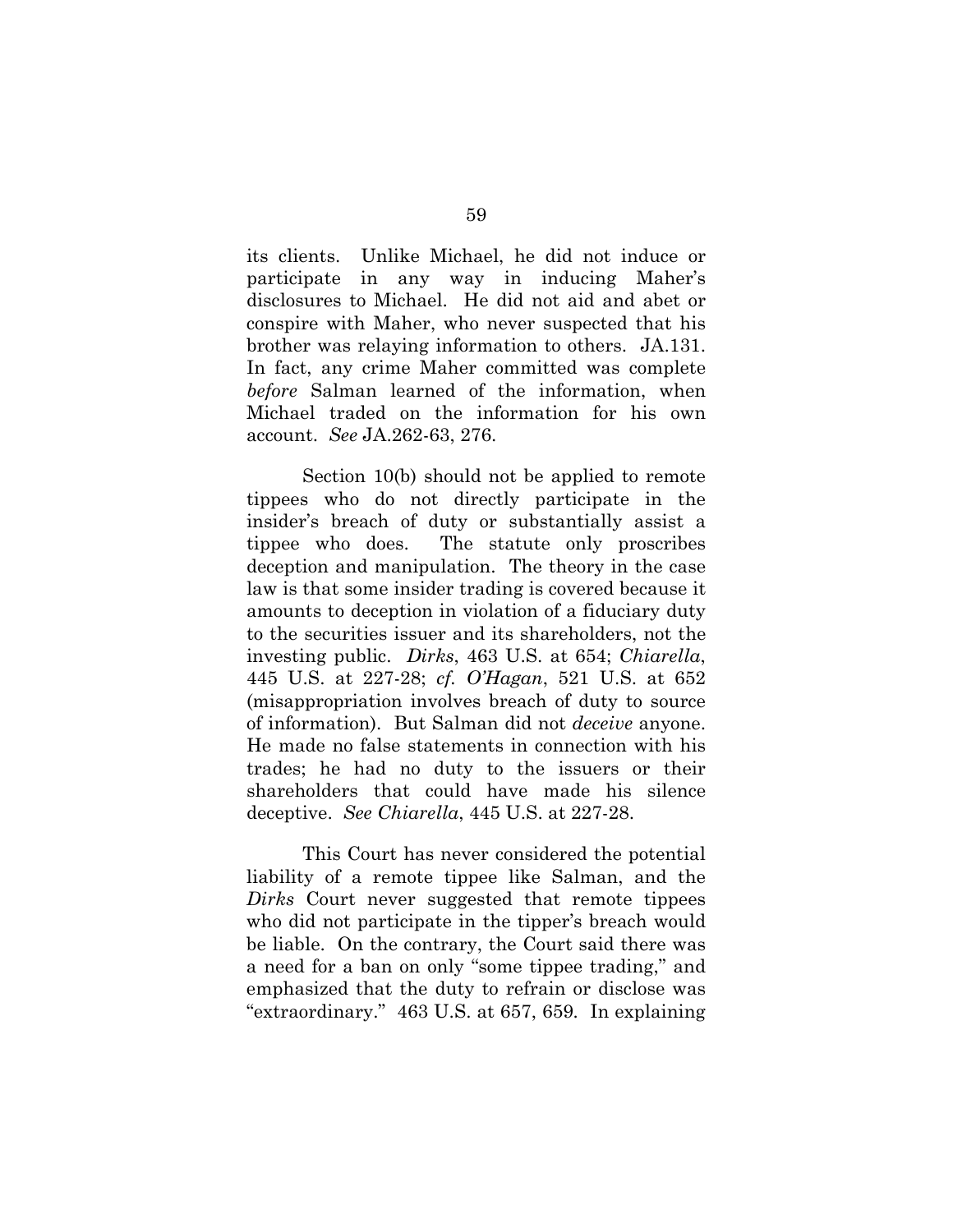its clients. Unlike Michael, he did not induce or participate in any way in inducing Maher's disclosures to Michael. He did not aid and abet or conspire with Maher, who never suspected that his brother was relaying information to others. JA.131. In fact, any crime Maher committed was complete *before* Salman learned of the information, when Michael traded on the information for his own account. *See* JA.262-63, 276.

Section 10(b) should not be applied to remote tippees who do not directly participate in the insider's breach of duty or substantially assist a tippee who does. The statute only proscribes deception and manipulation. The theory in the case law is that some insider trading is covered because it amounts to deception in violation of a fiduciary duty to the securities issuer and its shareholders, not the investing public. *Dirks*, 463 U.S. at 654; *Chiarella*, 445 U.S. at 227-28; *cf. O'Hagan*, 521 U.S. at 652 (misappropriation involves breach of duty to source of information). But Salman did not *deceive* anyone. He made no false statements in connection with his trades; he had no duty to the issuers or their shareholders that could have made his silence deceptive. *See Chiarella*, 445 U.S. at 227-28.

This Court has never considered the potential liability of a remote tippee like Salman, and the *Dirks* Court never suggested that remote tippees who did not participate in the tipper's breach would be liable. On the contrary, the Court said there was a need for a ban on only "some tippee trading," and emphasized that the duty to refrain or disclose was "extraordinary." 463 U.S. at 657, 659*.* In explaining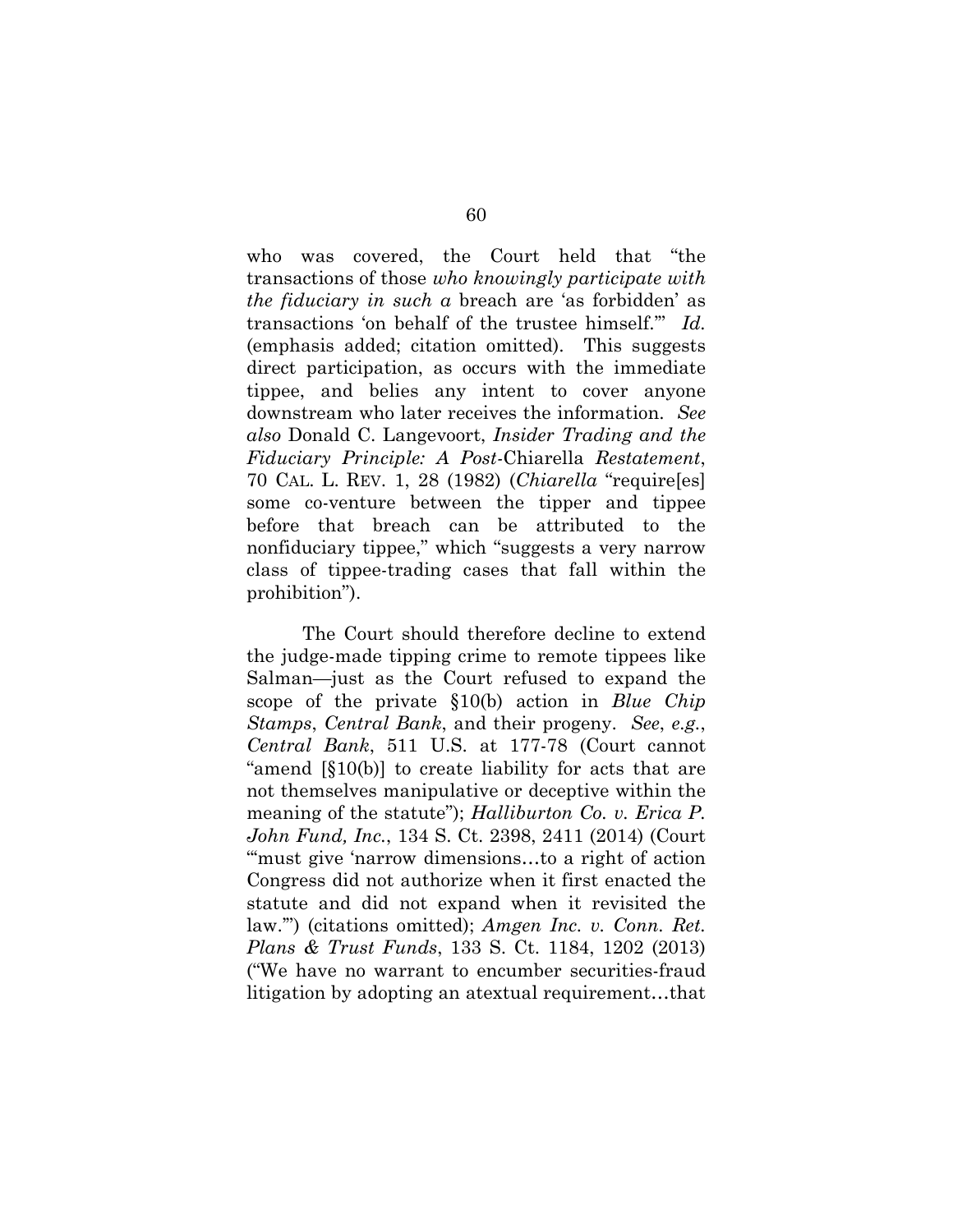who was covered, the Court held that "the transactions of those *who knowingly participate with the fiduciary in such a* breach are 'as forbidden' as transactions 'on behalf of the trustee himself.'" *Id.*  (emphasis added; citation omitted). This suggests direct participation, as occurs with the immediate tippee, and belies any intent to cover anyone downstream who later receives the information. *See also* Donald C. Langevoort, *Insider Trading and the Fiduciary Principle: A Post-*Chiarella *Restatement*, 70 CAL. L. REV. 1, 28 (1982) (*Chiarella* "require[es] some co-venture between the tipper and tippee before that breach can be attributed to the nonfiduciary tippee," which "suggests a very narrow class of tippee-trading cases that fall within the prohibition").

The Court should therefore decline to extend the judge-made tipping crime to remote tippees like Salman—just as the Court refused to expand the scope of the private §10(b) action in *Blue Chip Stamps*, *Central Bank*, and their progeny. *See*, *e.g.*, *Central Bank*, 511 U.S. at 177-78 (Court cannot "amend [§10(b)] to create liability for acts that are not themselves manipulative or deceptive within the meaning of the statute"); *Halliburton Co. v. Erica P. John Fund, Inc.*, 134 S. Ct. 2398, 2411 (2014) (Court ""must give 'narrow dimensions...to a right of action" Congress did not authorize when it first enacted the statute and did not expand when it revisited the law.'") (citations omitted); *Amgen Inc. v. Conn. Ret. Plans & Trust Funds*, 133 S. Ct. 1184, 1202 (2013) ("We have no warrant to encumber securities-fraud litigation by adopting an atextual requirement…that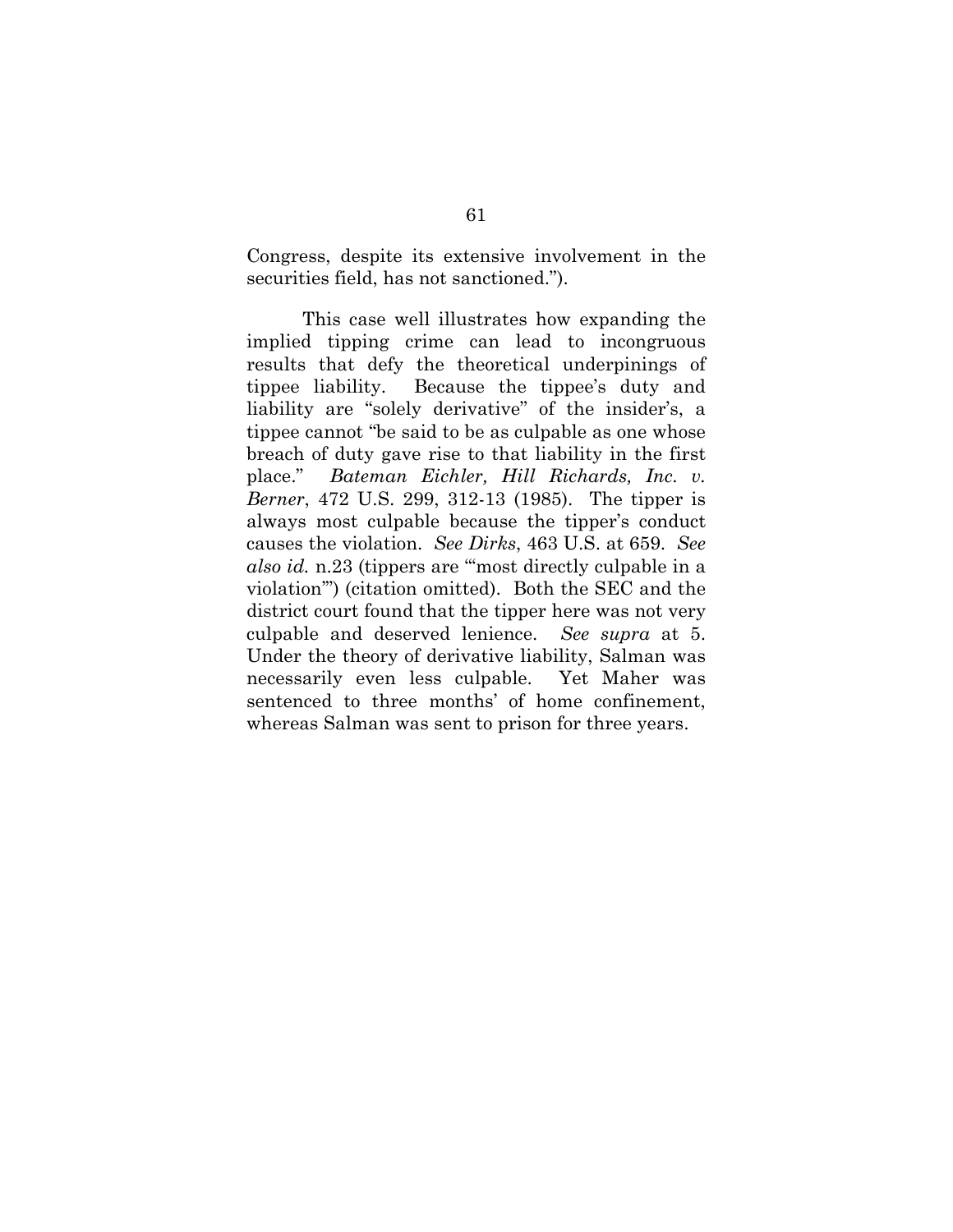Congress, despite its extensive involvement in the securities field, has not sanctioned.").

This case well illustrates how expanding the implied tipping crime can lead to incongruous results that defy the theoretical underpinings of tippee liability. Because the tippee's duty and liability are "solely derivative" of the insider's, a tippee cannot "be said to be as culpable as one whose breach of duty gave rise to that liability in the first place." *Bateman Eichler, Hill Richards, Inc. v. Berner*, 472 U.S. 299, 312-13 (1985). The tipper is always most culpable because the tipper's conduct causes the violation. *See Dirks*, 463 U.S. at 659. *See also id.* n.23 (tippers are "'most directly culpable in a violation'") (citation omitted). Both the SEC and the district court found that the tipper here was not very culpable and deserved lenience. *See supra* at 5. Under the theory of derivative liability, Salman was necessarily even less culpable. Yet Maher was sentenced to three months' of home confinement, whereas Salman was sent to prison for three years.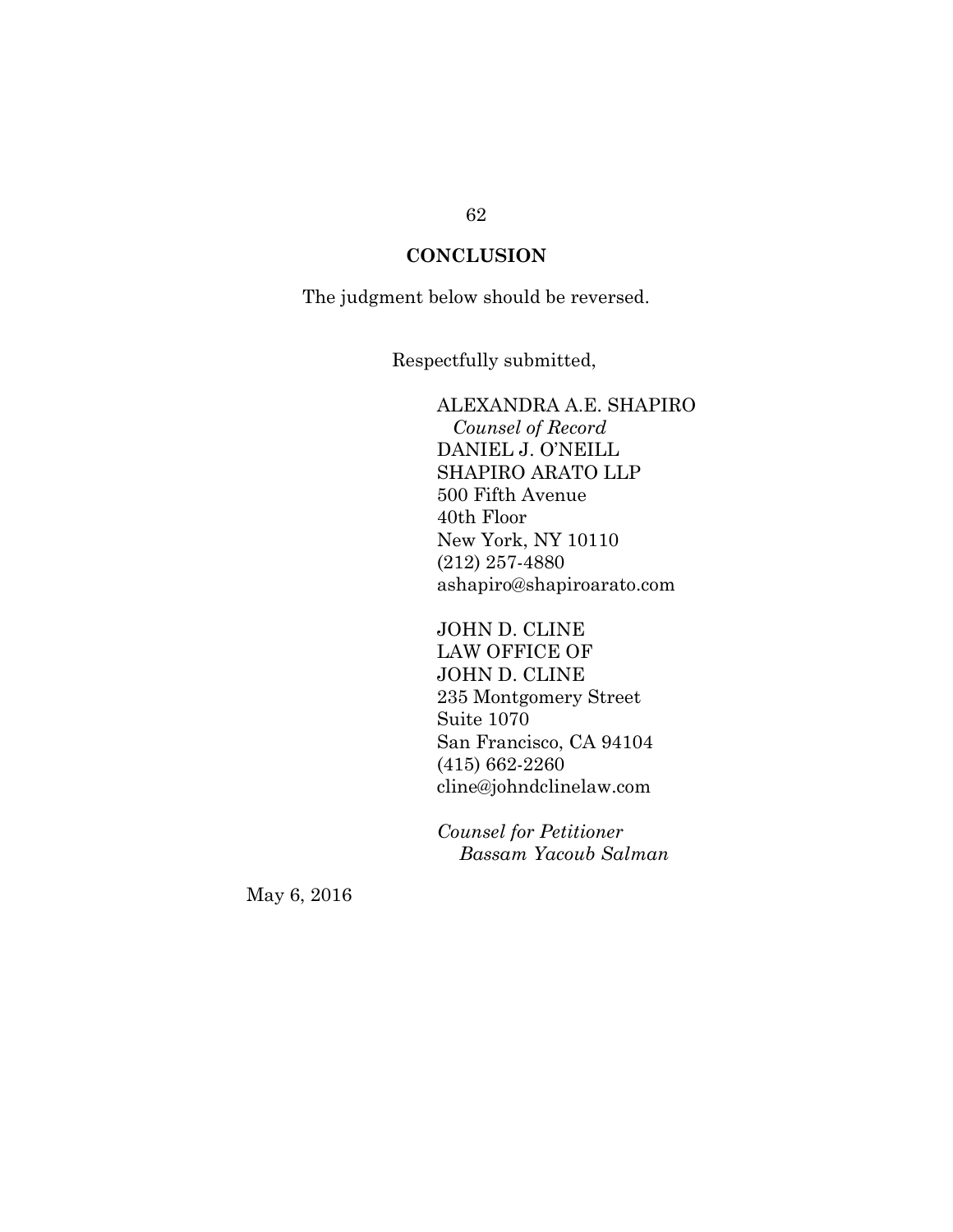## **CONCLUSION**

The judgment below should be reversed.

Respectfully submitted,

ALEXANDRA A.E. SHAPIRO  *Counsel of Record* DANIEL J. O'NEILL SHAPIRO ARATO LLP 500 Fifth Avenue 40th Floor New York, NY 10110 (212) 257-4880 ashapiro@shapiroarato.com

JOHN D. CLINE LAW OFFICE OF JOHN D. CLINE 235 Montgomery Street Suite 1070 San Francisco, CA 94104 (415) 662-2260 cline@johndclinelaw.com

*Counsel for Petitioner Bassam Yacoub Salman* 

May 6, 2016

### 62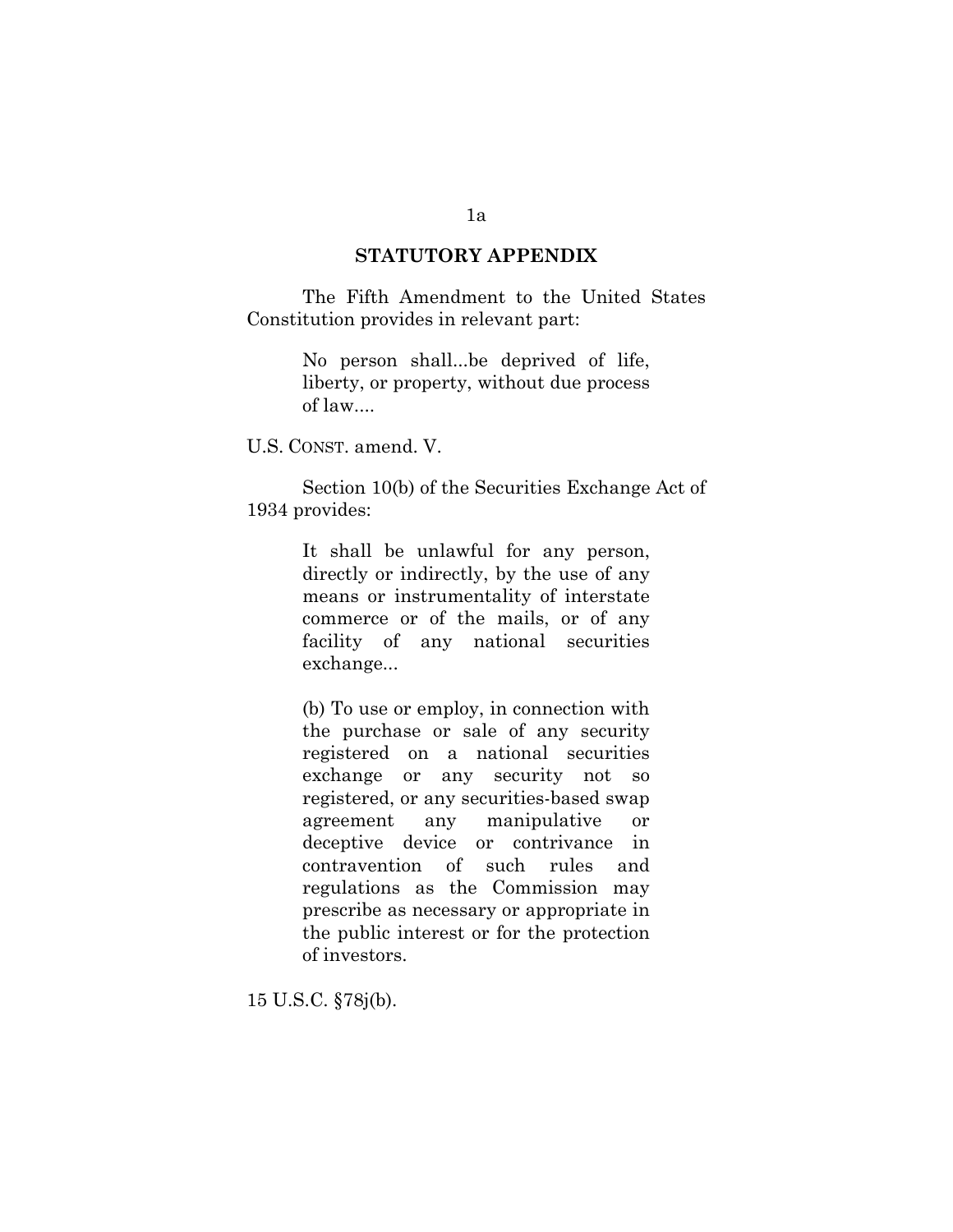### **STATUTORY APPENDIX**

The Fifth Amendment to the United States Constitution provides in relevant part:

> No person shall...be deprived of life, liberty, or property, without due process of law....

U.S. CONST. amend. V.

Section 10(b) of the Securities Exchange Act of 1934 provides:

> It shall be unlawful for any person, directly or indirectly, by the use of any means or instrumentality of interstate commerce or of the mails, or of any facility of any national securities exchange...

> (b) To use or employ, in connection with the purchase or sale of any security registered on a national securities exchange or any security not so registered, or any securities-based swap agreement any manipulative or deceptive device or contrivance in contravention of such rules and regulations as the Commission may prescribe as necessary or appropriate in the public interest or for the protection of investors.

15 U.S.C. §78j(b).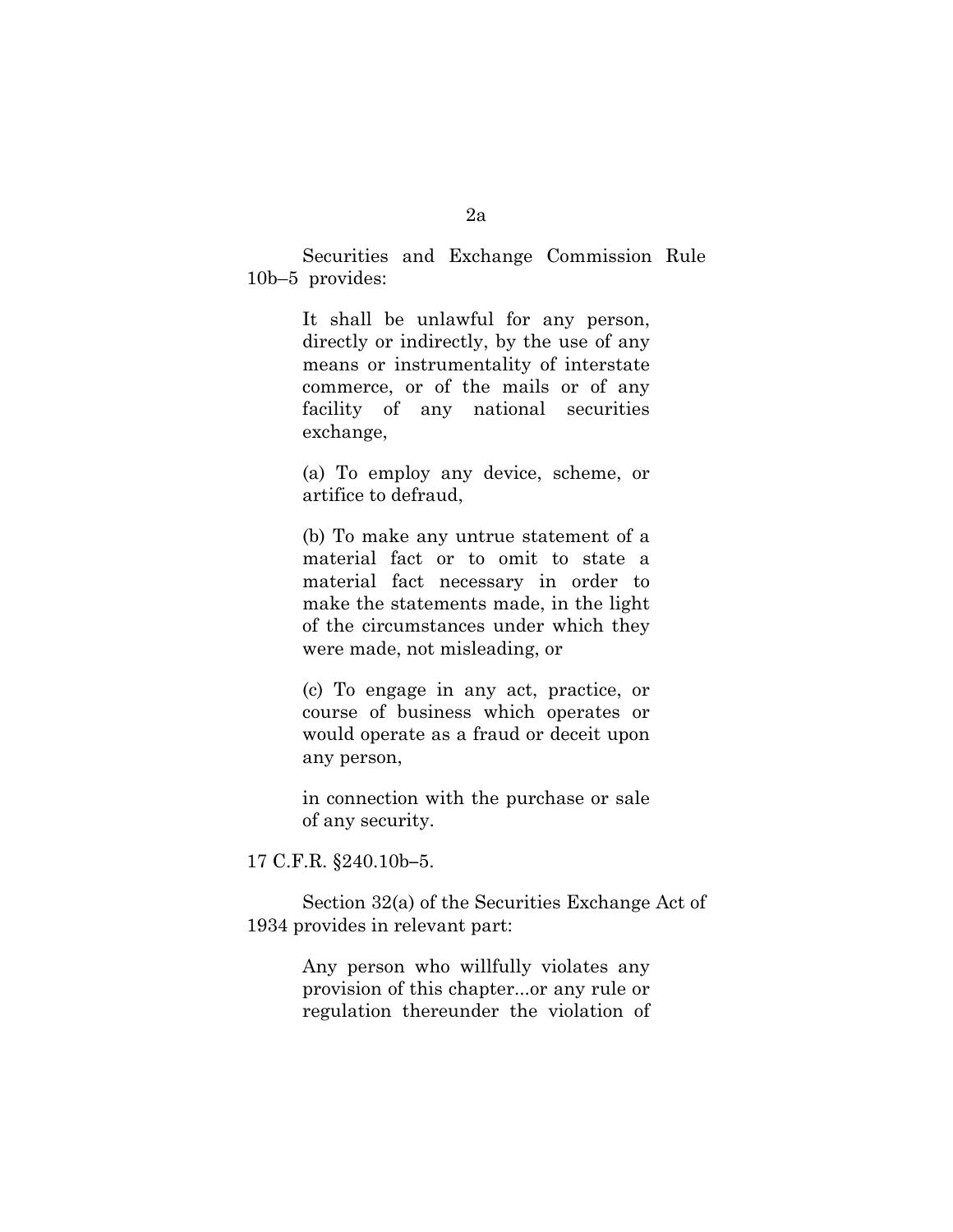2a

Securities and Exchange Commission Rule 10b–5 provides:

> It shall be unlawful for any person, directly or indirectly, by the use of any means or instrumentality of interstate commerce, or of the mails or of any facility of any national securities exchange,

> (a) To employ any device, scheme, or artifice to defraud,

> (b) To make any untrue statement of a material fact or to omit to state a material fact necessary in order to make the statements made, in the light of the circumstances under which they were made, not misleading, or

> (c) To engage in any act, practice, or course of business which operates or would operate as a fraud or deceit upon any person,

> in connection with the purchase or sale of any security.

17 C.F.R. §240.10b**–**5.

Section 32(a) of the Securities Exchange Act of 1934 provides in relevant part:

> Any person who willfully violates any provision of this chapter...or any rule or regulation thereunder the violation of